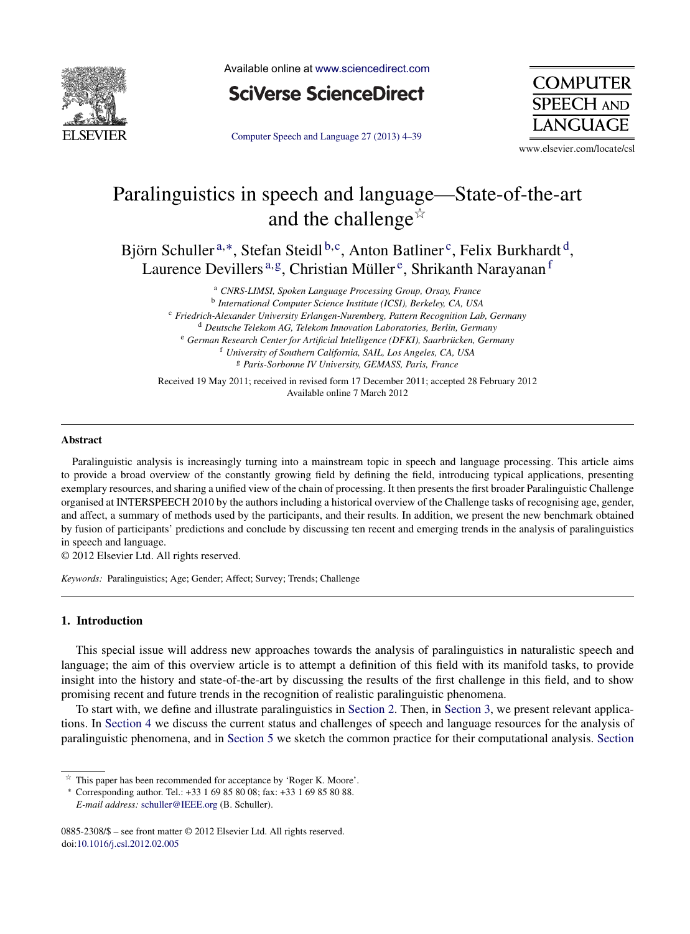

Available online at [www.sciencedirect.com](http://www.sciencedirect.com/science/journal/08852308)

**SciVerse ScienceDirect** 



[Computer Speech and Language 27 \(2013\) 4–39](dx.doi.org/10.1016/j.csl.2012.02.005)

www.elsevier.com/locate/csl

# Paralinguistics in speech and language—State-of-the-art and the challenge $\vec{r}$

Björn Schuller<sup>a,∗</sup>, Stefan Steidl<sup>b,c</sup>, Anton Batliner<sup>c</sup>, Felix Burkhardt<sup>d</sup>, Laurence Devillers<sup>a,g</sup>, Christian Müller<sup>e</sup>, Shrikanth Narayanan<sup>f</sup>

> <sup>a</sup> *CNRS-LIMSI, Spoken Language Processing Group, Orsay, France* <sup>b</sup> *International Computer Science Institute (ICSI), Berkeley, CA, USA* <sup>c</sup> *Friedrich-Alexander University Erlangen-Nuremberg, Pattern Recognition Lab, Germany* <sup>d</sup> *Deutsche Telekom AG, Telekom Innovation Laboratories, Berlin, Germany* <sup>e</sup> *German Research Center for Artificial Intelligence (DFKI), Saarbrücken, Germany* <sup>f</sup> *University of Southern California, SAIL, Los Angeles, CA, USA* <sup>g</sup> *Paris-Sorbonne IV University, GEMASS, Paris, France*

Received 19 May 2011; received in revised form 17 December 2011; accepted 28 February 2012 Available online 7 March 2012

#### **Abstract**

Paralinguistic analysis is increasingly turning into a mainstream topic in speech and language processing. This article aims to provide a broad overview of the constantly growing field by defining the field, introducing typical applications, presenting exemplary resources, and sharing a unified view of the chain of processing. It then presents the first broader Paralinguistic Challenge organised at INTERSPEECH 2010 by the authors including a historical overview of the Challenge tasks of recognising age, gender, and affect, a summary of methods used by the participants, and their results. In addition, we present the new benchmark obtained by fusion of participants' predictions and conclude by discussing ten recent and emerging trends in the analysis of paralinguistics in speech and language.

© 2012 Elsevier Ltd. All rights reserved.

*Keywords:* Paralinguistics; Age; Gender; Affect; Survey; Trends; Challenge

# **1. Introduction**

This special issue will address new approaches towards the analysis of paralinguistics in naturalistic speech and language; the aim of this overview article is to attempt a definition of this field with its manifold tasks, to provide insight into the history and state-of-the-art by discussing the results of the first challenge in this field, and to show promising recent and future trends in the recognition of realistic paralinguistic phenomena.

To start with, we define and illustrate paralinguistics in [Section 2.](#page-1-0) Then, in [Section 3, w](#page-5-0)e present relevant applications. In [Section 4](#page-8-0) we discuss the current status and challenges of speech and language resources for the analysis of paralinguistic phenomena, and in [Section 5](#page-9-0) we sketch the common practice for their computational analysis. [Section](#page-12-0)

<sup>-</sup>This paper has been recommended for acceptance by 'Roger K. Moore'.

<sup>∗</sup> Corresponding author. Tel.: +33 1 69 85 80 08; fax: +33 1 69 85 80 88.

*E-mail address:* [schuller@IEEE.org](mailto:schuller@IEEE.org) (B. Schuller).

<sup>0885-2308/\$ –</sup> see front matter © 2012 Elsevier Ltd. All rights reserved. doi[:10.1016/j.csl.2012.02.005](dx.doi.org/10.1016/j.csl.2012.02.005)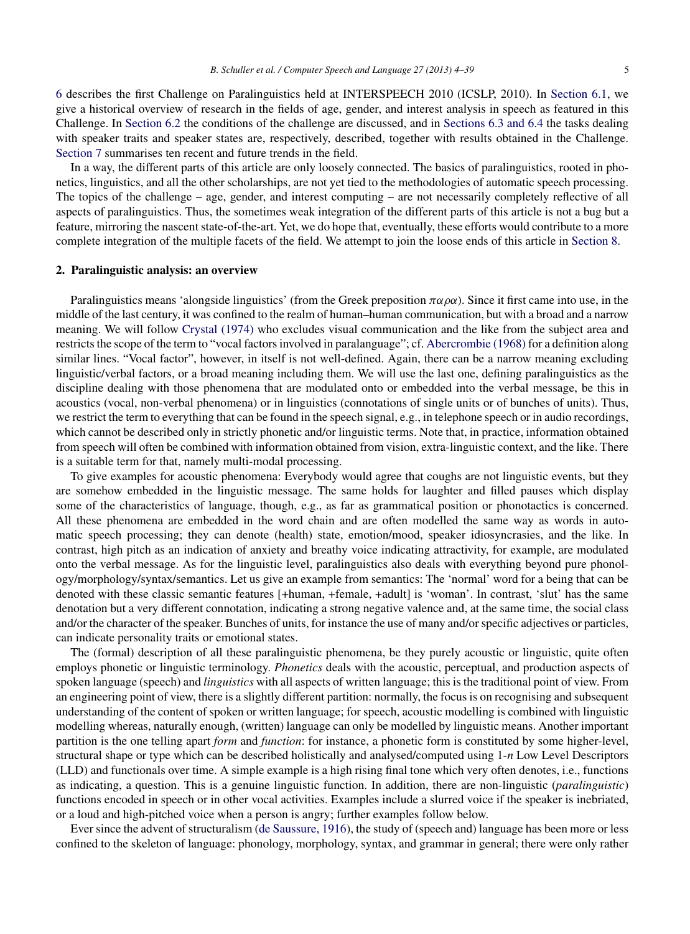<span id="page-1-0"></span>[6](#page-12-0) describes the first Challenge on Paralinguistics held at INTERSPEECH 2010 (ICSLP, 2010). In [Section 6.1,](#page-12-0) we give a historical overview of research in the fields of age, gender, and interest analysis in speech as featured in this Challenge. In [Section 6.2](#page-14-0) the conditions of the challenge are discussed, and in [Sections 6.3 and 6.4](#page-15-0) the tasks dealing with speaker traits and speaker states are, respectively, described, together with results obtained in the Challenge. [Section 7](#page-23-0) summarises ten recent and future trends in the field.

In a way, the different parts of this article are only loosely connected. The basics of paralinguistics, rooted in phonetics, linguistics, and all the other scholarships, are not yet tied to the methodologies of automatic speech processing. The topics of the challenge – age, gender, and interest computing – are not necessarily completely reflective of all aspects of paralinguistics. Thus, the sometimes weak integration of the different parts of this article is not a bug but a feature, mirroring the nascent state-of-the-art. Yet, we do hope that, eventually, these efforts would contribute to a more complete integration of the multiple facets of the field. We attempt to join the loose ends of this article in [Section 8.](#page-25-0)

#### **2. Paralinguistic analysis: an overview**

Paralinguistics means 'alongside linguistics' (from the Greek preposition  $\pi\alpha\rho\alpha$ ). Since it first came into use, in the middle of the last century, it was confined to the realm of human–human communication, but with a broad and a narrow meaning. We will follow [Crystal \(1974\)](#page-27-0) who excludes visual communication and the like from the subject area and restricts the scope of the term to "vocal factors involved in paralanguage"; cf. [Abercrombie \(1968\)](#page-26-0) for a definition along similar lines. "Vocal factor", however, in itself is not well-defined. Again, there can be a narrow meaning excluding linguistic/verbal factors, or a broad meaning including them. We will use the last one, defining paralinguistics as the discipline dealing with those phenomena that are modulated onto or embedded into the verbal message, be this in acoustics (vocal, non-verbal phenomena) or in linguistics (connotations of single units or of bunches of units). Thus, we restrict the term to everything that can be found in the speech signal, e.g., in telephone speech or in audio recordings, which cannot be described only in strictly phonetic and/or linguistic terms. Note that, in practice, information obtained from speech will often be combined with information obtained from vision, extra-linguistic context, and the like. There is a suitable term for that, namely multi-modal processing.

To give examples for acoustic phenomena: Everybody would agree that coughs are not linguistic events, but they are somehow embedded in the linguistic message. The same holds for laughter and filled pauses which display some of the characteristics of language, though, e.g., as far as grammatical position or phonotactics is concerned. All these phenomena are embedded in the word chain and are often modelled the same way as words in automatic speech processing; they can denote (health) state, emotion/mood, speaker idiosyncrasies, and the like. In contrast, high pitch as an indication of anxiety and breathy voice indicating attractivity, for example, are modulated onto the verbal message. As for the linguistic level, paralinguistics also deals with everything beyond pure phonology/morphology/syntax/semantics. Let us give an example from semantics: The 'normal' word for a being that can be denoted with these classic semantic features [+human, +female, +adult] is 'woman'. In contrast, 'slut' has the same denotation but a very different connotation, indicating a strong negative valence and, at the same time, the social class and/or the character of the speaker. Bunches of units, for instance the use of many and/or specific adjectives or particles, can indicate personality traits or emotional states.

The (formal) description of all these paralinguistic phenomena, be they purely acoustic or linguistic, quite often employs phonetic or linguistic terminology. *Phonetics* deals with the acoustic, perceptual, and production aspects of spoken language (speech) and *linguistics* with all aspects of written language; this is the traditional point of view. From an engineering point of view, there is a slightly different partition: normally, the focus is on recognising and subsequent understanding of the content of spoken or written language; for speech, acoustic modelling is combined with linguistic modelling whereas, naturally enough, (written) language can only be modelled by linguistic means. Another important partition is the one telling apart *form* and *function*: for instance, a phonetic form is constituted by some higher-level, structural shape or type which can be described holistically and analysed/computed using 1-*n* Low Level Descriptors (LLD) and functionals over time. A simple example is a high rising final tone which very often denotes, i.e., functions as indicating, a question. This is a genuine linguistic function. In addition, there are non-linguistic (*paralinguistic*) functions encoded in speech or in other vocal activities. Examples include a slurred voice if the speaker is inebriated, or a loud and high-pitched voice when a person is angry; further examples follow below.

Ever since the advent of structuralism [\(de Saussure, 1916\),](#page-27-0) the study of (speech and) language has been more or less confined to the skeleton of language: phonology, morphology, syntax, and grammar in general; there were only rather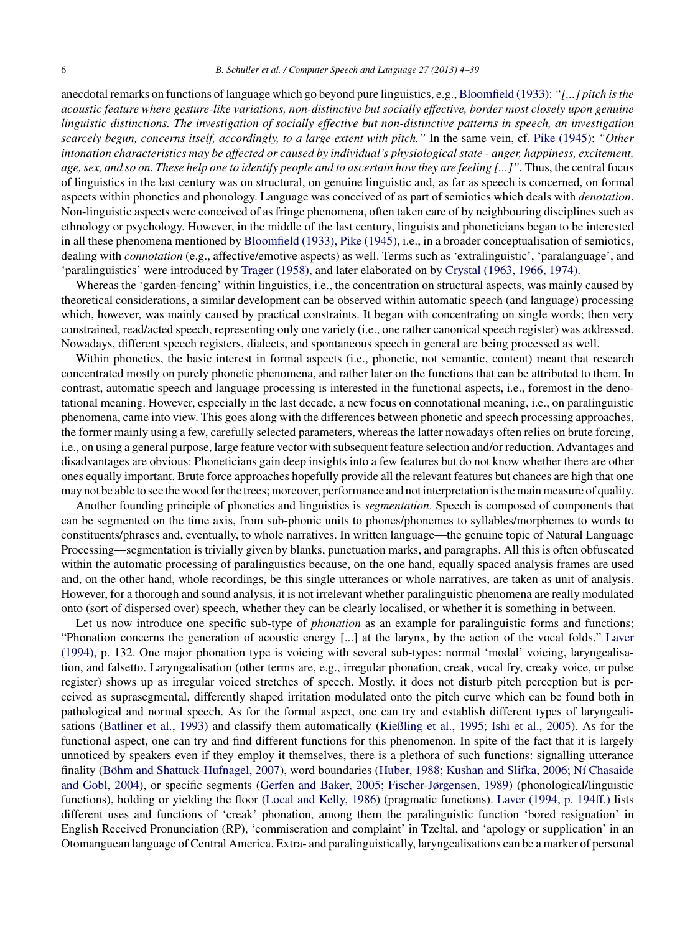anecdotal remarks on functions of language which go beyond pure linguistics, e.g., [Bloomfield \(1933\):](#page-27-0) *"[...] pitch is the acoustic feature where gesture-like variations, non-distinctive but socially effective, border most closely upon genuine linguistic distinctions. The investigation of socially effective but non-distinctive patterns in speech, an investigation scarcely begun, concerns itself, accordingly, to a large extent with pitch."* In the same vein, cf. [Pike \(1945\):](#page-31-0) *"Other intonation characteristics may be affected or caused by individual's physiological state - anger, happiness, excitement, age, sex, and so on. These help one to identify people and to ascertain how they are feeling [...]".* Thus, the central focus of linguistics in the last century was on structural, on genuine linguistic and, as far as speech is concerned, on formal aspects within phonetics and phonology. Language was conceived of as part of semiotics which deals with *denotation*. Non-linguistic aspects were conceived of as fringe phenomena, often taken care of by neighbouring disciplines such as ethnology or psychology. However, in the middle of the last century, linguists and phoneticians began to be interested in all these phenomena mentioned by [Bloomfield \(1933\), Pike \(1945\), i](#page-27-0).e., in a broader conceptualisation of semiotics, dealing with *connotation* (e.g., affective/emotive aspects) as well. Terms such as 'extralinguistic', 'paralanguage', and 'paralinguistics' were introduced by [Trager \(1958\),](#page-34-0) and later elaborated on by [Crystal \(1963, 1966, 1974\).](#page-27-0)

Whereas the 'garden-fencing' within linguistics, i.e., the concentration on structural aspects, was mainly caused by theoretical considerations, a similar development can be observed within automatic speech (and language) processing which, however, was mainly caused by practical constraints. It began with concentrating on single words; then very constrained, read/acted speech, representing only one variety (i.e., one rather canonical speech register) was addressed. Nowadays, different speech registers, dialects, and spontaneous speech in general are being processed as well.

Within phonetics, the basic interest in formal aspects (i.e., phonetic, not semantic, content) meant that research concentrated mostly on purely phonetic phenomena, and rather later on the functions that can be attributed to them. In contrast, automatic speech and language processing is interested in the functional aspects, i.e., foremost in the denotational meaning. However, especially in the last decade, a new focus on connotational meaning, i.e., on paralinguistic phenomena, came into view. This goes along with the differences between phonetic and speech processing approaches, the former mainly using a few, carefully selected parameters, whereas the latter nowadays often relies on brute forcing, i.e., on using a general purpose, large feature vector with subsequent feature selection and/or reduction. Advantages and disadvantages are obvious: Phoneticians gain deep insights into a few features but do not know whether there are other ones equally important. Brute force approaches hopefully provide all the relevant features but chances are high that one may not be able to see the wood for the trees; moreover, performance and not interpretation is the main measure of quality.

Another founding principle of phonetics and linguistics is *segmentation*. Speech is composed of components that can be segmented on the time axis, from sub-phonic units to phones/phonemes to syllables/morphemes to words to constituents/phrases and, eventually, to whole narratives. In written language—the genuine topic of Natural Language Processing—segmentation is trivially given by blanks, punctuation marks, and paragraphs. All this is often obfuscated within the automatic processing of paralinguistics because, on the one hand, equally spaced analysis frames are used and, on the other hand, whole recordings, be this single utterances or whole narratives, are taken as unit of analysis. However, for a thorough and sound analysis, it is not irrelevant whether paralinguistic phenomena are really modulated onto (sort of dispersed over) speech, whether they can be clearly localised, or whether it is something in between.

Let us now introduce one specific sub-type of *phonation* as an example for paralinguistic forms and functions; "Phonation concerns the generation of acoustic energy [...] at the larynx, by the action of the vocal folds." [Laver](#page-29-0) [\(1994\),](#page-29-0) p. 132. One major phonation type is voicing with several sub-types: normal 'modal' voicing, laryngealisation, and falsetto. Laryngealisation (other terms are, e.g., irregular phonation, creak, vocal fry, creaky voice, or pulse register) shows up as irregular voiced stretches of speech. Mostly, it does not disturb pitch perception but is perceived as suprasegmental, differently shaped irritation modulated onto the pitch curve which can be found both in pathological and normal speech. As for the formal aspect, one can try and establish different types of laryngealisations ([Batliner et al., 1993\)](#page-26-0) and classify them automatically ([Kießling et al., 1995; Ishi et al., 2005\).](#page-29-0) As for the functional aspect, one can try and find different functions for this phenomenon. In spite of the fact that it is largely unnoticed by speakers even if they employ it themselves, there is a plethora of such functions: signalling utterance finality [\(Böhm and Shattuck-Hufnagel, 2007\),](#page-27-0) word boundaries [\(Huber, 1988; Kushan and Slifka, 2006; Ní Chasaide](#page-29-0) [and Gobl, 2004\),](#page-29-0) or specific segments [\(Gerfen and Baker, 2005; Fischer-Jørgensen, 1989\)](#page-28-0) (phonological/linguistic functions), holding or yielding the floor ([Local and Kelly, 1986\)](#page-30-0) (pragmatic functions). [Laver \(1994, p. 194ff.\)](#page-29-0) lists different uses and functions of 'creak' phonation, among them the paralinguistic function 'bored resignation' in English Received Pronunciation (RP), 'commiseration and complaint' in Tzeltal, and 'apology or supplication' in an Otomanguean language of Central America. Extra- and paralinguistically, laryngealisations can be a marker of personal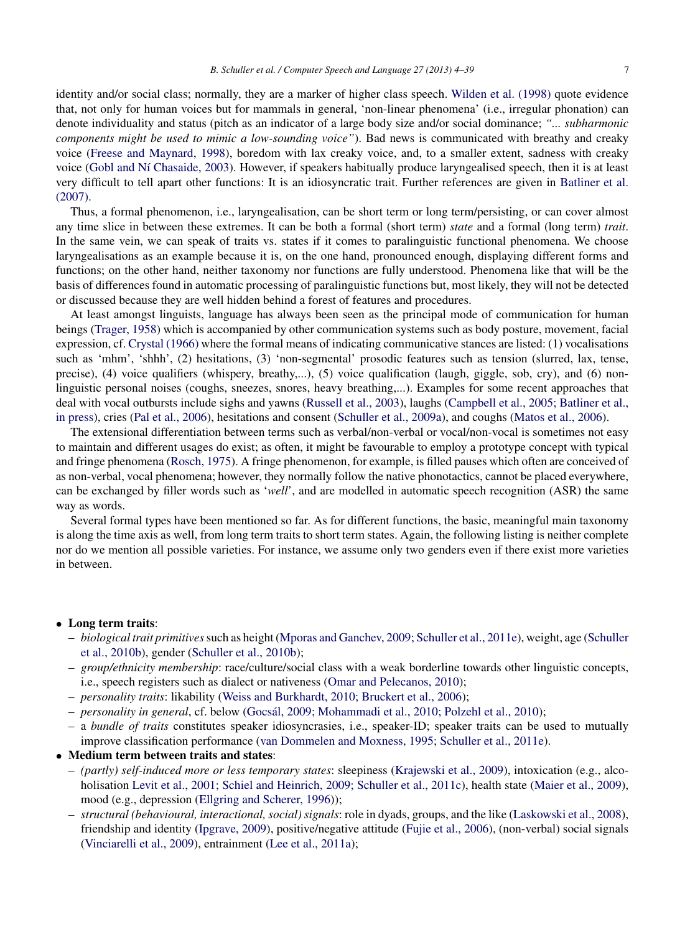identity and/or social class; normally, they are a marker of higher class speech. [Wilden et al. \(1998\)](#page-34-0) quote evidence that, not only for human voices but for mammals in general, 'non-linear phenomena' (i.e., irregular phonation) can denote individuality and status (pitch as an indicator of a large body size and/or social dominance; *"... subharmonic components might be used to mimic a low-sounding voice"*). Bad news is communicated with breathy and creaky voice [\(Freese and Maynard, 1998\),](#page-28-0) boredom with lax creaky voice, and, to a smaller extent, sadness with creaky voice [\(Gobl and Ní Chasaide, 2003\).](#page-28-0) However, if speakers habitually produce laryngealised speech, then it is at least very difficult to tell apart other functions: It is an idiosyncratic trait. Further references are given in [Batliner et al.](#page-26-0) [\(2007\).](#page-26-0)

Thus, a formal phenomenon, i.e., laryngealisation, can be short term or long term/persisting, or can cover almost any time slice in between these extremes. It can be both a formal (short term) *state* and a formal (long term) *trait*. In the same vein, we can speak of traits vs. states if it comes to paralinguistic functional phenomena. We choose laryngealisations as an example because it is, on the one hand, pronounced enough, displaying different forms and functions; on the other hand, neither taxonomy nor functions are fully understood. Phenomena like that will be the basis of differences found in automatic processing of paralinguistic functions but, most likely, they will not be detected or discussed because they are well hidden behind a forest of features and procedures.

At least amongst linguists, language has always been seen as the principal mode of communication for human beings ([Trager, 1958\)](#page-34-0) which is accompanied by other communication systems such as body posture, movement, facial expression, cf. [Crystal \(1966\)](#page-27-0) where the formal means of indicating communicative stances are listed: (1) vocalisations such as 'mhm', 'shhh', (2) hesitations, (3) 'non-segmental' prosodic features such as tension (slurred, lax, tense, precise), (4) voice qualifiers (whispery, breathy,...), (5) voice qualification (laugh, giggle, sob, cry), and (6) nonlinguistic personal noises (coughs, sneezes, snores, heavy breathing,...). Examples for some recent approaches that deal with vocal outbursts include sighs and yawns ([Russell et al., 2003\),](#page-32-0) laughs ([Campbell et al., 2005; Batliner et al.,](#page-27-0) [in press\),](#page-27-0) cries ([Pal et al., 2006\),](#page-31-0) hesitations and consent [\(Schuller et al., 2009a\),](#page-32-0) and coughs [\(Matos et al., 2006\).](#page-30-0)

The extensional differentiation between terms such as verbal/non-verbal or vocal/non-vocal is sometimes not easy to maintain and different usages do exist; as often, it might be favourable to employ a prototype concept with typical and fringe phenomena [\(Rosch, 1975\).](#page-32-0) A fringe phenomenon, for example, is filled pauses which often are conceived of as non-verbal, vocal phenomena; however, they normally follow the native phonotactics, cannot be placed everywhere, can be exchanged by filler words such as '*well*', and are modelled in automatic speech recognition (ASR) the same way as words.

Several formal types have been mentioned so far. As for different functions, the basic, meaningful main taxonomy is along the time axis as well, from long term traits to short term states. Again, the following listing is neither complete nor do we mention all possible varieties. For instance, we assume only two genders even if there exist more varieties in between.

# • **Long term traits**:

- *biological trait primitives*such as height [\(Mporas and Ganchev, 2009; Schuller et al., 2011e\),](#page-31-0) weight, age [\(Schuller](#page-33-0) [et al., 2010b\),](#page-33-0) gender ([Schuller et al., 2010b\);](#page-33-0)
- *group/ethnicity membership*: race/culture/social class with a weak borderline towards other linguistic concepts, i.e., speech registers such as dialect or nativeness [\(Omar and Pelecanos, 2010\);](#page-31-0)
- *personality traits*: likability [\(Weiss and Burkhardt, 2010; Bruckert et al., 2006\);](#page-34-0)
- *personality in general*, cf. below ([Gocsál, 2009; Mohammadi et al., 2010; Polzehl et al., 2010\);](#page-28-0)
- a *bundle of traits* constitutes speaker idiosyncrasies, i.e., speaker-ID; speaker traits can be used to mutually improve classification performance [\(van Dommelen and Moxness, 1995; Schuller et al., 2011e\).](#page-34-0)
- **Medium term between traits and states**:
	- *(partly) self-induced more or less temporary states*: sleepiness [\(Krajewski et al., 2009\),](#page-29-0) intoxication (e.g., alco-holisation [Levit et al., 2001; Schiel and Heinrich, 2009; Schuller et al., 2011c\),](#page-30-0) health state ([Maier et al., 2009\),](#page-30-0) mood (e.g., depression ([Ellgring and Scherer, 1996\)\)](#page-28-0);
	- *structural (behavioural, interactional, social) signals*: role in dyads, groups, and the like [\(Laskowski et al., 2008\),](#page-29-0) friendship and identity [\(Ipgrave, 2009\),](#page-29-0) positive/negative attitude [\(Fujie et al., 2006\),](#page-28-0) (non-verbal) social signals ([Vinciarelli et al., 2009\),](#page-34-0) entrainment [\(Lee et al., 2011a\);](#page-29-0)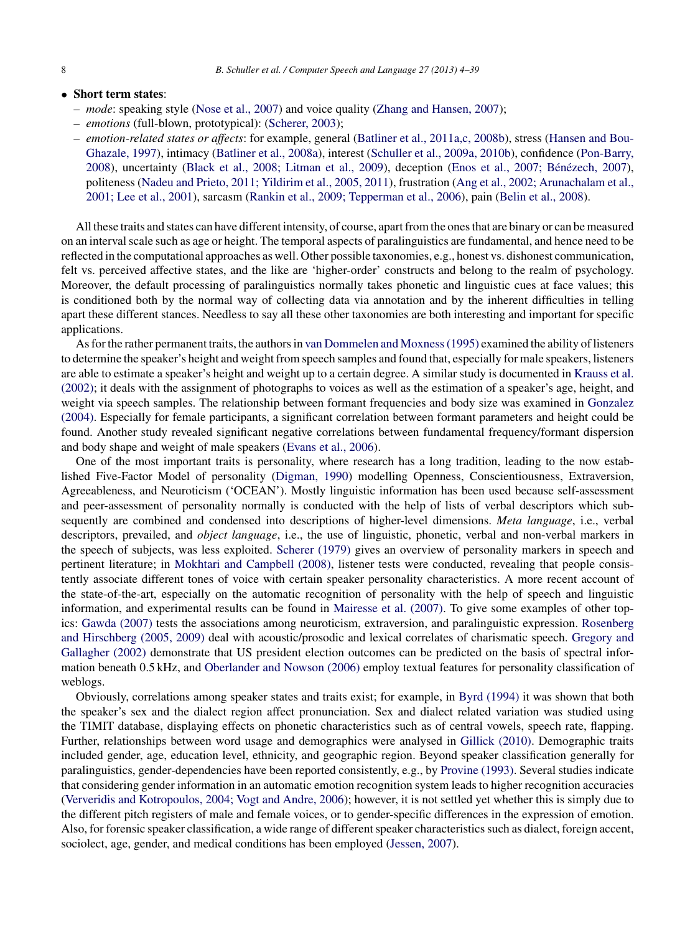## • **Short term states**:

- *mode*: speaking style ([Nose et al., 2007\)](#page-31-0) and voice quality [\(Zhang and Hansen, 2007\);](#page-34-0)
- *emotions* (full-blown, prototypical): [\(Scherer, 2003\);](#page-32-0)
- *emotion-related states or affects*: for example, general [\(Batliner et al., 2011a,c, 2008b\),](#page-26-0) stress [\(Hansen and Bou-](#page-29-0)Ghazale, [1997\),](#page-29-0) intimacy ([Batliner et al., 2008a\),](#page-26-0) interest ([Schuller et al., 2009a, 2010b\),](#page-32-0) confidence [\(Pon-Barry,](#page-31-0) [2008\),](#page-31-0) uncertainty [\(Black et al., 2008; Litman et al., 2009\),](#page-27-0) deception [\(Enos et al., 2007; Bénézech, 2007\),](#page-28-0) politeness ([Nadeu and Prieto, 2011; Yildirim et al., 2005, 2011\),](#page-31-0) frustration ([Ang et al., 2002; Arunachalam et al.,](#page-26-0) [2001; Lee et al., 2001\),](#page-26-0) sarcasm ([Rankin et al., 2009; Tepperman et al., 2006\),](#page-31-0) pain [\(Belin et al., 2008\).](#page-27-0)

All these traits and states can have different intensity, of course, apart from the ones that are binary or can be measured on an interval scale such as age or height. The temporal aspects of paralinguistics are fundamental, and hence need to be reflected in the computational approaches as well. Other possible taxonomies, e.g., honest vs. dishonest communication, felt vs. perceived affective states, and the like are 'higher-order' constructs and belong to the realm of psychology. Moreover, the default processing of paralinguistics normally takes phonetic and linguistic cues at face values; this is conditioned both by the normal way of collecting data via annotation and by the inherent difficulties in telling apart these different stances. Needless to say all these other taxonomies are both interesting and important for specific applications.

As for the rather permanent traits, the authors in [van Dommelen and Moxness \(1995\)](#page-34-0) examined the ability of listeners to determine the speaker's height and weight from speech samples and found that, especially for male speakers, listeners are able to estimate a speaker's height and weight up to a certain degree. A similar study is documented in [Krauss et al.](#page-29-0) [\(2002\);](#page-29-0) it deals with the assignment of photographs to voices as well as the estimation of a speaker's age, height, and weight via speech samples. The relationship between formant frequencies and body size was examined in [Gonzalez](#page-28-0) [\(2004\).](#page-28-0) Especially for female participants, a significant correlation between formant parameters and height could be found. Another study revealed significant negative correlations between fundamental frequency/formant dispersion and body shape and weight of male speakers ([Evans et al., 2006\).](#page-28-0)

One of the most important traits is personality, where research has a long tradition, leading to the now established Five-Factor Model of personality ([Digman, 1990\)](#page-28-0) modelling Openness, Conscientiousness, Extraversion, Agreeableness, and Neuroticism ('OCEAN'). Mostly linguistic information has been used because self-assessment and peer-assessment of personality normally is conducted with the help of lists of verbal descriptors which subsequently are combined and condensed into descriptions of higher-level dimensions. *Meta language*, i.e., verbal descriptors, prevailed, and *object language*, i.e., the use of linguistic, phonetic, verbal and non-verbal markers in the speech of subjects, was less exploited. [Scherer \(1979\)](#page-32-0) gives an overview of personality markers in speech and pertinent literature; in [Mokhtari and Campbell \(2008\),](#page-30-0) listener tests were conducted, revealing that people consistently associate different tones of voice with certain speaker personality characteristics. A more recent account of the state-of-the-art, especially on the automatic recognition of personality with the help of speech and linguistic information, and experimental results can be found in [Mairesse et al. \(2007\).](#page-30-0) To give some examples of other topics: [Gawda \(2007\)](#page-28-0) tests the associations among neuroticism, extraversion, and paralinguistic expression. [Rosenberg](#page-32-0) [and Hirschberg \(2005, 2009\)](#page-32-0) deal with acoustic/prosodic and lexical correlates of charismatic speech. [Gregory and](#page-28-0) [Gallagher \(2002\)](#page-28-0) demonstrate that US president election outcomes can be predicted on the basis of spectral information beneath 0.5 kHz, and [Oberlander and Nowson \(2006\)](#page-31-0) employ textual features for personality classification of weblogs.

Obviously, correlations among speaker states and traits exist; for example, in [Byrd \(1994\)](#page-27-0) it was shown that both the speaker's sex and the dialect region affect pronunciation. Sex and dialect related variation was studied using the TIMIT database, displaying effects on phonetic characteristics such as of central vowels, speech rate, flapping. Further, relationships between word usage and demographics were analysed in [Gillick \(2010\).](#page-28-0) Demographic traits included gender, age, education level, ethnicity, and geographic region. Beyond speaker classification generally for paralinguistics, gender-dependencies have been reported consistently, e.g., by [Provine \(1993\). S](#page-31-0)everal studies indicate that considering gender information in an automatic emotion recognition system leads to higher recognition accuracies ([Ververidis and Kotropoulos, 2004; Vogt and Andre, 2006\);](#page-34-0) however, it is not settled yet whether this is simply due to the different pitch registers of male and female voices, or to gender-specific differences in the expression of emotion. Also, for forensic speaker classification, a wide range of different speaker characteristics such as dialect, foreign accent, sociolect, age, gender, and medical conditions has been employed [\(Jessen, 2007\).](#page-29-0)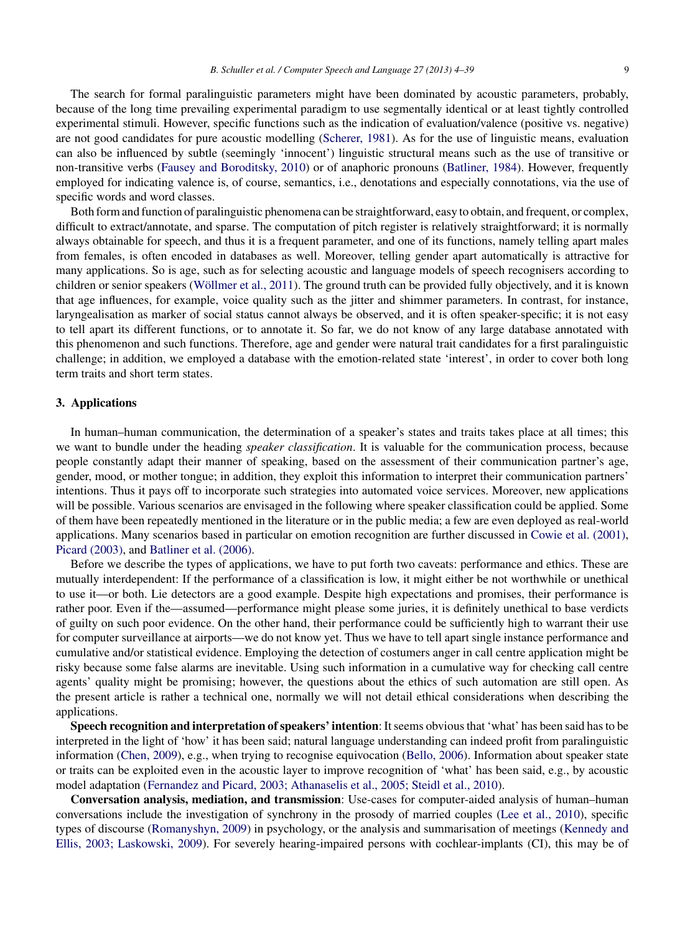<span id="page-5-0"></span>The search for formal paralinguistic parameters might have been dominated by acoustic parameters, probably, because of the long time prevailing experimental paradigm to use segmentally identical or at least tightly controlled experimental stimuli. However, specific functions such as the indication of evaluation/valence (positive vs. negative) are not good candidates for pure acoustic modelling [\(Scherer, 1981\).](#page-32-0) As for the use of linguistic means, evaluation can also be influenced by subtle (seemingly 'innocent') linguistic structural means such as the use of transitive or non-transitive verbs ([Fausey and Boroditsky, 2010\)](#page-28-0) or of anaphoric pronouns [\(Batliner, 1984\).](#page-26-0) However, frequently employed for indicating valence is, of course, semantics, i.e., denotations and especially connotations, via the use of specific words and word classes.

Both form and function of paralinguistic phenomena can be straightforward, easy to obtain, and frequent, or complex, difficult to extract/annotate, and sparse. The computation of pitch register is relatively straightforward; it is normally always obtainable for speech, and thus it is a frequent parameter, and one of its functions, namely telling apart males from females, is often encoded in databases as well. Moreover, telling gender apart automatically is attractive for many applications. So is age, such as for selecting acoustic and language models of speech recognisers according to children or senior speakers [\(Wöllmer et al., 2011\).](#page-34-0) The ground truth can be provided fully objectively, and it is known that age influences, for example, voice quality such as the jitter and shimmer parameters. In contrast, for instance, laryngealisation as marker of social status cannot always be observed, and it is often speaker-specific; it is not easy to tell apart its different functions, or to annotate it. So far, we do not know of any large database annotated with this phenomenon and such functions. Therefore, age and gender were natural trait candidates for a first paralinguistic challenge; in addition, we employed a database with the emotion-related state 'interest', in order to cover both long term traits and short term states.

#### **3. Applications**

In human–human communication, the determination of a speaker's states and traits takes place at all times; this we want to bundle under the heading *speaker classification*. It is valuable for the communication process, because people constantly adapt their manner of speaking, based on the assessment of their communication partner's age, gender, mood, or mother tongue; in addition, they exploit this information to interpret their communication partners' intentions. Thus it pays off to incorporate such strategies into automated voice services. Moreover, new applications will be possible. Various scenarios are envisaged in the following where speaker classification could be applied. Some of them have been repeatedly mentioned in the literature or in the public media; a few are even deployed as real-world applications. Many scenarios based in particular on emotion recognition are further discussed in [Cowie et al. \(2001\),](#page-27-0) [Picard \(2003\),](#page-31-0) and [Batliner et al. \(2006\).](#page-26-0)

Before we describe the types of applications, we have to put forth two caveats: performance and ethics. These are mutually interdependent: If the performance of a classification is low, it might either be not worthwhile or unethical to use it—or both. Lie detectors are a good example. Despite high expectations and promises, their performance is rather poor. Even if the—assumed—performance might please some juries, it is definitely unethical to base verdicts of guilty on such poor evidence. On the other hand, their performance could be sufficiently high to warrant their use for computer surveillance at airports—we do not know yet. Thus we have to tell apart single instance performance and cumulative and/or statistical evidence. Employing the detection of costumers anger in call centre application might be risky because some false alarms are inevitable. Using such information in a cumulative way for checking call centre agents' quality might be promising; however, the questions about the ethics of such automation are still open. As the present article is rather a technical one, normally we will not detail ethical considerations when describing the applications.

**Speech recognition and interpretation of speakers' intention**: It seems obvious that 'what' has been said has to be interpreted in the light of 'how' it has been said; natural language understanding can indeed profit from paralinguistic information ([Chen, 2009\),](#page-27-0) e.g., when trying to recognise equivocation [\(Bello, 2006\).](#page-27-0) Information about speaker state or traits can be exploited even in the acoustic layer to improve recognition of 'what' has been said, e.g., by acoustic model adaptation ([Fernandez and Picard, 2003; Athanaselis et al., 2005; Steidl et al., 2010\).](#page-28-0)

**Conversation analysis, mediation, and transmission**: Use-cases for computer-aided analysis of human–human conversations include the investigation of synchrony in the prosody of married couples [\(Lee et al., 2010\),](#page-29-0) specific types of discourse [\(Romanyshyn, 2009\)](#page-32-0) in psychology, or the analysis and summarisation of meetings ([Kennedy and](#page-29-0) [Ellis, 2003; Laskowski, 2009\).](#page-29-0) For severely hearing-impaired persons with cochlear-implants (CI), this may be of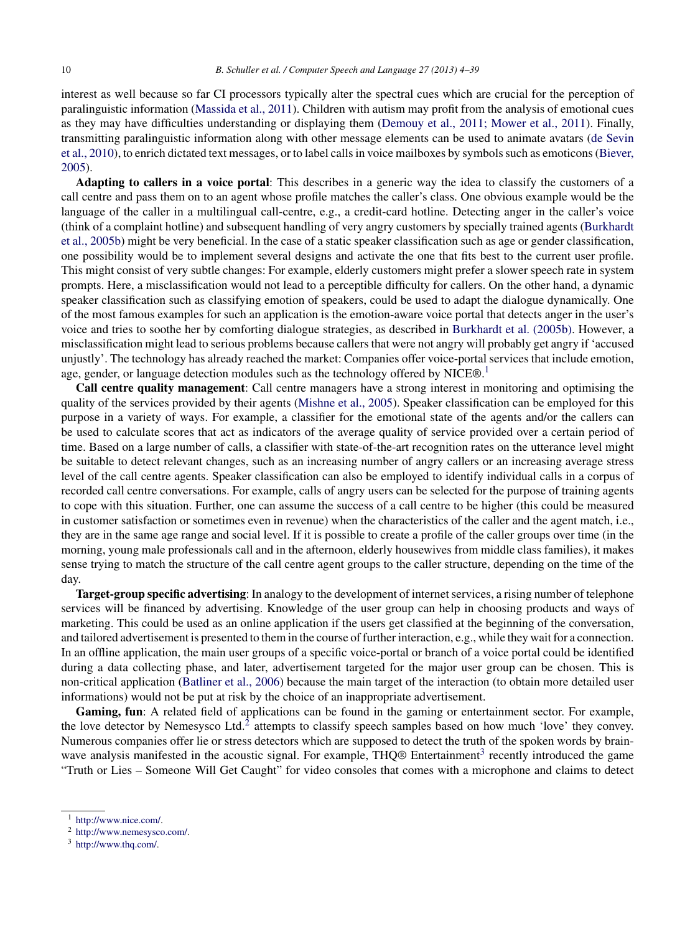interest as well because so far CI processors typically alter the spectral cues which are crucial for the perception of paralinguistic information [\(Massida et al., 2011\).](#page-30-0) Children with autism may profit from the analysis of emotional cues as they may have difficulties understanding or displaying them [\(Demouy et al., 2011; Mower et al., 2011\).](#page-28-0) Finally, transmitting paralinguistic information along with other message elements can be used to animate avatars ([de Sevin](#page-27-0) [et al., 2010\),](#page-27-0) to enrich dictated text messages, or to label calls in voice mailboxes by symbols such as emoticons [\(Biever,](#page-27-0) [2005\).](#page-27-0)

**Adapting to callers in a voice portal**: This describes in a generic way the idea to classify the customers of a call centre and pass them on to an agent whose profile matches the caller's class. One obvious example would be the language of the caller in a multilingual call-centre, e.g., a credit-card hotline. Detecting anger in the caller's voice (think of a complaint hotline) and subsequent handling of very angry customers by specially trained agents [\(Burkhardt](#page-27-0) [et al., 2005b\)](#page-27-0) might be very beneficial. In the case of a static speaker classification such as age or gender classification, one possibility would be to implement several designs and activate the one that fits best to the current user profile. This might consist of very subtle changes: For example, elderly customers might prefer a slower speech rate in system prompts. Here, a misclassification would not lead to a perceptible difficulty for callers. On the other hand, a dynamic speaker classification such as classifying emotion of speakers, could be used to adapt the dialogue dynamically. One of the most famous examples for such an application is the emotion-aware voice portal that detects anger in the user's voice and tries to soothe her by comforting dialogue strategies, as described in [Burkhardt et al. \(2005b\).](#page-27-0) However, a misclassification might lead to serious problems because callers that were not angry will probably get angry if 'accused unjustly'. The technology has already reached the market: Companies offer voice-portal services that include emotion, age, gender, or language detection modules such as the technology offered by NICE®.<sup>1</sup>

**Call centre quality management**: Call centre managers have a strong interest in monitoring and optimising the quality of the services provided by their agents [\(Mishne et al., 2005\).](#page-30-0) Speaker classification can be employed for this purpose in a variety of ways. For example, a classifier for the emotional state of the agents and/or the callers can be used to calculate scores that act as indicators of the average quality of service provided over a certain period of time. Based on a large number of calls, a classifier with state-of-the-art recognition rates on the utterance level might be suitable to detect relevant changes, such as an increasing number of angry callers or an increasing average stress level of the call centre agents. Speaker classification can also be employed to identify individual calls in a corpus of recorded call centre conversations. For example, calls of angry users can be selected for the purpose of training agents to cope with this situation. Further, one can assume the success of a call centre to be higher (this could be measured in customer satisfaction or sometimes even in revenue) when the characteristics of the caller and the agent match, i.e., they are in the same age range and social level. If it is possible to create a profile of the caller groups over time (in the morning, young male professionals call and in the afternoon, elderly housewives from middle class families), it makes sense trying to match the structure of the call centre agent groups to the caller structure, depending on the time of the day.

**Target-group specific advertising**: In analogy to the development of internet services, a rising number of telephone services will be financed by advertising. Knowledge of the user group can help in choosing products and ways of marketing. This could be used as an online application if the users get classified at the beginning of the conversation, and tailored advertisement is presented to them in the course of further interaction, e.g., while they wait for a connection. In an offline application, the main user groups of a specific voice-portal or branch of a voice portal could be identified during a data collecting phase, and later, advertisement targeted for the major user group can be chosen. This is non-critical application ([Batliner et al., 2006\)](#page-26-0) because the main target of the interaction (to obtain more detailed user informations) would not be put at risk by the choice of an inappropriate advertisement.

Gaming, fun: A related field of applications can be found in the gaming or entertainment sector. For example, the love detector by Nemesysco Ltd.<sup>2</sup> attempts to classify speech samples based on how much 'love' they convey. Numerous companies offer lie or stress detectors which are supposed to detect the truth of the spoken words by brainwave analysis manifested in the acoustic signal. For example, THQ® Entertainment<sup>3</sup> recently introduced the game "Truth or Lies – Someone Will Get Caught" for video consoles that comes with a microphone and claims to detect

<sup>1</sup> <http://www.nice.com/>.

<sup>2</sup> [http://www.nemesysco.com/.](http://www.nemesysco.com/)

<sup>3</sup> <http://www.thq.com/>.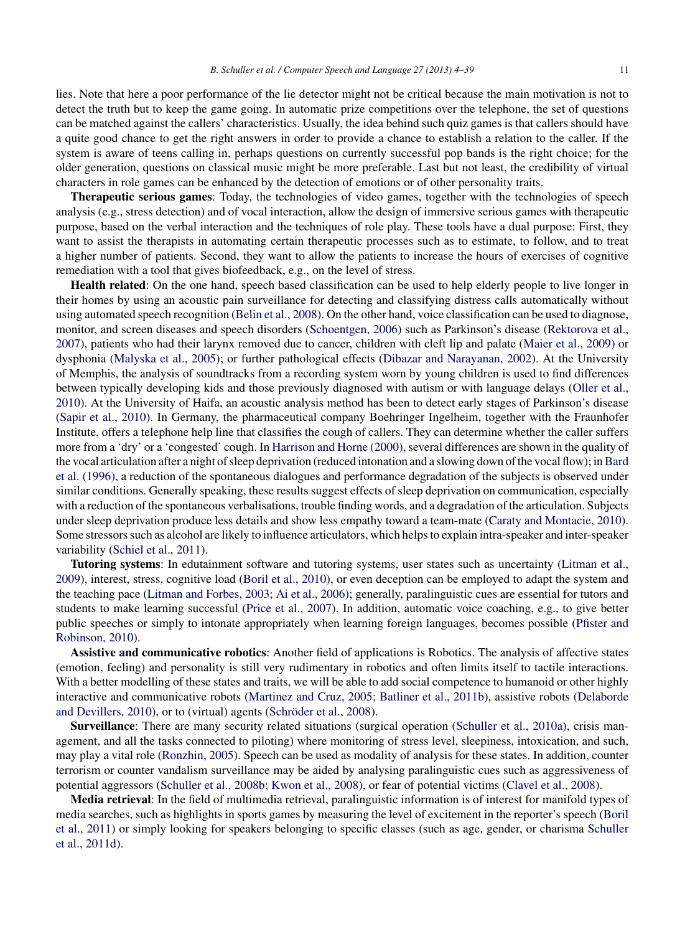lies. Note that here a poor performance of the lie detector might not be critical because the main motivation is not to detect the truth but to keep the game going. In automatic prize competitions over the telephone, the set of questions can be matched against the callers' characteristics. Usually, the idea behind such quiz games is that callers should have a quite good chance to get the right answers in order to provide a chance to establish a relation to the caller. If the system is aware of teens calling in, perhaps questions on currently successful pop bands is the right choice; for the older generation, questions on classical music might be more preferable. Last but not least, the credibility of virtual characters in role games can be enhanced by the detection of emotions or of other personality traits.

**Therapeutic serious games**: Today, the technologies of video games, together with the technologies of speech analysis (e.g., stress detection) and of vocal interaction, allow the design of immersive serious games with therapeutic purpose, based on the verbal interaction and the techniques of role play. These tools have a dual purpose: First, they want to assist the therapists in automating certain therapeutic processes such as to estimate, to follow, and to treat a higher number of patients. Second, they want to allow the patients to increase the hours of exercises of cognitive remediation with a tool that gives biofeedback, e.g., on the level of stress.

**Health related**: On the one hand, speech based classification can be used to help elderly people to live longer in their homes by using an acoustic pain surveillance for detecting and classifying distress calls automatically without using automated speech recognition [\(Belin et al., 2008\).](#page-27-0) On the other hand, voice classification can be used to diagnose, monitor, and screen diseases and speech disorders ([Schoentgen, 2006\)](#page-32-0) such as Parkinson's disease [\(Rektorova et al.,](#page-32-0) [2007\),](#page-32-0) patients who had their larynx removed due to cancer, children with cleft lip and palate ([Maier et al., 2009\)](#page-30-0) or dysphonia [\(Malyska et al., 2005\);](#page-30-0) or further pathological effects [\(Dibazar and Narayanan, 2002\).](#page-28-0) At the University of Memphis, the analysis of soundtracks from a recording system worn by young children is used to find differences between typically developing kids and those previously diagnosed with autism or with language delays ([Oller et al.,](#page-31-0) [2010\).](#page-31-0) At the University of Haifa, an acoustic analysis method has been to detect early stages of Parkinson's disease [\(Sapir et al., 2010\).](#page-32-0) In Germany, the pharmaceutical company Boehringer Ingelheim, together with the Fraunhofer Institute, offers a telephone help line that classifies the cough of callers. They can determine whether the caller suffers more from a 'dry' or a 'congested' cough. In [Harrison and Horne \(2000\), s](#page-29-0)everal differences are shown in the quality of the vocal articulation after a night of sleep deprivation (reduced intonation and a slowing down of the vocal flow); in [Bard](#page-26-0) [et al. \(1996\),](#page-26-0) a reduction of the spontaneous dialogues and performance degradation of the subjects is observed under similar conditions. Generally speaking, these results suggest effects of sleep deprivation on communication, especially with a reduction of the spontaneous verbalisations, trouble finding words, and a degradation of the articulation. Subjects under sleep deprivation produce less details and show less empathy toward a team-mate ([Caraty and Montacie, 2010\).](#page-27-0) Some stressors such as alcohol are likely to influence articulators, which helps to explain intra-speaker and inter-speaker variability [\(Schiel et al., 2011\).](#page-32-0)

**Tutoring systems**: In edutainment software and tutoring systems, user states such as uncertainty ([Litman et al.,](#page-30-0) [2009\),](#page-30-0) interest, stress, cognitive load [\(Boril et al., 2010\),](#page-27-0) or even deception can be employed to adapt the system and the teaching pace [\(Litman and Forbes, 2003; Ai et al., 2006\);](#page-30-0) generally, paralinguistic cues are essential for tutors and students to make learning successful [\(Price et al., 2007\).](#page-31-0) In addition, automatic voice coaching, e.g., to give better public speeches or simply to intonate appropriately when learning foreign languages, becomes possible [\(Pfister and](#page-31-0) [Robinson, 2010\).](#page-31-0)

**Assistive and communicative robotics**: Another field of applications is Robotics. The analysis of affective states (emotion, feeling) and personality is still very rudimentary in robotics and often limits itself to tactile interactions. With a better modelling of these states and traits, we will be able to add social competence to humanoid or other highly interactive and communicative robots ([Martinez and Cruz, 2005; Batliner et al., 2011b\),](#page-30-0) assistive robots ([Delaborde](#page-27-0) [and Devillers, 2010\),](#page-27-0) or to (virtual) agents ([Schröder et al., 2008\).](#page-32-0)

**Surveillance**: There are many security related situations (surgical operation ([Schuller et al., 2010a\),](#page-32-0) crisis management, and all the tasks connected to piloting) where monitoring of stress level, sleepiness, intoxication, and such, may play a vital role [\(Ronzhin, 2005\).](#page-32-0) Speech can be used as modality of analysis for these states. In addition, counter terrorism or counter vandalism surveillance may be aided by analysing paralinguistic cues such as aggressiveness of potential aggressors [\(Schuller et al., 2008b; Kwon et al., 2008\),](#page-33-0) or fear of potential victims ([Clavel et al., 2008\).](#page-27-0)

**Media retrieval**: In the field of multimedia retrieval, paralinguistic information is of interest for manifold types of media searches, such as highlights in sports games by measuring the level of excitement in the reporter's speech ([Boril](#page-27-0) [et al., 2011\)](#page-27-0) or simply looking for speakers belonging to specific classes (such as age, gender, or charisma [Schuller](#page-33-0) [et al., 2011d\).](#page-33-0)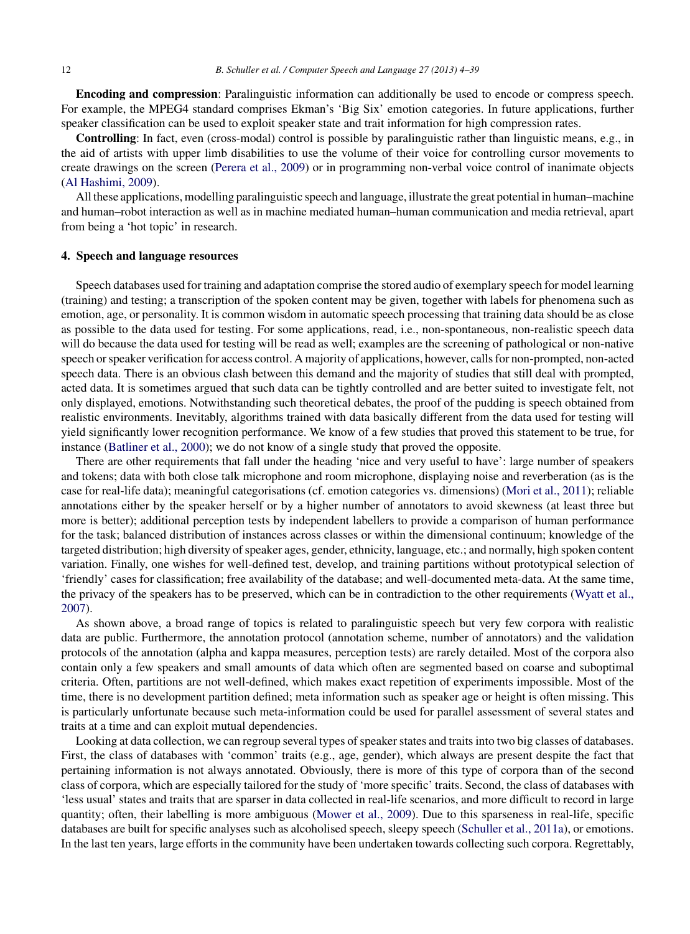<span id="page-8-0"></span>**Encoding and compression**: Paralinguistic information can additionally be used to encode or compress speech. For example, the MPEG4 standard comprises Ekman's 'Big Six' emotion categories. In future applications, further speaker classification can be used to exploit speaker state and trait information for high compression rates.

**Controlling**: In fact, even (cross-modal) control is possible by paralinguistic rather than linguistic means, e.g., in the aid of artists with upper limb disabilities to use the volume of their voice for controlling cursor movements to create drawings on the screen ([Perera et al., 2009\)](#page-31-0) or in programming non-verbal voice control of inanimate objects ([Al Hashimi, 2009\).](#page-26-0)

All these applications, modelling paralinguistic speech and language, illustrate the great potential in human–machine and human–robot interaction as well as in machine mediated human–human communication and media retrieval, apart from being a 'hot topic' in research.

# **4. Speech and language resources**

Speech databases used for training and adaptation comprise the stored audio of exemplary speech for model learning (training) and testing; a transcription of the spoken content may be given, together with labels for phenomena such as emotion, age, or personality. It is common wisdom in automatic speech processing that training data should be as close as possible to the data used for testing. For some applications, read, i.e., non-spontaneous, non-realistic speech data will do because the data used for testing will be read as well; examples are the screening of pathological or non-native speech or speaker verification for access control. A majority of applications, however, calls for non-prompted, non-acted speech data. There is an obvious clash between this demand and the majority of studies that still deal with prompted, acted data. It is sometimes argued that such data can be tightly controlled and are better suited to investigate felt, not only displayed, emotions. Notwithstanding such theoretical debates, the proof of the pudding is speech obtained from realistic environments. Inevitably, algorithms trained with data basically different from the data used for testing will yield significantly lower recognition performance. We know of a few studies that proved this statement to be true, for instance ([Batliner et al., 2000\);](#page-26-0) we do not know of a single study that proved the opposite.

There are other requirements that fall under the heading 'nice and very useful to have': large number of speakers and tokens; data with both close talk microphone and room microphone, displaying noise and reverberation (as is the case for real-life data); meaningful categorisations (cf. emotion categories vs. dimensions) [\(Mori et al., 2011\);](#page-30-0) reliable annotations either by the speaker herself or by a higher number of annotators to avoid skewness (at least three but more is better); additional perception tests by independent labellers to provide a comparison of human performance for the task; balanced distribution of instances across classes or within the dimensional continuum; knowledge of the targeted distribution; high diversity of speaker ages, gender, ethnicity, language, etc.; and normally, high spoken content variation. Finally, one wishes for well-defined test, develop, and training partitions without prototypical selection of 'friendly' cases for classification; free availability of the database; and well-documented meta-data. At the same time, the privacy of the speakers has to be preserved, which can be in contradiction to the other requirements [\(Wyatt et al.,](#page-34-0) [2007\).](#page-34-0)

As shown above, a broad range of topics is related to paralinguistic speech but very few corpora with realistic data are public. Furthermore, the annotation protocol (annotation scheme, number of annotators) and the validation protocols of the annotation (alpha and kappa measures, perception tests) are rarely detailed. Most of the corpora also contain only a few speakers and small amounts of data which often are segmented based on coarse and suboptimal criteria. Often, partitions are not well-defined, which makes exact repetition of experiments impossible. Most of the time, there is no development partition defined; meta information such as speaker age or height is often missing. This is particularly unfortunate because such meta-information could be used for parallel assessment of several states and traits at a time and can exploit mutual dependencies.

Looking at data collection, we can regroup several types of speaker states and traits into two big classes of databases. First, the class of databases with 'common' traits (e.g., age, gender), which always are present despite the fact that pertaining information is not always annotated. Obviously, there is more of this type of corpora than of the second class of corpora, which are especially tailored for the study of 'more specific' traits. Second, the class of databases with 'less usual' states and traits that are sparser in data collected in real-life scenarios, and more difficult to record in large quantity; often, their labelling is more ambiguous [\(Mower et al., 2009\).](#page-30-0) Due to this sparseness in real-life, specific databases are built for specific analyses such as alcoholised speech, sleepy speech [\(Schuller et al., 2011a\),](#page-32-0) or emotions. In the last ten years, large efforts in the community have been undertaken towards collecting such corpora. Regrettably,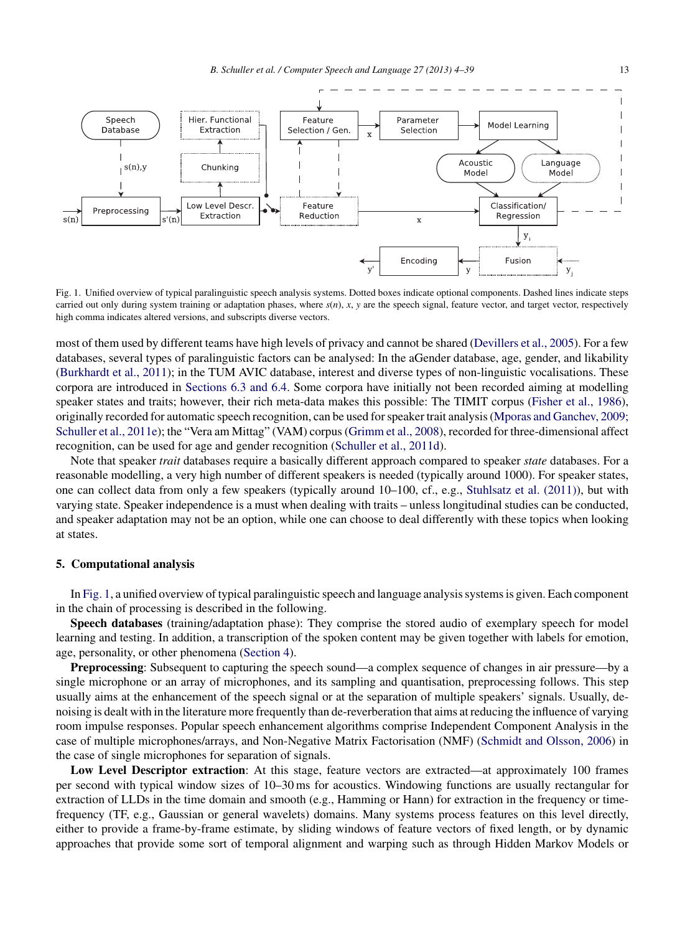<span id="page-9-0"></span>

Fig. 1. Unified overview of typical paralinguistic speech analysis systems. Dotted boxes indicate optional components. Dashed lines indicate steps carried out only during system training or adaptation phases, where  $s(n)$ ,  $x$ ,  $y$  are the speech signal, feature vector, and target vector, respectively high comma indicates altered versions, and subscripts diverse vectors.

most of them used by different teams have high levels of privacy and cannot be shared [\(Devillers et al., 2005\).](#page-28-0) For a few databases, several types of paralinguistic factors can be analysed: In the aGender database, age, gender, and likability [\(Burkhardt et al., 2011\);](#page-27-0) in the TUM AVIC database, interest and diverse types of non-linguistic vocalisations. These corpora are introduced in [Sections 6.3 and 6.4.](#page-15-0) Some corpora have initially not been recorded aiming at modelling speaker states and traits; however, their rich meta-data makes this possible: The TIMIT corpus [\(Fisher et al., 1986\),](#page-28-0) originally recorded for automatic speech recognition, can be used for speaker trait analysis ([Mporas and Ganchev, 2009;](#page-31-0) [Schuller et al., 2011e\);](#page-31-0) the "Vera am Mittag" (VAM) corpus [\(Grimm et al., 2008\),](#page-29-0) recorded for three-dimensional affect recognition, can be used for age and gender recognition [\(Schuller et al., 2011d\).](#page-33-0)

Note that speaker *trait* databases require a basically different approach compared to speaker *state* databases. For a reasonable modelling, a very high number of different speakers is needed (typically around 1000). For speaker states, one can collect data from only a few speakers (typically around 10–100, cf., e.g., [Stuhlsatz et al. \(2011\)\),](#page-33-0) but with varying state. Speaker independence is a must when dealing with traits – unless longitudinal studies can be conducted, and speaker adaptation may not be an option, while one can choose to deal differently with these topics when looking at states.

# **5. Computational analysis**

In Fig. 1, a unified overview of typical paralinguistic speech and language analysis systems is given. Each component in the chain of processing is described in the following.

**Speech databases** (training/adaptation phase): They comprise the stored audio of exemplary speech for model learning and testing. In addition, a transcription of the spoken content may be given together with labels for emotion, age, personality, or other phenomena ([Section 4\).](#page-8-0)

**Preprocessing**: Subsequent to capturing the speech sound—a complex sequence of changes in air pressure—by a single microphone or an array of microphones, and its sampling and quantisation, preprocessing follows. This step usually aims at the enhancement of the speech signal or at the separation of multiple speakers' signals. Usually, denoising is dealt with in the literature more frequently than de-reverberation that aims at reducing the influence of varying room impulse responses. Popular speech enhancement algorithms comprise Independent Component Analysis in the case of multiple microphones/arrays, and Non-Negative Matrix Factorisation (NMF) [\(Schmidt and Olsson, 2006\)](#page-32-0) in the case of single microphones for separation of signals.

**Low Level Descriptor extraction**: At this stage, feature vectors are extracted—at approximately 100 frames per second with typical window sizes of 10–30 ms for acoustics. Windowing functions are usually rectangular for extraction of LLDs in the time domain and smooth (e.g., Hamming or Hann) for extraction in the frequency or timefrequency (TF, e.g., Gaussian or general wavelets) domains. Many systems process features on this level directly, either to provide a frame-by-frame estimate, by sliding windows of feature vectors of fixed length, or by dynamic approaches that provide some sort of temporal alignment and warping such as through Hidden Markov Models or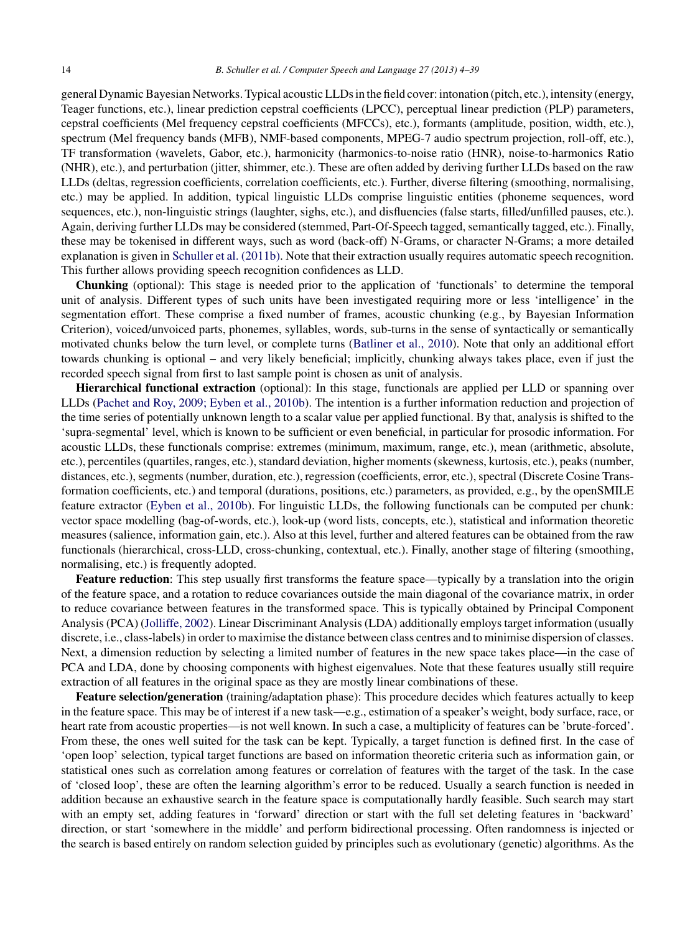general Dynamic Bayesian Networks. Typical acoustic LLDs in the field cover: intonation (pitch, etc.), intensity (energy, Teager functions, etc.), linear prediction cepstral coefficients (LPCC), perceptual linear prediction (PLP) parameters, cepstral coefficients (Mel frequency cepstral coefficients (MFCCs), etc.), formants (amplitude, position, width, etc.), spectrum (Mel frequency bands (MFB), NMF-based components, MPEG-7 audio spectrum projection, roll-off, etc.), TF transformation (wavelets, Gabor, etc.), harmonicity (harmonics-to-noise ratio (HNR), noise-to-harmonics Ratio (NHR), etc.), and perturbation (jitter, shimmer, etc.). These are often added by deriving further LLDs based on the raw LLDs (deltas, regression coefficients, correlation coefficients, etc.). Further, diverse filtering (smoothing, normalising, etc.) may be applied. In addition, typical linguistic LLDs comprise linguistic entities (phoneme sequences, word sequences, etc.), non-linguistic strings (laughter, sighs, etc.), and disfluencies (false starts, filled/unfilled pauses, etc.). Again, deriving further LLDs may be considered (stemmed, Part-Of-Speech tagged, semantically tagged, etc.). Finally, these may be tokenised in different ways, such as word (back-off) N-Grams, or character N-Grams; a more detailed explanation is given in [Schuller et al. \(2011b\). N](#page-32-0)ote that their extraction usually requires automatic speech recognition. This further allows providing speech recognition confidences as LLD.

**Chunking** (optional): This stage is needed prior to the application of 'functionals' to determine the temporal unit of analysis. Different types of such units have been investigated requiring more or less 'intelligence' in the segmentation effort. These comprise a fixed number of frames, acoustic chunking (e.g., by Bayesian Information Criterion), voiced/unvoiced parts, phonemes, syllables, words, sub-turns in the sense of syntactically or semantically motivated chunks below the turn level, or complete turns ([Batliner et al., 2010\).](#page-26-0) Note that only an additional effort towards chunking is optional – and very likely beneficial; implicitly, chunking always takes place, even if just the recorded speech signal from first to last sample point is chosen as unit of analysis.

**Hierarchical functional extraction** (optional): In this stage, functionals are applied per LLD or spanning over LLDs [\(Pachet and Roy, 2009; Eyben et al., 2010b\).](#page-31-0) The intention is a further information reduction and projection of the time series of potentially unknown length to a scalar value per applied functional. By that, analysis is shifted to the 'supra-segmental' level, which is known to be sufficient or even beneficial, in particular for prosodic information. For acoustic LLDs, these functionals comprise: extremes (minimum, maximum, range, etc.), mean (arithmetic, absolute, etc.), percentiles (quartiles, ranges, etc.), standard deviation, higher moments (skewness, kurtosis, etc.), peaks (number, distances, etc.), segments (number, duration, etc.), regression (coefficients, error, etc.), spectral (Discrete Cosine Transformation coefficients, etc.) and temporal (durations, positions, etc.) parameters, as provided, e.g., by the openSMILE feature extractor ([Eyben et al., 2010b\).](#page-28-0) For linguistic LLDs, the following functionals can be computed per chunk: vector space modelling (bag-of-words, etc.), look-up (word lists, concepts, etc.), statistical and information theoretic measures (salience, information gain, etc.). Also at this level, further and altered features can be obtained from the raw functionals (hierarchical, cross-LLD, cross-chunking, contextual, etc.). Finally, another stage of filtering (smoothing, normalising, etc.) is frequently adopted.

**Feature reduction**: This step usually first transforms the feature space—typically by a translation into the origin of the feature space, and a rotation to reduce covariances outside the main diagonal of the covariance matrix, in order to reduce covariance between features in the transformed space. This is typically obtained by Principal Component Analysis (PCA) [\(Jolliffe, 2002\).](#page-29-0) Linear Discriminant Analysis (LDA) additionally employs target information (usually discrete, i.e., class-labels) in order to maximise the distance between class centres and to minimise dispersion of classes. Next, a dimension reduction by selecting a limited number of features in the new space takes place—in the case of PCA and LDA, done by choosing components with highest eigenvalues. Note that these features usually still require extraction of all features in the original space as they are mostly linear combinations of these.

**Feature selection/generation** (training/adaptation phase): This procedure decides which features actually to keep in the feature space. This may be of interest if a new task—e.g., estimation of a speaker's weight, body surface, race, or heart rate from acoustic properties—is not well known. In such a case, a multiplicity of features can be 'brute-forced'. From these, the ones well suited for the task can be kept. Typically, a target function is defined first. In the case of 'open loop' selection, typical target functions are based on information theoretic criteria such as information gain, or statistical ones such as correlation among features or correlation of features with the target of the task. In the case of 'closed loop', these are often the learning algorithm's error to be reduced. Usually a search function is needed in addition because an exhaustive search in the feature space is computationally hardly feasible. Such search may start with an empty set, adding features in 'forward' direction or start with the full set deleting features in 'backward' direction, or start 'somewhere in the middle' and perform bidirectional processing. Often randomness is injected or the search is based entirely on random selection guided by principles such as evolutionary (genetic) algorithms. As the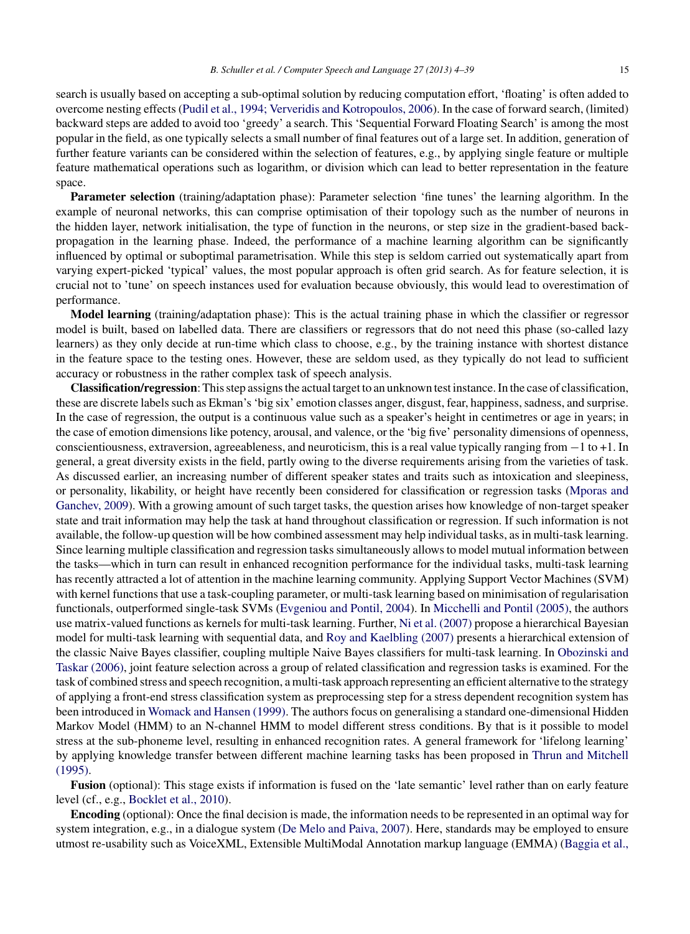search is usually based on accepting a sub-optimal solution by reducing computation effort, 'floating' is often added to overcome nesting effects [\(Pudil et al., 1994; Ververidis and Kotropoulos, 2006\).](#page-31-0) In the case of forward search, (limited) backward steps are added to avoid too 'greedy' a search. This 'Sequential Forward Floating Search' is among the most popular in the field, as one typically selects a small number of final features out of a large set. In addition, generation of further feature variants can be considered within the selection of features, e.g., by applying single feature or multiple feature mathematical operations such as logarithm, or division which can lead to better representation in the feature

**Parameter selection** (training/adaptation phase): Parameter selection 'fine tunes' the learning algorithm. In the example of neuronal networks, this can comprise optimisation of their topology such as the number of neurons in the hidden layer, network initialisation, the type of function in the neurons, or step size in the gradient-based backpropagation in the learning phase. Indeed, the performance of a machine learning algorithm can be significantly influenced by optimal or suboptimal parametrisation. While this step is seldom carried out systematically apart from varying expert-picked 'typical' values, the most popular approach is often grid search. As for feature selection, it is crucial not to 'tune' on speech instances used for evaluation because obviously, this would lead to overestimation of performance.

space.

**Model learning** (training/adaptation phase): This is the actual training phase in which the classifier or regressor model is built, based on labelled data. There are classifiers or regressors that do not need this phase (so-called lazy learners) as they only decide at run-time which class to choose, e.g., by the training instance with shortest distance in the feature space to the testing ones. However, these are seldom used, as they typically do not lead to sufficient accuracy or robustness in the rather complex task of speech analysis.

**Classification/regression**: This step assigns the actual target to an unknown test instance. In the case of classification, these are discrete labels such as Ekman's 'big six' emotion classes anger, disgust, fear, happiness, sadness, and surprise. In the case of regression, the output is a continuous value such as a speaker's height in centimetres or age in years; in the case of emotion dimensions like potency, arousal, and valence, or the 'big five' personality dimensions of openness, conscientiousness, extraversion, agreeableness, and neuroticism, this is a real value typically ranging from −1 to +1. In general, a great diversity exists in the field, partly owing to the diverse requirements arising from the varieties of task. As discussed earlier, an increasing number of different speaker states and traits such as intoxication and sleepiness, or personality, likability, or height have recently been considered for classification or regression tasks [\(Mporas and](#page-31-0) [Ganchev, 2009\).](#page-31-0) With a growing amount of such target tasks, the question arises how knowledge of non-target speaker state and trait information may help the task at hand throughout classification or regression. If such information is not available, the follow-up question will be how combined assessment may help individual tasks, as in multi-task learning. Since learning multiple classification and regression tasks simultaneously allows to model mutual information between the tasks—which in turn can result in enhanced recognition performance for the individual tasks, multi-task learning has recently attracted a lot of attention in the machine learning community. Applying Support Vector Machines (SVM) with kernel functions that use a task-coupling parameter, or multi-task learning based on minimisation of regularisation functionals, outperformed single-task SVMs [\(Evgeniou and Pontil, 2004\).](#page-28-0) In [Micchelli and Pontil \(2005\),](#page-30-0) the authors use matrix-valued functions as kernels for multi-task learning. Further, [Ni et al. \(2007\)](#page-31-0) propose a hierarchical Bayesian model for multi-task learning with sequential data, and [Roy and Kaelbling \(2007\)](#page-32-0) presents a hierarchical extension of the classic Naive Bayes classifier, coupling multiple Naive Bayes classifiers for multi-task learning. In [Obozinski and](#page-31-0) [Taskar \(2006\),](#page-31-0) joint feature selection across a group of related classification and regression tasks is examined. For the task of combined stress and speech recognition, a multi-task approach representing an efficient alternative to the strategy of applying a front-end stress classification system as preprocessing step for a stress dependent recognition system has been introduced in [Womack and Hansen \(1999\). T](#page-34-0)he authors focus on generalising a standard one-dimensional Hidden Markov Model (HMM) to an N-channel HMM to model different stress conditions. By that is it possible to model stress at the sub-phoneme level, resulting in enhanced recognition rates. A general framework for 'lifelong learning' by applying knowledge transfer between different machine learning tasks has been proposed in [Thrun and Mitchell](#page-33-0) [\(1995\).](#page-33-0)

**Fusion** (optional): This stage exists if information is fused on the 'late semantic' level rather than on early feature level (cf., e.g., [Bocklet et al., 2010\).](#page-27-0)

**Encoding** (optional): Once the final decision is made, the information needs to be represented in an optimal way for system integration, e.g., in a dialogue system [\(De Melo and Paiva, 2007\).](#page-27-0) Here, standards may be employed to ensure utmost re-usability such as VoiceXML, Extensible MultiModal Annotation markup language (EMMA) [\(Baggia et al.,](#page-26-0)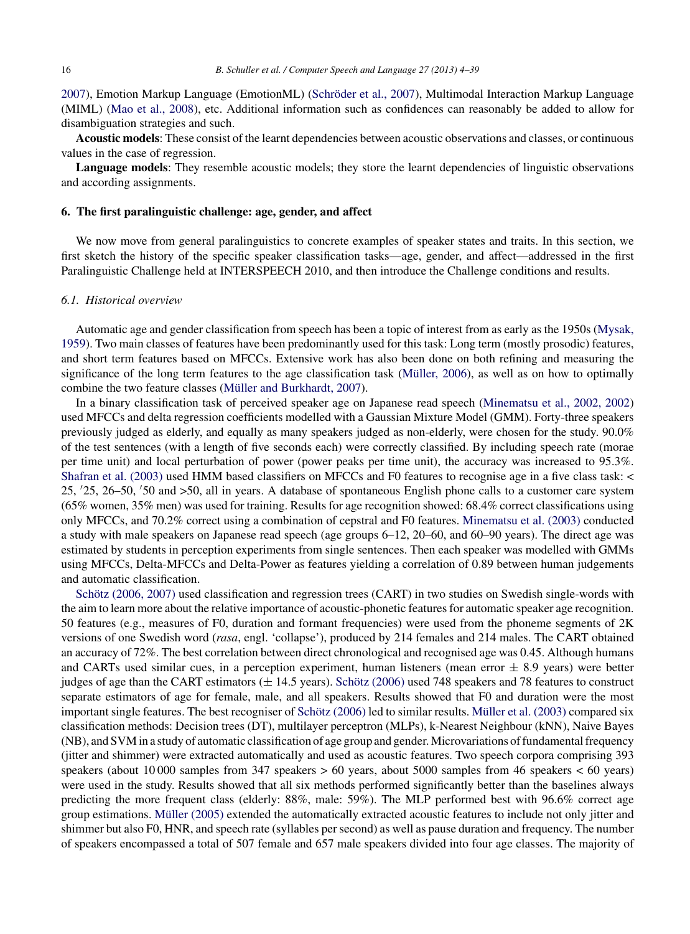<span id="page-12-0"></span>[2007\),](#page-26-0) Emotion Markup Language (EmotionML) ([Schröder et al., 2007\),](#page-32-0) Multimodal Interaction Markup Language (MIML) ([Mao et al., 2008\),](#page-30-0) etc. Additional information such as confidences can reasonably be added to allow for disambiguation strategies and such.

**Acoustic models**: These consist of the learnt dependencies between acoustic observations and classes, or continuous values in the case of regression.

**Language models**: They resemble acoustic models; they store the learnt dependencies of linguistic observations and according assignments.

## **6. The first paralinguistic challenge: age, gender, and affect**

We now move from general paralinguistics to concrete examples of speaker states and traits. In this section, we first sketch the history of the specific speaker classification tasks—age, gender, and affect—addressed in the first Paralinguistic Challenge held at INTERSPEECH 2010, and then introduce the Challenge conditions and results.

## *6.1. Historical overview*

Automatic age and gender classification from speech has been a topic of interest from as early as the 1950s ([Mysak,](#page-31-0) [1959\).](#page-31-0) Two main classes of features have been predominantly used for this task: Long term (mostly prosodic) features, and short term features based on MFCCs. Extensive work has also been done on both refining and measuring the significance of the long term features to the age classification task [\(Müller, 2006\),](#page-31-0) as well as on how to optimally combine the two feature classes ([Müller and Burkhardt, 2007\).](#page-31-0)

In a binary classification task of perceived speaker age on Japanese read speech ([Minematsu et al., 2002, 2002\)](#page-30-0) used MFCCs and delta regression coefficients modelled with a Gaussian Mixture Model (GMM). Forty-three speakers previously judged as elderly, and equally as many speakers judged as non-elderly, were chosen for the study. 90.0% of the test sentences (with a length of five seconds each) were correctly classified. By including speech rate (morae per time unit) and local perturbation of power (power peaks per time unit), the accuracy was increased to 95.3%. [Shafran et al. \(2003\)](#page-33-0) used HMM based classifiers on MFCCs and F0 features to recognise age in a five class task: < 25, 25, 26–50, 50 and >50, all in years. A database of spontaneous English phone calls to a customer care system (65% women, 35% men) was used for training. Results for age recognition showed: 68.4% correct classifications using only MFCCs, and 70.2% correct using a combination of cepstral and F0 features. [Minematsu et al. \(2003\)](#page-30-0) conducted a study with male speakers on Japanese read speech (age groups 6–12, 20–60, and 60–90 years). The direct age was estimated by students in perception experiments from single sentences. Then each speaker was modelled with GMMs using MFCCs, Delta-MFCCs and Delta-Power as features yielding a correlation of 0.89 between human judgements and automatic classification.

[Schötz \(2006, 2007\)](#page-32-0) used classification and regression trees (CART) in two studies on Swedish single-words with the aim to learn more about the relative importance of acoustic-phonetic features for automatic speaker age recognition. 50 features (e.g., measures of F0, duration and formant frequencies) were used from the phoneme segments of 2K versions of one Swedish word (*rasa*, engl. 'collapse'), produced by 214 females and 214 males. The CART obtained an accuracy of 72%. The best correlation between direct chronological and recognised age was 0.45. Although humans and CARTs used similar cues, in a perception experiment, human listeners (mean error  $\pm$  8.9 years) were better judges of age than the CART estimators  $(\pm 14.5 \text{ years})$ . [Schötz \(2006\)](#page-32-0) used 748 speakers and 78 features to construct separate estimators of age for female, male, and all speakers. Results showed that F0 and duration were the most important single features. The best recogniser of [Schötz \(2006\)](#page-32-0) led to similar results. [Müller et al. \(2003\)](#page-31-0) compared six classification methods: Decision trees (DT), multilayer perceptron (MLPs), k-Nearest Neighbour (kNN), Naive Bayes (NB), and SVM in a study of automatic classification of age group and gender. Microvariations of fundamental frequency (jitter and shimmer) were extracted automatically and used as acoustic features. Two speech corpora comprising 393 speakers (about 10 000 samples from 347 speakers > 60 years, about 5000 samples from 46 speakers < 60 years) were used in the study. Results showed that all six methods performed significantly better than the baselines always predicting the more frequent class (elderly: 88%, male: 59%). The MLP performed best with 96.6% correct age group estimations. [Müller \(2005\)](#page-31-0) extended the automatically extracted acoustic features to include not only jitter and shimmer but also F0, HNR, and speech rate (syllables per second) as well as pause duration and frequency. The number of speakers encompassed a total of 507 female and 657 male speakers divided into four age classes. The majority of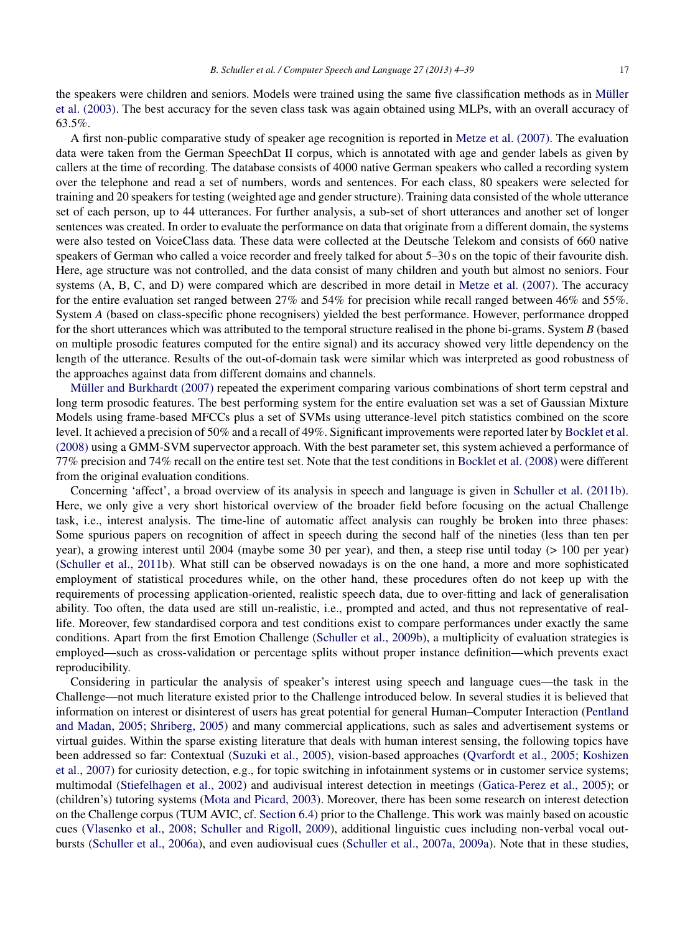the speakers were children and seniors. Models were trained using the same five classification methods as in [Müller](#page-31-0) [et al. \(2003\).](#page-31-0) The best accuracy for the seven class task was again obtained using MLPs, with an overall accuracy of 63.5%.

A first non-public comparative study of speaker age recognition is reported in [Metze et al. \(2007\).](#page-30-0) The evaluation data were taken from the German SpeechDat II corpus, which is annotated with age and gender labels as given by callers at the time of recording. The database consists of 4000 native German speakers who called a recording system over the telephone and read a set of numbers, words and sentences. For each class, 80 speakers were selected for training and 20 speakers for testing (weighted age and gender structure). Training data consisted of the whole utterance set of each person, up to 44 utterances. For further analysis, a sub-set of short utterances and another set of longer sentences was created. In order to evaluate the performance on data that originate from a different domain, the systems were also tested on VoiceClass data. These data were collected at the Deutsche Telekom and consists of 660 native speakers of German who called a voice recorder and freely talked for about 5–30 s on the topic of their favourite dish. Here, age structure was not controlled, and the data consist of many children and youth but almost no seniors. Four systems (A, B, C, and D) were compared which are described in more detail in [Metze et al. \(2007\).](#page-30-0) The accuracy for the entire evaluation set ranged between 27% and 54% for precision while recall ranged between 46% and 55%. System *A* (based on class-specific phone recognisers) yielded the best performance. However, performance dropped for the short utterances which was attributed to the temporal structure realised in the phone bi-grams. System *B* (based on multiple prosodic features computed for the entire signal) and its accuracy showed very little dependency on the length of the utterance. Results of the out-of-domain task were similar which was interpreted as good robustness of the approaches against data from different domains and channels.

[Müller and Burkhardt \(2007\)](#page-31-0) repeated the experiment comparing various combinations of short term cepstral and long term prosodic features. The best performing system for the entire evaluation set was a set of Gaussian Mixture Models using frame-based MFCCs plus a set of SVMs using utterance-level pitch statistics combined on the score level. It achieved a precision of 50% and a recall of 49%. Significant improvements were reported later by [Bocklet et al.](#page-27-0) [\(2008\)](#page-27-0) using a GMM-SVM supervector approach. With the best parameter set, this system achieved a performance of 77% precision and 74% recall on the entire test set. Note that the test conditions in [Bocklet et al. \(2008\)](#page-27-0) were different from the original evaluation conditions.

Concerning 'affect', a broad overview of its analysis in speech and language is given in [Schuller et al. \(2011b\).](#page-32-0) Here, we only give a very short historical overview of the broader field before focusing on the actual Challenge task, i.e., interest analysis. The time-line of automatic affect analysis can roughly be broken into three phases: Some spurious papers on recognition of affect in speech during the second half of the nineties (less than ten per year), a growing interest until 2004 (maybe some 30 per year), and then, a steep rise until today (> 100 per year) [\(Schuller et al., 2011b\).](#page-32-0) What still can be observed nowadays is on the one hand, a more and more sophisticated employment of statistical procedures while, on the other hand, these procedures often do not keep up with the requirements of processing application-oriented, realistic speech data, due to over-fitting and lack of generalisation ability. Too often, the data used are still un-realistic, i.e., prompted and acted, and thus not representative of reallife. Moreover, few standardised corpora and test conditions exist to compare performances under exactly the same conditions. Apart from the first Emotion Challenge [\(Schuller et al., 2009b\),](#page-33-0) a multiplicity of evaluation strategies is employed—such as cross-validation or percentage splits without proper instance definition—which prevents exact reproducibility.

Considering in particular the analysis of speaker's interest using speech and language cues—the task in the Challenge—not much literature existed prior to the Challenge introduced below. In several studies it is believed that information on interest or disinterest of users has great potential for general Human–Computer Interaction [\(Pentland](#page-31-0) [and Madan, 2005; Shriberg, 2005\)](#page-31-0) and many commercial applications, such as sales and advertisement systems or virtual guides. Within the sparse existing literature that deals with human interest sensing, the following topics have been addressed so far: Contextual ([Suzuki et al., 2005\),](#page-33-0) vision-based approaches ([Qvarfordt et al., 2005; Koshizen](#page-31-0) [et al., 2007\)](#page-31-0) for curiosity detection, e.g., for topic switching in infotainment systems or in customer service systems; multimodal ([Stiefelhagen et al., 2002\)](#page-33-0) and audivisual interest detection in meetings [\(Gatica-Perez et al., 2005\);](#page-28-0) or (children's) tutoring systems ([Mota and Picard, 2003\).](#page-30-0) Moreover, there has been some research on interest detection on the Challenge corpus (TUM AVIC, cf. [Section 6.4\)](#page-20-0) prior to the Challenge. This work was mainly based on acoustic cues [\(Vlasenko et al., 2008; Schuller and Rigoll, 2009\),](#page-34-0) additional linguistic cues including non-verbal vocal outbursts ([Schuller et al., 2006a\),](#page-32-0) and even audiovisual cues ([Schuller et al., 2007a, 2009a\).](#page-33-0) Note that in these studies,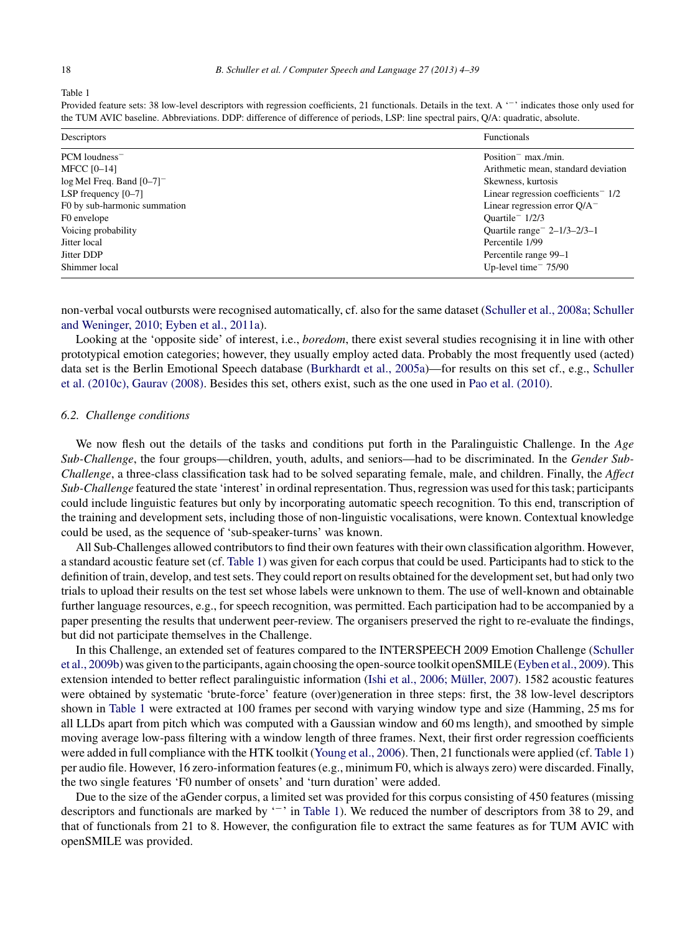Provided feature sets: 38 low-level descriptors with regression coefficients, 21 functionals. Details in the text. A '−' indicates those only used for the TUM AVIC baseline. Abbreviations. DDP: difference of difference of periods, LSP: line spectral pairs, Q/A: quadratic, absolute.

| Descriptors                                | <b>Functionals</b>                                          |
|--------------------------------------------|-------------------------------------------------------------|
| PCM loudness <sup>-</sup>                  | Position $^-$ max./min.                                     |
| <b>MFCC</b> [0-14]                         | Arithmetic mean, standard deviation                         |
| $log Mel$ Freq. Band $[0-7]$ <sup>-1</sup> | Skewness, kurtosis                                          |
| LSP frequency $[0-7]$                      | Linear regression coefficients <sup><math>-1/2</math></sup> |
| F0 by sub-harmonic summation               | Linear regression error $Q/A^-$                             |
| F0 envelope                                | Ouartile <sup><math>-1/2/3</math></sup>                     |
| Voicing probability                        | Quartile range $-2$ -1/3-2/3-1                              |
| Jitter local                               | Percentile 1/99                                             |
| Jitter DDP                                 | Percentile range 99–1                                       |
| Shimmer local                              | Up-level time <sup><math>-75/90</math></sup>                |

non-verbal vocal outbursts were recognised automatically, cf. also for the same dataset [\(Schuller et al., 2008a; Schuller](#page-32-0) [and Weninger, 2010; Eyben et al., 2011a\).](#page-32-0)

Looking at the 'opposite side' of interest, i.e., *boredom*, there exist several studies recognising it in line with other prototypical emotion categories; however, they usually employ acted data. Probably the most frequently used (acted) data set is the Berlin Emotional Speech database [\(Burkhardt et al., 2005a\)—](#page-27-0)for results on this set cf., e.g., [Schuller](#page-33-0) [et al. \(2010c\), Gaurav \(2008\).](#page-33-0) Besides this set, others exist, such as the one used in [Pao et al. \(2010\).](#page-31-0)

#### *6.2. Challenge conditions*

We now flesh out the details of the tasks and conditions put forth in the Paralinguistic Challenge. In the *Age Sub-Challenge*, the four groups—children, youth, adults, and seniors—had to be discriminated. In the *Gender Sub-Challenge*, a three-class classification task had to be solved separating female, male, and children. Finally, the *Affect Sub-Challenge* featured the state 'interest' in ordinal representation. Thus, regression was used for this task; participants could include linguistic features but only by incorporating automatic speech recognition. To this end, transcription of the training and development sets, including those of non-linguistic vocalisations, were known. Contextual knowledge could be used, as the sequence of 'sub-speaker-turns' was known.

All Sub-Challenges allowed contributors to find their own features with their own classification algorithm. However, a standard acoustic feature set (cf. Table 1) was given for each corpus that could be used. Participants had to stick to the definition of train, develop, and test sets. They could report on results obtained for the development set, but had only two trials to upload their results on the test set whose labels were unknown to them. The use of well-known and obtainable further language resources, e.g., for speech recognition, was permitted. Each participation had to be accompanied by a paper presenting the results that underwent peer-review. The organisers preserved the right to re-evaluate the findings, but did not participate themselves in the Challenge.

In this Challenge, an extended set of features compared to the INTERSPEECH 2009 Emotion Challenge [\(Schuller](#page-33-0) [et al., 2009b\) w](#page-33-0)as given to the participants, again choosing the open-source toolkit openSMILE [\(Eyben et al., 2009\).](#page-28-0) This extension intended to better reflect paralinguistic information [\(Ishi et al., 2006; Müller, 2007\).](#page-29-0) 1582 acoustic features were obtained by systematic 'brute-force' feature (over)generation in three steps: first, the 38 low-level descriptors shown in Table 1 were extracted at 100 frames per second with varying window type and size (Hamming, 25 ms for all LLDs apart from pitch which was computed with a Gaussian window and 60 ms length), and smoothed by simple moving average low-pass filtering with a window length of three frames. Next, their first order regression coefficients were added in full compliance with the HTK toolkit [\(Young et al., 2006\).](#page-34-0) Then, 21 functionals were applied (cf. Table 1) per audio file. However, 16 zero-information features (e.g., minimum F0, which is always zero) were discarded. Finally, the two single features 'F0 number of onsets' and 'turn duration' were added.

Due to the size of the aGender corpus, a limited set was provided for this corpus consisting of 450 features (missing descriptors and functionals are marked by '<sup>-</sup>' in Table 1). We reduced the number of descriptors from 38 to 29, and that of functionals from 21 to 8. However, the configuration file to extract the same features as for TUM AVIC with openSMILE was provided.

<span id="page-14-0"></span>Table 1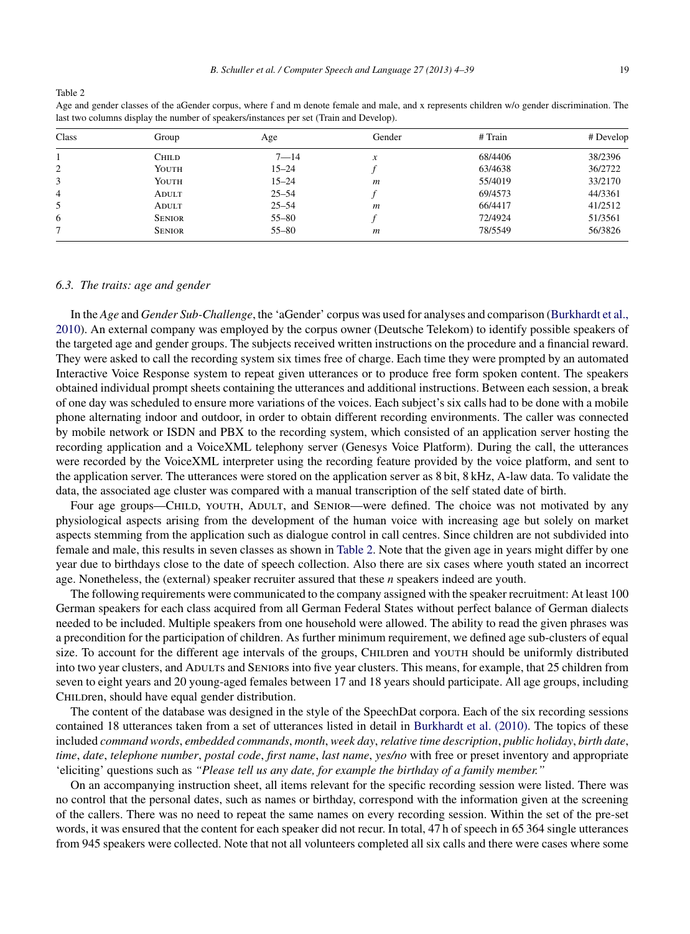<span id="page-15-0"></span>Table 2

| Class          | Group         | Age       | Gender            | # Train | # Develop |
|----------------|---------------|-----------|-------------------|---------|-----------|
|                | <b>CHILD</b>  | $7 - 14$  | $\mathbf{v}$<br>л | 68/4406 | 38/2396   |
| 2              | YOUTH         | $15 - 24$ |                   | 63/4638 | 36/2722   |
| 3              | YOUTH         | $15 - 24$ | $\boldsymbol{m}$  | 55/4019 | 33/2170   |
| $\overline{4}$ | <b>ADULT</b>  | $25 - 54$ |                   | 69/4573 | 44/3361   |
| 5              | <b>ADULT</b>  | $25 - 54$ | $\boldsymbol{m}$  | 66/4417 | 41/2512   |
| 6              | <b>SENIOR</b> | $55 - 80$ |                   | 72/4924 | 51/3561   |
|                | <b>SENIOR</b> | $55 - 80$ | $\boldsymbol{m}$  | 78/5549 | 56/3826   |

Age and gender classes of the aGender corpus, where f and m denote female and male, and x represents children w/o gender discrimination. The last two columns display the number of speakers/instances per set (Train and Develop).

#### *6.3. The traits: age and gender*

In the *Age* and *Gender Sub-Challenge*, the 'aGender' corpus was used for analyses and comparison ([Burkhardt et al.,](#page-27-0) [2010\).](#page-27-0) An external company was employed by the corpus owner (Deutsche Telekom) to identify possible speakers of the targeted age and gender groups. The subjects received written instructions on the procedure and a financial reward. They were asked to call the recording system six times free of charge. Each time they were prompted by an automated Interactive Voice Response system to repeat given utterances or to produce free form spoken content. The speakers obtained individual prompt sheets containing the utterances and additional instructions. Between each session, a break of one day was scheduled to ensure more variations of the voices. Each subject's six calls had to be done with a mobile phone alternating indoor and outdoor, in order to obtain different recording environments. The caller was connected by mobile network or ISDN and PBX to the recording system, which consisted of an application server hosting the recording application and a VoiceXML telephony server (Genesys Voice Platform). During the call, the utterances were recorded by the VoiceXML interpreter using the recording feature provided by the voice platform, and sent to the application server. The utterances were stored on the application server as 8 bit, 8 kHz, A-law data. To validate the data, the associated age cluster was compared with a manual transcription of the self stated date of birth.

Four age groups—Child, youth, Adult, and Senior—were defined. The choice was not motivated by any physiological aspects arising from the development of the human voice with increasing age but solely on market aspects stemming from the application such as dialogue control in call centres. Since children are not subdivided into female and male, this results in seven classes as shown in Table 2. Note that the given age in years might differ by one year due to birthdays close to the date of speech collection. Also there are six cases where youth stated an incorrect age. Nonetheless, the (external) speaker recruiter assured that these *n* speakers indeed are youth.

The following requirements were communicated to the company assigned with the speaker recruitment: At least 100 German speakers for each class acquired from all German Federal States without perfect balance of German dialects needed to be included. Multiple speakers from one household were allowed. The ability to read the given phrases was a precondition for the participation of children. As further minimum requirement, we defined age sub-clusters of equal size. To account for the different age intervals of the groups, CHILDren and YOUTH should be uniformly distributed into two year clusters, and ADULTs and SENIORS into five year clusters. This means, for example, that 25 children from seven to eight years and 20 young-aged females between 17 and 18 years should participate. All age groups, including CHILDren, should have equal gender distribution.

The content of the database was designed in the style of the SpeechDat corpora. Each of the six recording sessions contained 18 utterances taken from a set of utterances listed in detail in [Burkhardt et al. \(2010\).](#page-27-0) The topics of these included *command words*, *embedded commands*, *month*, *week day*,*relative time description*, *public holiday*, *birth date*, *time*, *date*, *telephone number*, *postal code*, *first name*, *last name*, *yes/no* with free or preset inventory and appropriate 'eliciting' questions such as *"Please tell us any date, for example the birthday of a family member."*

On an accompanying instruction sheet, all items relevant for the specific recording session were listed. There was no control that the personal dates, such as names or birthday, correspond with the information given at the screening of the callers. There was no need to repeat the same names on every recording session. Within the set of the pre-set words, it was ensured that the content for each speaker did not recur. In total, 47 h of speech in 65 364 single utterances from 945 speakers were collected. Note that not all volunteers completed all six calls and there were cases where some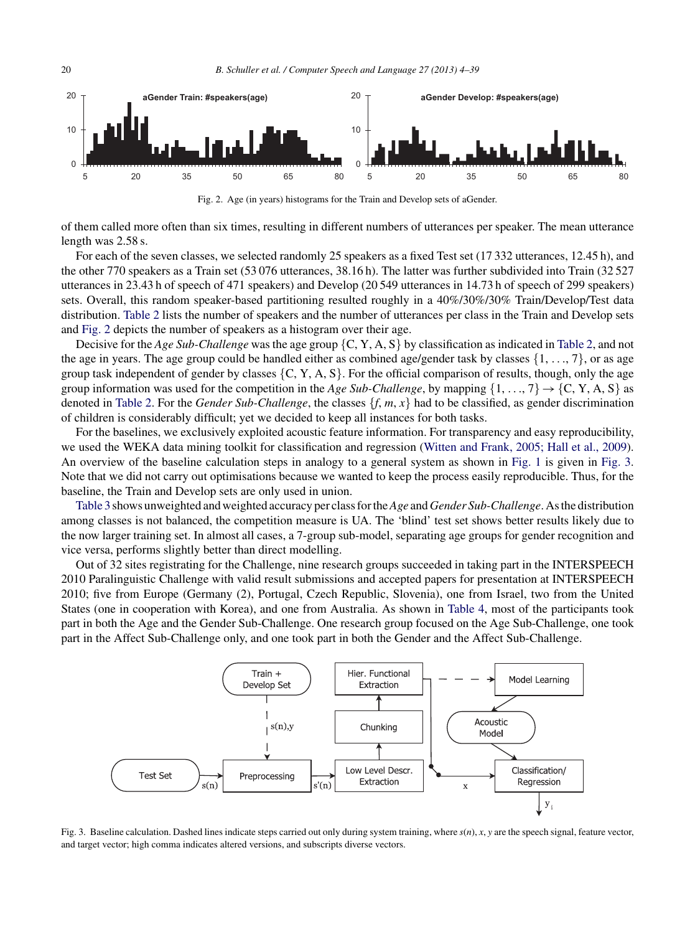

Fig. 2. Age (in years) histograms for the Train and Develop sets of aGender.

of them called more often than six times, resulting in different numbers of utterances per speaker. The mean utterance length was 2.58 s.

For each of the seven classes, we selected randomly 25 speakers as a fixed Test set (17 332 utterances, 12.45 h), and the other 770 speakers as a Train set (53 076 utterances, 38.16 h). The latter was further subdivided into Train (32 527 utterances in 23.43 h of speech of 471 speakers) and Develop (20 549 utterances in 14.73 h of speech of 299 speakers) sets. Overall, this random speaker-based partitioning resulted roughly in a 40%/30%/30% Train/Develop/Test data distribution. [Table 2](#page-15-0) lists the number of speakers and the number of utterances per class in the Train and Develop sets and Fig. 2 depicts the number of speakers as a histogram over their age.

Decisive for the *Age Sub-Challenge* was the age group {C, Y, A, S} by classification as indicated in [Table 2, a](#page-15-0)nd not the age in years. The age group could be handled either as combined age/gender task by classes  $\{1, \ldots, 7\}$ , or as age group task independent of gender by classes  $\{C, Y, A, S\}$ . For the official comparison of results, though, only the age group information was used for the competition in the *Age Sub-Challenge*, by mapping  $\{1, \ldots, 7\} \rightarrow \{C, Y, A, S\}$  as denoted in [Table 2. F](#page-15-0)or the *Gender Sub-Challenge*, the classes  $\{f, m, x\}$  had to be classified, as gender discrimination of children is considerably difficult; yet we decided to keep all instances for both tasks.

For the baselines, we exclusively exploited acoustic feature information. For transparency and easy reproducibility, we used the WEKA data mining toolkit for classification and regression [\(Witten and Frank, 2005; Hall et al., 2009\).](#page-34-0) An overview of the baseline calculation steps in analogy to a general system as shown in [Fig. 1](#page-9-0) is given in Fig. 3. Note that we did not carry out optimisations because we wanted to keep the process easily reproducible. Thus, for the baseline, the Train and Develop sets are only used in union.

[Table 3](#page-17-0) shows unweighted and weighted accuracy per class for the*Age* and*Gender Sub-Challenge*. As the distribution among classes is not balanced, the competition measure is UA. The 'blind' test set shows better results likely due to the now larger training set. In almost all cases, a 7-group sub-model, separating age groups for gender recognition and vice versa, performs slightly better than direct modelling.

Out of 32 sites registrating for the Challenge, nine research groups succeeded in taking part in the INTERSPEECH 2010 Paralinguistic Challenge with valid result submissions and accepted papers for presentation at INTERSPEECH 2010; five from Europe (Germany (2), Portugal, Czech Republic, Slovenia), one from Israel, two from the United States (one in cooperation with Korea), and one from Australia. As shown in [Table 4,](#page-17-0) most of the participants took part in both the Age and the Gender Sub-Challenge. One research group focused on the Age Sub-Challenge, one took part in the Affect Sub-Challenge only, and one took part in both the Gender and the Affect Sub-Challenge.



Fig. 3. Baseline calculation. Dashed lines indicate steps carried out only during system training, where  $s(n)$ ,  $x$ ,  $y$  are the speech signal, feature vector, and target vector; high comma indicates altered versions, and subscripts diverse vectors.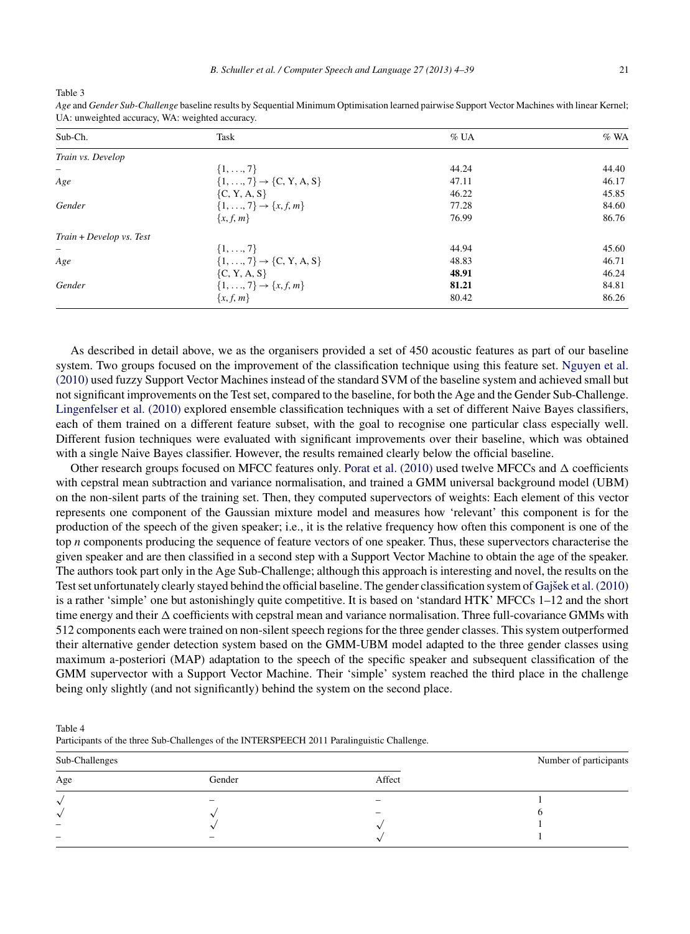<span id="page-17-0"></span>Table 3

| Sub-Ch.                  | Task                                            | $%$ UA | $%$ WA |
|--------------------------|-------------------------------------------------|--------|--------|
| Train vs. Develop        |                                                 |        |        |
|                          | $\{1, , 7\}$                                    | 44.24  | 44.40  |
| Age                      | $\{1, , 7\} \rightarrow \{C, Y, A, S\}$         | 47.11  | 46.17  |
|                          | ${C, Y, A, S}$                                  | 46.22  | 45.85  |
| Gender                   | $\{1, , 7\} \rightarrow \{x, f, m\}$            | 77.28  | 84.60  |
|                          | $\{x, f, m\}$                                   | 76.99  | 86.76  |
| Train + Develop vs. Test |                                                 |        |        |
| $\qquad \qquad -$        |                                                 | 44.94  | 45.60  |
| Age                      | {1, , 7}<br>{1, , 7} $\rightarrow$ {C, Y, A, S} | 48.83  | 46.71  |
|                          | $\left\{ \text{C, Y, A, S} \right\}$            | 48.91  | 46.24  |
| Gender                   | $\{1, , 7\} \rightarrow \{x, f, m\}$            | 81.21  | 84.81  |
|                          | $\{x, f, m\}$                                   | 80.42  | 86.26  |

*Age* and *Gender Sub-Challenge* baseline results by Sequential Minimum Optimisation learned pairwise Support Vector Machines with linear Kernel; UA: unweighted accuracy, WA: weighted accuracy.

As described in detail above, we as the organisers provided a set of 450 acoustic features as part of our baseline system. Two groups focused on the improvement of the classification technique using this feature set. [Nguyen et al.](#page-31-0) [\(2010\)](#page-31-0) used fuzzy Support Vector Machines instead of the standard SVM of the baseline system and achieved small but not significant improvements on the Test set, compared to the baseline, for both the Age and the Gender Sub-Challenge. [Lingenfelser et al. \(2010\)](#page-30-0) explored ensemble classification techniques with a set of different Naive Bayes classifiers, each of them trained on a different feature subset, with the goal to recognise one particular class especially well. Different fusion techniques were evaluated with significant improvements over their baseline, which was obtained with a single Naive Bayes classifier. However, the results remained clearly below the official baseline.

Other research groups focused on MFCC features only. [Porat et al. \(2010\)](#page-31-0) used twelve MFCCs and  $\Delta$  coefficients with cepstral mean subtraction and variance normalisation, and trained a GMM universal background model (UBM) on the non-silent parts of the training set. Then, they computed supervectors of weights: Each element of this vector represents one component of the Gaussian mixture model and measures how 'relevant' this component is for the production of the speech of the given speaker; i.e., it is the relative frequency how often this component is one of the top *n* components producing the sequence of feature vectors of one speaker. Thus, these supervectors characterise the given speaker and are then classified in a second step with a Support Vector Machine to obtain the age of the speaker. The authors took part only in the Age Sub-Challenge; although this approach is interesting and novel, the results on the Test set unfortunately clearly stayed behind the official baseline. The gender classification system of Gajšek et al. (2010) is a rather 'simple' one but astonishingly quite competitive. It is based on 'standard HTK' MFCCs 1–12 and the short time energy and their  $\Delta$  coefficients with cepstral mean and variance normalisation. Three full-covariance GMMs with 512 components each were trained on non-silent speech regions for the three gender classes. This system outperformed their alternative gender detection system based on the GMM-UBM model adapted to the three gender classes using maximum a-posteriori (MAP) adaptation to the speech of the specific speaker and subsequent classification of the GMM supervector with a Support Vector Machine. Their 'simple' system reached the third place in the challenge being only slightly (and not significantly) behind the system on the second place.

Table 4

Participants of the three Sub-Challenges of the INTERSPEECH 2011 Paralinguistic Challenge.

| Sub-Challenges           |        |        | Number of participants |
|--------------------------|--------|--------|------------------------|
| Age                      | Gender | Affect |                        |
| $\Delta$                 |        |        |                        |
| $\overline{\phantom{a}}$ |        |        |                        |
|                          |        |        |                        |
|                          |        |        |                        |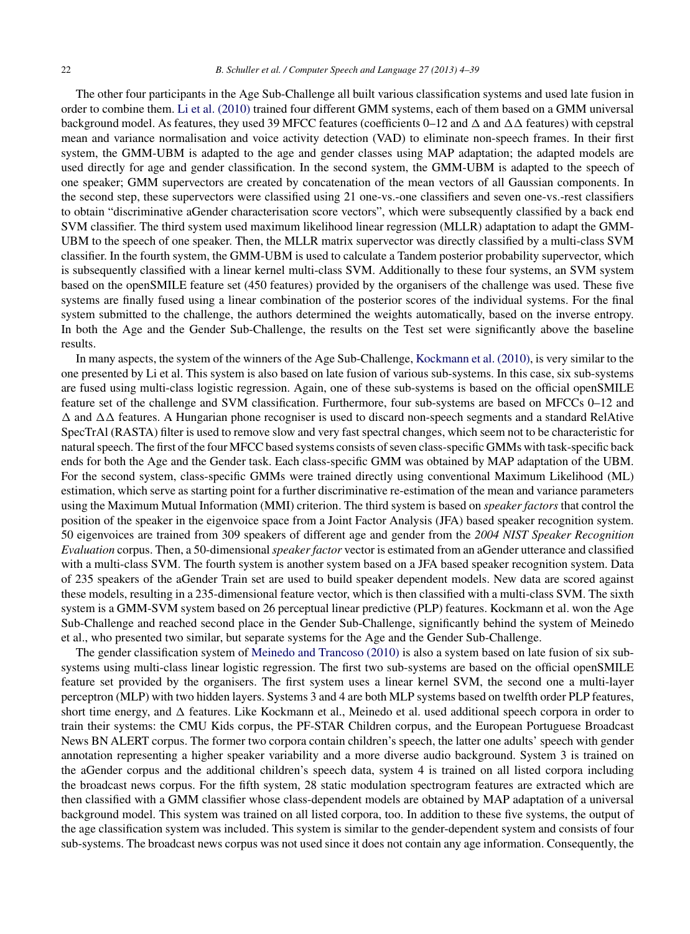The other four participants in the Age Sub-Challenge all built various classification systems and used late fusion in order to combine them. [Li et al. \(2010\)](#page-30-0) trained four different GMM systems, each of them based on a GMM universal background model. As features, they used 39 MFCC features (coefficients  $0-12$  and  $\Delta$  and  $\Delta\Delta$  features) with cepstral mean and variance normalisation and voice activity detection (VAD) to eliminate non-speech frames. In their first system, the GMM-UBM is adapted to the age and gender classes using MAP adaptation; the adapted models are used directly for age and gender classification. In the second system, the GMM-UBM is adapted to the speech of one speaker; GMM supervectors are created by concatenation of the mean vectors of all Gaussian components. In the second step, these supervectors were classified using 21 one-vs.-one classifiers and seven one-vs.-rest classifiers to obtain "discriminative aGender characterisation score vectors", which were subsequently classified by a back end SVM classifier. The third system used maximum likelihood linear regression (MLLR) adaptation to adapt the GMM-UBM to the speech of one speaker. Then, the MLLR matrix supervector was directly classified by a multi-class SVM classifier. In the fourth system, the GMM-UBM is used to calculate a Tandem posterior probability supervector, which is subsequently classified with a linear kernel multi-class SVM. Additionally to these four systems, an SVM system based on the openSMILE feature set (450 features) provided by the organisers of the challenge was used. These five systems are finally fused using a linear combination of the posterior scores of the individual systems. For the final system submitted to the challenge, the authors determined the weights automatically, based on the inverse entropy. In both the Age and the Gender Sub-Challenge, the results on the Test set were significantly above the baseline results.

In many aspects, the system of the winners of the Age Sub-Challenge, [Kockmann et al. \(2010\), i](#page-29-0)s very similar to the one presented by Li et al. This system is also based on late fusion of various sub-systems. In this case, six sub-systems are fused using multi-class logistic regression. Again, one of these sub-systems is based on the official openSMILE feature set of the challenge and SVM classification. Furthermore, four sub-systems are based on MFCCs 0–12 and  $\Delta$  and  $\Delta\Delta$  features. A Hungarian phone recogniser is used to discard non-speech segments and a standard RelAtive SpecTrAl (RASTA) filter is used to remove slow and very fast spectral changes, which seem not to be characteristic for natural speech. The first of the four MFCC based systems consists of seven class-specific GMMs with task-specific back ends for both the Age and the Gender task. Each class-specific GMM was obtained by MAP adaptation of the UBM. For the second system, class-specific GMMs were trained directly using conventional Maximum Likelihood (ML) estimation, which serve as starting point for a further discriminative re-estimation of the mean and variance parameters using the Maximum Mutual Information (MMI) criterion. The third system is based on *speaker factors* that control the position of the speaker in the eigenvoice space from a Joint Factor Analysis (JFA) based speaker recognition system. 50 eigenvoices are trained from 309 speakers of different age and gender from the *2004 NIST Speaker Recognition Evaluation* corpus. Then, a 50-dimensional *speaker factor* vector is estimated from an aGender utterance and classified with a multi-class SVM. The fourth system is another system based on a JFA based speaker recognition system. Data of 235 speakers of the aGender Train set are used to build speaker dependent models. New data are scored against these models, resulting in a 235-dimensional feature vector, which is then classified with a multi-class SVM. The sixth system is a GMM-SVM system based on 26 perceptual linear predictive (PLP) features. Kockmann et al. won the Age Sub-Challenge and reached second place in the Gender Sub-Challenge, significantly behind the system of Meinedo et al., who presented two similar, but separate systems for the Age and the Gender Sub-Challenge.

The gender classification system of [Meinedo and Trancoso \(2010\)](#page-30-0) is also a system based on late fusion of six subsystems using multi-class linear logistic regression. The first two sub-systems are based on the official openSMILE feature set provided by the organisers. The first system uses a linear kernel SVM, the second one a multi-layer perceptron (MLP) with two hidden layers. Systems 3 and 4 are both MLP systems based on twelfth order PLP features, short time energy, and  $\Delta$  features. Like Kockmann et al., Meinedo et al. used additional speech corpora in order to train their systems: the CMU Kids corpus, the PF-STAR Children corpus, and the European Portuguese Broadcast News BN ALERT corpus. The former two corpora contain children's speech, the latter one adults' speech with gender annotation representing a higher speaker variability and a more diverse audio background. System 3 is trained on the aGender corpus and the additional children's speech data, system 4 is trained on all listed corpora including the broadcast news corpus. For the fifth system, 28 static modulation spectrogram features are extracted which are then classified with a GMM classifier whose class-dependent models are obtained by MAP adaptation of a universal background model. This system was trained on all listed corpora, too. In addition to these five systems, the output of the age classification system was included. This system is similar to the gender-dependent system and consists of four sub-systems. The broadcast news corpus was not used since it does not contain any age information. Consequently, the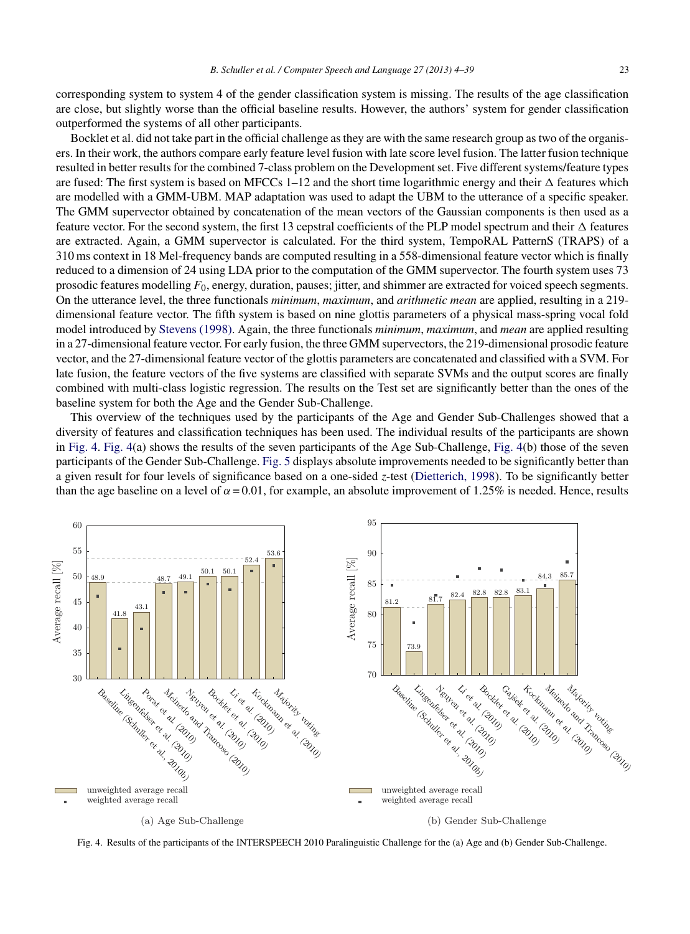<span id="page-19-0"></span>corresponding system to system 4 of the gender classification system is missing. The results of the age classification are close, but slightly worse than the official baseline results. However, the authors' system for gender classification outperformed the systems of all other participants.

Bocklet et al. did not take part in the official challenge as they are with the same research group as two of the organisers. In their work, the authors compare early feature level fusion with late score level fusion. The latter fusion technique resulted in better results for the combined 7-class problem on the Development set. Five different systems/feature types are fused: The first system is based on MFCCs 1–12 and the short time logarithmic energy and their  $\Delta$  features which are modelled with a GMM-UBM. MAP adaptation was used to adapt the UBM to the utterance of a specific speaker. The GMM supervector obtained by concatenation of the mean vectors of the Gaussian components is then used as a feature vector. For the second system, the first 13 cepstral coefficients of the PLP model spectrum and their  $\Delta$  features are extracted. Again, a GMM supervector is calculated. For the third system, TempoRAL PatternS (TRAPS) of a 310 ms context in 18 Mel-frequency bands are computed resulting in a 558-dimensional feature vector which is finally reduced to a dimension of 24 using LDA prior to the computation of the GMM supervector. The fourth system uses 73 prosodic features modelling *F*0, energy, duration, pauses; jitter, and shimmer are extracted for voiced speech segments. On the utterance level, the three functionals *minimum*, *maximum*, and *arithmetic mean* are applied, resulting in a 219 dimensional feature vector. The fifth system is based on nine glottis parameters of a physical mass-spring vocal fold model introduced by [Stevens \(1998\).](#page-33-0) Again, the three functionals *minimum*, *maximum*, and *mean* are applied resulting in a 27-dimensional feature vector. For early fusion, the three GMM supervectors, the 219-dimensional prosodic feature vector, and the 27-dimensional feature vector of the glottis parameters are concatenated and classified with a SVM. For late fusion, the feature vectors of the five systems are classified with separate SVMs and the output scores are finally combined with multi-class logistic regression. The results on the Test set are significantly better than the ones of the baseline system for both the Age and the Gender Sub-Challenge.

This overview of the techniques used by the participants of the Age and Gender Sub-Challenges showed that a diversity of features and classification techniques has been used. The individual results of the participants are shown in Fig. 4. Fig. 4(a) shows the results of the seven participants of the Age Sub-Challenge, Fig. 4(b) those of the seven participants of the Gender Sub-Challenge. [Fig. 5](#page-20-0) displays absolute improvements needed to be significantly better than a given result for four levels of significance based on a one-sided *z*-test [\(Dietterich, 1998\).](#page-28-0) To be significantly better than the age baseline on a level of  $\alpha = 0.01$ , for example, an absolute improvement of 1.25% is needed. Hence, results



Fig. 4. Results of the participants of the INTERSPEECH 2010 Paralinguistic Challenge for the (a) Age and (b) Gender Sub-Challenge.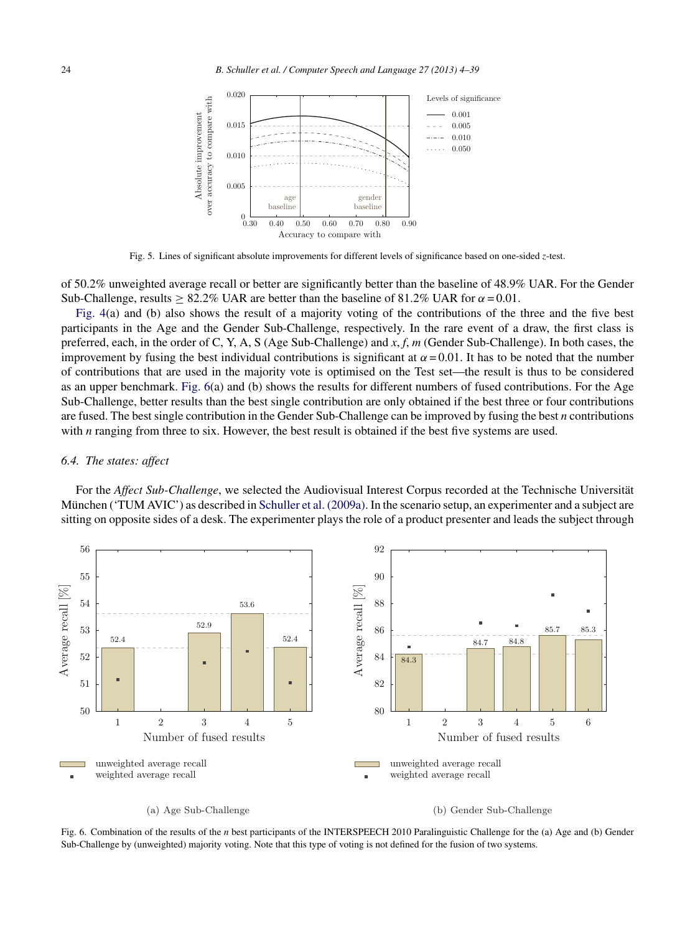<span id="page-20-0"></span>

Fig. 5. Lines of significant absolute improvements for different levels of significance based on one-sided *z*-test.

of 50.2% unweighted average recall or better are significantly better than the baseline of 48.9% UAR. For the Gender Sub-Challenge, results  $> 82.2\%$  UAR are better than the baseline of 81.2% UAR for  $\alpha = 0.01$ .

[Fig. 4\(](#page-19-0)a) and (b) also shows the result of a majority voting of the contributions of the three and the five best participants in the Age and the Gender Sub-Challenge, respectively. In the rare event of a draw, the first class is preferred, each, in the order of C, Y, A, S (Age Sub-Challenge) and *x*, *f*, *m* (Gender Sub-Challenge). In both cases, the improvement by fusing the best individual contributions is significant at  $\alpha = 0.01$ . It has to be noted that the number of contributions that are used in the majority vote is optimised on the Test set—the result is thus to be considered as an upper benchmark. Fig. 6(a) and (b) shows the results for different numbers of fused contributions. For the Age Sub-Challenge, better results than the best single contribution are only obtained if the best three or four contributions are fused. The best single contribution in the Gender Sub-Challenge can be improved by fusing the best *n* contributions with *n* ranging from three to six. However, the best result is obtained if the best five systems are used.

## *6.4. The states: affect*

For the *Affect Sub-Challenge*, we selected the Audiovisual Interest Corpus recorded at the Technische Universität München ('TUM AVIC') as described in [Schuller et al. \(2009a\). I](#page-32-0)n the scenario setup, an experimenter and a subject are sitting on opposite sides of a desk. The experimenter plays the role of a product presenter and leads the subject through



(a) Age Sub-Challenge

(b) Gender Sub-Challenge

Fig. 6. Combination of the results of the *n* best participants of the INTERSPEECH 2010 Paralinguistic Challenge for the (a) Age and (b) Gender Sub-Challenge by (unweighted) majority voting. Note that this type of voting is not defined for the fusion of two systems.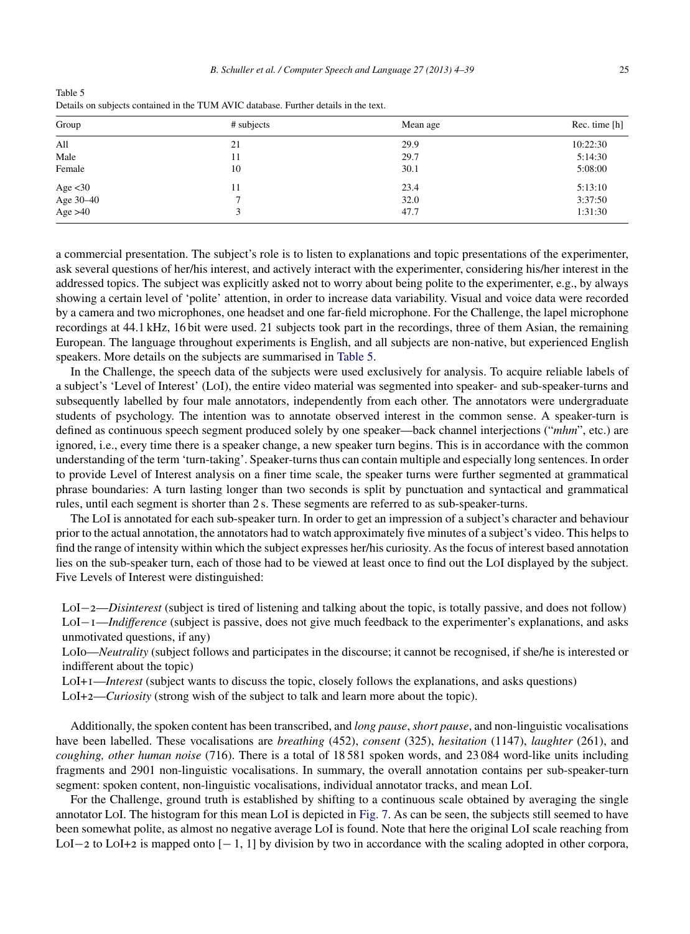Table 5 Details on subjects contained in the TUM AVIC database. Further details in the text.

| Group      | # subjects | Mean age | Rec. time [h] |
|------------|------------|----------|---------------|
| All        | 21         | 29.9     | 10:22:30      |
| Male       | 11         | 29.7     | 5:14:30       |
| Female     | 10         | 30.1     | 5:08:00       |
| Age $<$ 30 | 11         | 23.4     | 5:13:10       |
| Age 30-40  |            | 32.0     | 3:37:50       |
| Age $>40$  |            | 47.7     | 1:31:30       |

a commercial presentation. The subject's role is to listen to explanations and topic presentations of the experimenter, ask several questions of her/his interest, and actively interact with the experimenter, considering his/her interest in the addressed topics. The subject was explicitly asked not to worry about being polite to the experimenter, e.g., by always showing a certain level of 'polite' attention, in order to increase data variability. Visual and voice data were recorded by a camera and two microphones, one headset and one far-field microphone. For the Challenge, the lapel microphone recordings at 44.1 kHz, 16 bit were used. 21 subjects took part in the recordings, three of them Asian, the remaining European. The language throughout experiments is English, and all subjects are non-native, but experienced English speakers. More details on the subjects are summarised in Table 5.

In the Challenge, the speech data of the subjects were used exclusively for analysis. To acquire reliable labels of a subject's 'Level of Interest' (LoI), the entire video material was segmented into speaker- and sub-speaker-turns and subsequently labelled by four male annotators, independently from each other. The annotators were undergraduate students of psychology. The intention was to annotate observed interest in the common sense. A speaker-turn is defined as continuous speech segment produced solely by one speaker—back channel interjections ("*mhm*", etc.) are ignored, i.e., every time there is a speaker change, a new speaker turn begins. This is in accordance with the common understanding of the term 'turn-taking'. Speaker-turns thus can contain multiple and especially long sentences. In order to provide Level of Interest analysis on a finer time scale, the speaker turns were further segmented at grammatical phrase boundaries: A turn lasting longer than two seconds is split by punctuation and syntactical and grammatical rules, until each segment is shorter than 2 s. These segments are referred to as sub-speaker-turns.

The LoI is annotated for each sub-speaker turn. In order to get an impression of a subject's character and behaviour prior to the actual annotation, the annotators had to watch approximately five minutes of a subject's video. This helps to find the range of intensity within which the subject expresses her/his curiosity. As the focus of interest based annotation lies on the sub-speaker turn, each of those had to be viewed at least once to find out the LoI displayed by the subject. Five Levels of Interest were distinguished:

LoI−2—*Disinterest* (subject is tired of listening and talking about the topic, is totally passive, and does not follow) LoI−1—*Indifference* (subject is passive, does not give much feedback to the experimenter's explanations, and asks unmotivated questions, if any)

LoI0—*Neutrality* (subject follows and participates in the discourse; it cannot be recognised, if she/he is interested or indifferent about the topic)

LoI+1—*Interest* (subject wants to discuss the topic, closely follows the explanations, and asks questions)

LoI+2—*Curiosity* (strong wish of the subject to talk and learn more about the topic).

Additionally, the spoken content has been transcribed, and *long pause*, *short pause*, and non-linguistic vocalisations have been labelled. These vocalisations are *breathing* (452), *consent* (325), *hesitation* (1147), *laughter* (261), and *coughing, other human noise* (716). There is a total of 18 581 spoken words, and 23 084 word-like units including fragments and 2901 non-linguistic vocalisations. In summary, the overall annotation contains per sub-speaker-turn segment: spoken content, non-linguistic vocalisations, individual annotator tracks, and mean LoI.

For the Challenge, ground truth is established by shifting to a continuous scale obtained by averaging the single annotator LoI. The histogram for this mean LoI is depicted in [Fig. 7.](#page-22-0) As can be seen, the subjects still seemed to have been somewhat polite, as almost no negative average LoI is found. Note that here the original LoI scale reaching from LoI−2 to LoI+2 is mapped onto [−1, 1] by division by two in accordance with the scaling adopted in other corpora,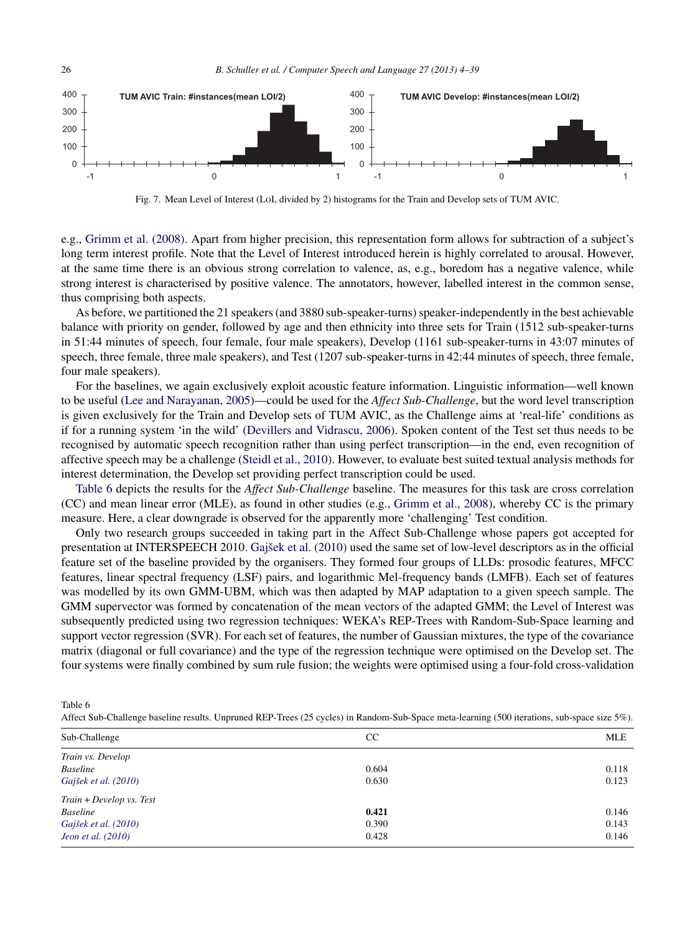<span id="page-22-0"></span>

Fig. 7. Mean Level of Interest (LoI, divided by 2) histograms for the Train and Develop sets of TUM AVIC.

e.g., [Grimm et al. \(2008\).](#page-29-0) Apart from higher precision, this representation form allows for subtraction of a subject's long term interest profile. Note that the Level of Interest introduced herein is highly correlated to arousal. However, at the same time there is an obvious strong correlation to valence, as, e.g., boredom has a negative valence, while strong interest is characterised by positive valence. The annotators, however, labelled interest in the common sense, thus comprising both aspects.

As before, we partitioned the 21 speakers (and 3880 sub-speaker-turns) speaker-independently in the best achievable balance with priority on gender, followed by age and then ethnicity into three sets for Train (1512 sub-speaker-turns in 51:44 minutes of speech, four female, four male speakers), Develop (1161 sub-speaker-turns in 43:07 minutes of speech, three female, three male speakers), and Test (1207 sub-speaker-turns in 42:44 minutes of speech, three female, four male speakers).

For the baselines, we again exclusively exploit acoustic feature information. Linguistic information—well known to be useful [\(Lee and Narayanan, 2005\)—](#page-29-0)could be used for the *Affect Sub-Challenge*, but the word level transcription is given exclusively for the Train and Develop sets of TUM AVIC, as the Challenge aims at 'real-life' conditions as if for a running system 'in the wild' ([Devillers and Vidrascu, 2006\).](#page-28-0) Spoken content of the Test set thus needs to be recognised by automatic speech recognition rather than using perfect transcription—in the end, even recognition of affective speech may be a challenge ([Steidl et al., 2010\).](#page-33-0) However, to evaluate best suited textual analysis methods for interest determination, the Develop set providing perfect transcription could be used.

Table 6 depicts the results for the *Affect Sub-Challenge* baseline. The measures for this task are cross correlation (CC) and mean linear error (MLE), as found in other studies (e.g., [Grimm et al., 2008\),](#page-29-0) whereby CC is the primary measure. Here, a clear downgrade is observed for the apparently more 'challenging' Test condition.

Only two research groups succeeded in taking part in the Affect Sub-Challenge whose papers got accepted for presentation at INTERSPEECH 2010. Gajšek et al. (2010) used the same set of low-level descriptors as in the official feature set of the baseline provided by the organisers. They formed four groups of LLDs: prosodic features, MFCC features, linear spectral frequency (LSF) pairs, and logarithmic Mel-frequency bands (LMFB). Each set of features was modelled by its own GMM-UBM, which was then adapted by MAP adaptation to a given speech sample. The GMM supervector was formed by concatenation of the mean vectors of the adapted GMM; the Level of Interest was subsequently predicted using two regression techniques: WEKA's REP-Trees with Random-Sub-Space learning and support vector regression (SVR). For each set of features, the number of Gaussian mixtures, the type of the covariance matrix (diagonal or full covariance) and the type of the regression technique were optimised on the Develop set. The four systems were finally combined by sum rule fusion; the weights were optimised using a four-fold cross-validation

Table 6

Affect Sub-Challenge baseline results. Unpruned REP-Trees (25 cycles) in Random-Sub-Space meta-learning (500 iterations, sub-space size 5%).

| Sub-Challenge            | CC    | <b>MLE</b> |
|--------------------------|-------|------------|
| Train vs. Develop        |       |            |
| <b>Baseline</b>          | 0.604 | 0.118      |
| Gajšek et al. (2010)     | 0.630 | 0.123      |
| Train + Develop vs. Test |       |            |
| <b>Baseline</b>          | 0.421 | 0.146      |
| Gajšek et al. (2010)     | 0.390 | 0.143      |
| Jeon et al. $(2010)$     | 0.428 | 0.146      |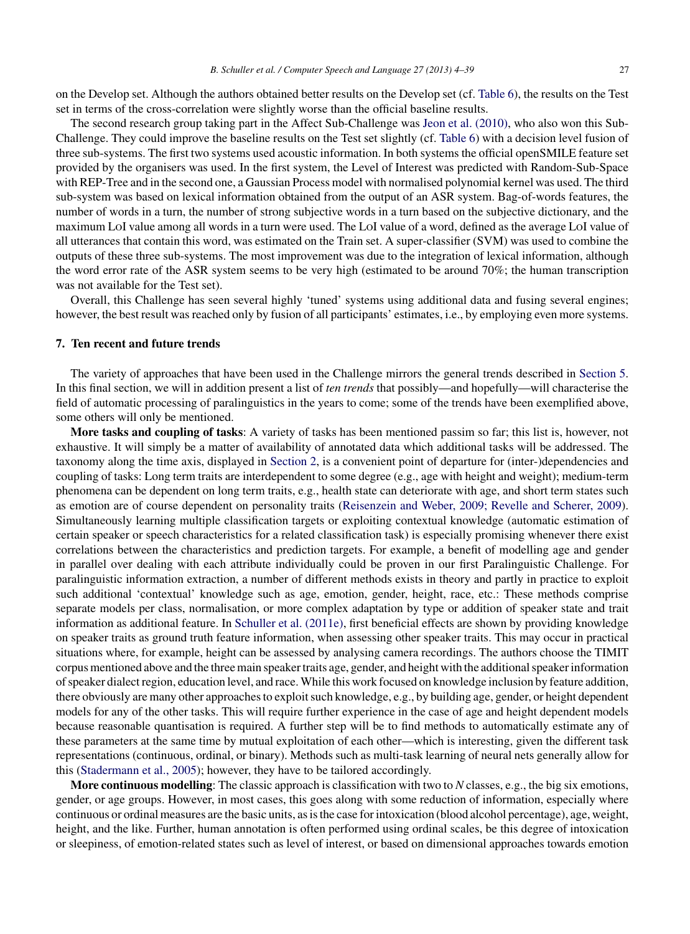<span id="page-23-0"></span>on the Develop set. Although the authors obtained better results on the Develop set (cf. [Table 6\),](#page-22-0) the results on the Test set in terms of the cross-correlation were slightly worse than the official baseline results.

The second research group taking part in the Affect Sub-Challenge was [Jeon et al. \(2010\), w](#page-29-0)ho also won this Sub-Challenge. They could improve the baseline results on the Test set slightly (cf. [Table 6\)](#page-22-0) with a decision level fusion of three sub-systems. The first two systems used acoustic information. In both systems the official openSMILE feature set provided by the organisers was used. In the first system, the Level of Interest was predicted with Random-Sub-Space with REP-Tree and in the second one, a Gaussian Process model with normalised polynomial kernel was used. The third sub-system was based on lexical information obtained from the output of an ASR system. Bag-of-words features, the number of words in a turn, the number of strong subjective words in a turn based on the subjective dictionary, and the maximum LoI value among all words in a turn were used. The LoI value of a word, defined as the average LoI value of all utterances that contain this word, was estimated on the Train set. A super-classifier (SVM) was used to combine the outputs of these three sub-systems. The most improvement was due to the integration of lexical information, although the word error rate of the ASR system seems to be very high (estimated to be around 70%; the human transcription was not available for the Test set).

Overall, this Challenge has seen several highly 'tuned' systems using additional data and fusing several engines; however, the best result was reached only by fusion of all participants' estimates, i.e., by employing even more systems.

## **7. Ten recent and future trends**

The variety of approaches that have been used in the Challenge mirrors the general trends described in [Section 5.](#page-9-0) In this final section, we will in addition present a list of *ten trends* that possibly—and hopefully—will characterise the field of automatic processing of paralinguistics in the years to come; some of the trends have been exemplified above, some others will only be mentioned.

**More tasks and coupling of tasks**: A variety of tasks has been mentioned passim so far; this list is, however, not exhaustive. It will simply be a matter of availability of annotated data which additional tasks will be addressed. The taxonomy along the time axis, displayed in [Section 2,](#page-1-0) is a convenient point of departure for (inter-)dependencies and coupling of tasks: Long term traits are interdependent to some degree (e.g., age with height and weight); medium-term phenomena can be dependent on long term traits, e.g., health state can deteriorate with age, and short term states such as emotion are of course dependent on personality traits [\(Reisenzein and Weber, 2009; Revelle and Scherer, 2009\).](#page-32-0) Simultaneously learning multiple classification targets or exploiting contextual knowledge (automatic estimation of certain speaker or speech characteristics for a related classification task) is especially promising whenever there exist correlations between the characteristics and prediction targets. For example, a benefit of modelling age and gender in parallel over dealing with each attribute individually could be proven in our first Paralinguistic Challenge. For paralinguistic information extraction, a number of different methods exists in theory and partly in practice to exploit such additional 'contextual' knowledge such as age, emotion, gender, height, race, etc.: These methods comprise separate models per class, normalisation, or more complex adaptation by type or addition of speaker state and trait information as additional feature. In [Schuller et al. \(2011e\), fi](#page-33-0)rst beneficial effects are shown by providing knowledge on speaker traits as ground truth feature information, when assessing other speaker traits. This may occur in practical situations where, for example, height can be assessed by analysing camera recordings. The authors choose the TIMIT corpus mentioned above and the three main speaker traits age, gender, and height with the additional speaker information of speaker dialect region, education level, and race. While this work focused on knowledge inclusion by feature addition, there obviously are many other approaches to exploit such knowledge, e.g., by building age, gender, or height dependent models for any of the other tasks. This will require further experience in the case of age and height dependent models because reasonable quantisation is required. A further step will be to find methods to automatically estimate any of these parameters at the same time by mutual exploitation of each other—which is interesting, given the different task representations (continuous, ordinal, or binary). Methods such as multi-task learning of neural nets generally allow for this [\(Stadermann et al., 2005\);](#page-33-0) however, they have to be tailored accordingly.

**More continuous modelling**: The classic approach is classification with two to *N* classes, e.g., the big six emotions, gender, or age groups. However, in most cases, this goes along with some reduction of information, especially where continuous or ordinal measures are the basic units, as is the case for intoxication (blood alcohol percentage), age, weight, height, and the like. Further, human annotation is often performed using ordinal scales, be this degree of intoxication or sleepiness, of emotion-related states such as level of interest, or based on dimensional approaches towards emotion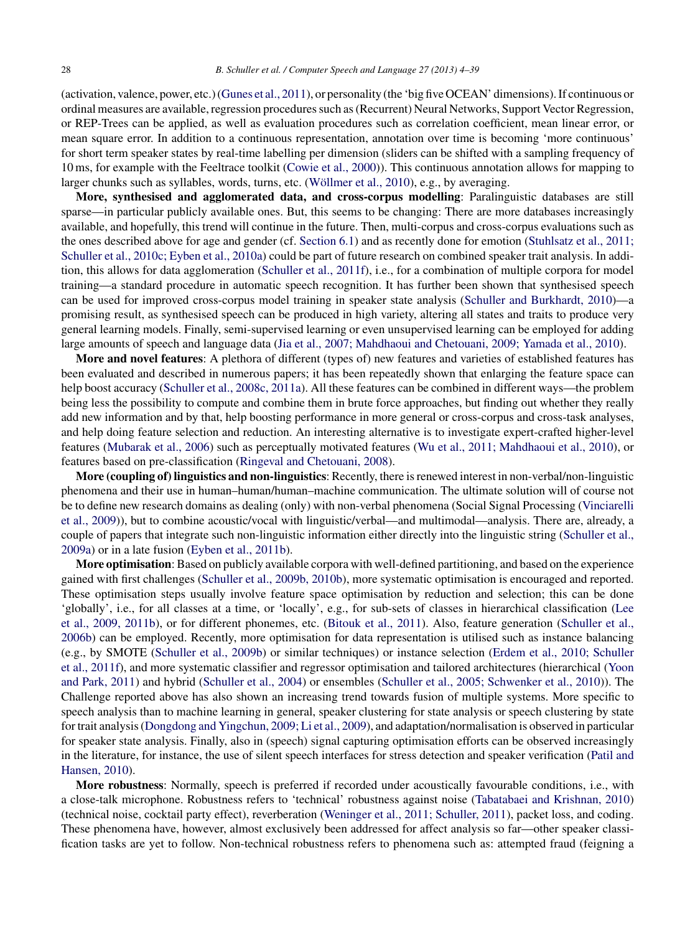(activation, valence, power, etc.) ([Gunes et al., 2011\),](#page-29-0) or personality (the 'big five OCEAN' dimensions). If continuous or ordinal measures are available, regression procedures such as (Recurrent) Neural Networks, Support Vector Regression, or REP-Trees can be applied, as well as evaluation procedures such as correlation coefficient, mean linear error, or mean square error. In addition to a continuous representation, annotation over time is becoming 'more continuous' for short term speaker states by real-time labelling per dimension (sliders can be shifted with a sampling frequency of 10 ms, for example with the Feeltrace toolkit [\(Cowie et al., 2000\)\)](#page-27-0). This continuous annotation allows for mapping to larger chunks such as syllables, words, turns, etc. ([Wöllmer et al., 2010\),](#page-34-0) e.g., by averaging.

**More, synthesised and agglomerated data, and cross-corpus modelling**: Paralinguistic databases are still sparse—in particular publicly available ones. But, this seems to be changing: There are more databases increasingly available, and hopefully, this trend will continue in the future. Then, multi-corpus and cross-corpus evaluations such as the ones described above for age and gender (cf. [Section 6.1\)](#page-12-0) and as recently done for emotion ([Stuhlsatz et al., 2011;](#page-33-0) [Schuller et al., 2010c; Eyben et al., 2010a\)](#page-33-0) could be part of future research on combined speaker trait analysis. In addition, this allows for data agglomeration ([Schuller et al., 2011f\),](#page-33-0) i.e., for a combination of multiple corpora for model training—a standard procedure in automatic speech recognition. It has further been shown that synthesised speech can be used for improved cross-corpus model training in speaker state analysis ([Schuller and Burkhardt, 2010\)—](#page-32-0)a promising result, as synthesised speech can be produced in high variety, altering all states and traits to produce very general learning models. Finally, semi-supervised learning or even unsupervised learning can be employed for adding large amounts of speech and language data ([Jia et al., 2007; Mahdhaoui and Chetouani, 2009; Yamada et al., 2010\).](#page-29-0)

**More and novel features**: A plethora of different (types of) new features and varieties of established features has been evaluated and described in numerous papers; it has been repeatedly shown that enlarging the feature space can help boost accuracy ([Schuller et al., 2008c, 2011a\).](#page-33-0) All these features can be combined in different ways—the problem being less the possibility to compute and combine them in brute force approaches, but finding out whether they really add new information and by that, help boosting performance in more general or cross-corpus and cross-task analyses, and help doing feature selection and reduction. An interesting alternative is to investigate expert-crafted higher-level features ([Mubarak et al., 2006\)](#page-31-0) such as perceptually motivated features [\(Wu et al., 2011; Mahdhaoui et al., 2010\),](#page-34-0) or features based on pre-classification ([Ringeval and Chetouani, 2008\).](#page-32-0)

**More (coupling of) linguistics and non-linguistics**: Recently, there is renewed interest in non-verbal/non-linguistic phenomena and their use in human–human/human–machine communication. The ultimate solution will of course not be to define new research domains as dealing (only) with non-verbal phenomena (Social Signal Processing ([Vinciarelli](#page-34-0) [et al., 2009\)\)](#page-34-0), but to combine acoustic/vocal with linguistic/verbal—and multimodal—analysis. There are, already, a couple of papers that integrate such non-linguistic information either directly into the linguistic string [\(Schuller et al.,](#page-32-0) [2009a\)](#page-32-0) or in a late fusion ([Eyben et al., 2011b\).](#page-28-0)

**More optimisation**: Based on publicly available corpora with well-defined partitioning, and based on the experience gained with first challenges ([Schuller et al., 2009b, 2010b\),](#page-33-0) more systematic optimisation is encouraged and reported. These optimisation steps usually involve feature space optimisation by reduction and selection; this can be done 'globally', i.e., for all classes at a time, or 'locally', e.g., for sub-sets of classes in hierarchical classification ([Lee](#page-29-0) [et al., 2009, 2011b\),](#page-29-0) or for different phonemes, etc. [\(Bitouk et al., 2011\).](#page-27-0) Also, feature generation [\(Schuller et al.,](#page-33-0) [2006b\)](#page-33-0) can be employed. Recently, more optimisation for data representation is utilised such as instance balancing (e.g., by SMOTE ([Schuller et al., 2009b\)](#page-33-0) or similar techniques) or instance selection ([Erdem et al., 2010; Schuller](#page-28-0) [et al., 2011f\),](#page-28-0) and more systematic classifier and regressor optimisation and tailored architectures (hierarchical [\(Yoon](#page-34-0) [and Park, 2011\)](#page-34-0) and hybrid ([Schuller et al., 2004\)](#page-33-0) or ensembles [\(Schuller et al., 2005; Schwenker et al., 2010\)\)](#page-32-0). The Challenge reported above has also shown an increasing trend towards fusion of multiple systems. More specific to speech analysis than to machine learning in general, speaker clustering for state analysis or speech clustering by state for trait analysis [\(Dongdong and Yingchun, 2009; Li et al., 2009\),](#page-28-0) and adaptation/normalisation is observed in particular for speaker state analysis. Finally, also in (speech) signal capturing optimisation efforts can be observed increasingly in the literature, for instance, the use of silent speech interfaces for stress detection and speaker verification ([Patil and](#page-31-0) [Hansen, 2010\).](#page-31-0)

**More robustness**: Normally, speech is preferred if recorded under acoustically favourable conditions, i.e., with a close-talk microphone. Robustness refers to 'technical' robustness against noise ([Tabatabaei and Krishnan, 2010\)](#page-33-0) (technical noise, cocktail party effect), reverberation [\(Weninger et al., 2011; Schuller, 2011\),](#page-34-0) packet loss, and coding. These phenomena have, however, almost exclusively been addressed for affect analysis so far—other speaker classification tasks are yet to follow. Non-technical robustness refers to phenomena such as: attempted fraud (feigning a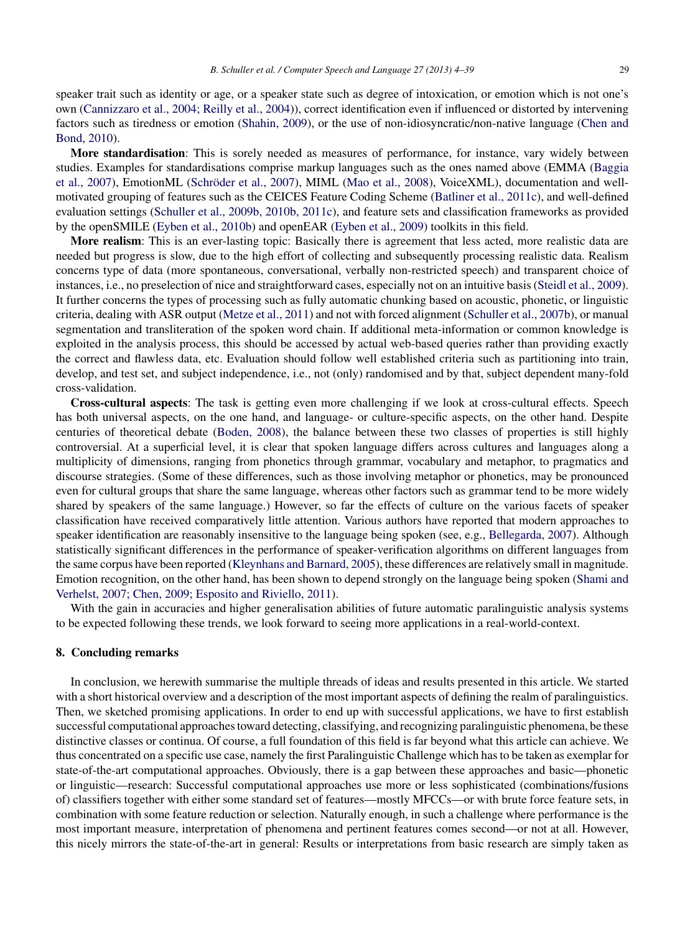<span id="page-25-0"></span>speaker trait such as identity or age, or a speaker state such as degree of intoxication, or emotion which is not one's own ([Cannizzaro et al., 2004; Reilly et al., 2004\)\)](#page-27-0), correct identification even if influenced or distorted by intervening factors such as tiredness or emotion [\(Shahin, 2009\),](#page-33-0) or the use of non-idiosyncratic/non-native language ([Chen and](#page-27-0) [Bond, 2010\).](#page-27-0)

**More standardisation**: This is sorely needed as measures of performance, for instance, vary widely between studies. Examples for standardisations comprise markup languages such as the ones named above (EMMA ([Baggia](#page-26-0) [et al., 2007\),](#page-26-0) EmotionML ([Schröder et al., 2007\),](#page-32-0) MIML ([Mao et al., 2008\),](#page-30-0) VoiceXML), documentation and wellmotivated grouping of features such as the CEICES Feature Coding Scheme [\(Batliner et al., 2011c\),](#page-26-0) and well-defined evaluation settings [\(Schuller et al., 2009b, 2010b, 2011c\),](#page-33-0) and feature sets and classification frameworks as provided by the openSMILE [\(Eyben et al., 2010b\)](#page-28-0) and openEAR [\(Eyben et al., 2009\)](#page-28-0) toolkits in this field.

**More realism**: This is an ever-lasting topic: Basically there is agreement that less acted, more realistic data are needed but progress is slow, due to the high effort of collecting and subsequently processing realistic data. Realism concerns type of data (more spontaneous, conversational, verbally non-restricted speech) and transparent choice of instances, i.e., no preselection of nice and straightforward cases, especially not on an intuitive basis [\(Steidl et al., 2009\).](#page-33-0) It further concerns the types of processing such as fully automatic chunking based on acoustic, phonetic, or linguistic criteria, dealing with ASR output ([Metze et al., 2011\)](#page-30-0) and not with forced alignment [\(Schuller et al., 2007b\),](#page-33-0) or manual segmentation and transliteration of the spoken word chain. If additional meta-information or common knowledge is exploited in the analysis process, this should be accessed by actual web-based queries rather than providing exactly the correct and flawless data, etc. Evaluation should follow well established criteria such as partitioning into train, develop, and test set, and subject independence, i.e., not (only) randomised and by that, subject dependent many-fold cross-validation.

**Cross-cultural aspects**: The task is getting even more challenging if we look at cross-cultural effects. Speech has both universal aspects, on the one hand, and language- or culture-specific aspects, on the other hand. Despite centuries of theoretical debate [\(Boden, 2008\),](#page-27-0) the balance between these two classes of properties is still highly controversial. At a superficial level, it is clear that spoken language differs across cultures and languages along a multiplicity of dimensions, ranging from phonetics through grammar, vocabulary and metaphor, to pragmatics and discourse strategies. (Some of these differences, such as those involving metaphor or phonetics, may be pronounced even for cultural groups that share the same language, whereas other factors such as grammar tend to be more widely shared by speakers of the same language.) However, so far the effects of culture on the various facets of speaker classification have received comparatively little attention. Various authors have reported that modern approaches to speaker identification are reasonably insensitive to the language being spoken (see, e.g., [Bellegarda, 2007\).](#page-27-0) Although statistically significant differences in the performance of speaker-verification algorithms on different languages from the same corpus have been reported ([Kleynhans and Barnard, 2005\),](#page-29-0) these differences are relatively small in magnitude. Emotion recognition, on the other hand, has been shown to depend strongly on the language being spoken [\(Shami and](#page-33-0) [Verhelst, 2007; Chen, 2009; Esposito and Riviello, 2011\).](#page-33-0)

With the gain in accuracies and higher generalisation abilities of future automatic paralinguistic analysis systems to be expected following these trends, we look forward to seeing more applications in a real-world-context.

#### **8. Concluding remarks**

In conclusion, we herewith summarise the multiple threads of ideas and results presented in this article. We started with a short historical overview and a description of the most important aspects of defining the realm of paralinguistics. Then, we sketched promising applications. In order to end up with successful applications, we have to first establish successful computational approaches toward detecting, classifying, and recognizing paralinguistic phenomena, be these distinctive classes or continua. Of course, a full foundation of this field is far beyond what this article can achieve. We thus concentrated on a specific use case, namely the first Paralinguistic Challenge which has to be taken as exemplar for state-of-the-art computational approaches. Obviously, there is a gap between these approaches and basic—phonetic or linguistic—research: Successful computational approaches use more or less sophisticated (combinations/fusions of) classifiers together with either some standard set of features—mostly MFCCs—or with brute force feature sets, in combination with some feature reduction or selection. Naturally enough, in such a challenge where performance is the most important measure, interpretation of phenomena and pertinent features comes second—or not at all. However, this nicely mirrors the state-of-the-art in general: Results or interpretations from basic research are simply taken as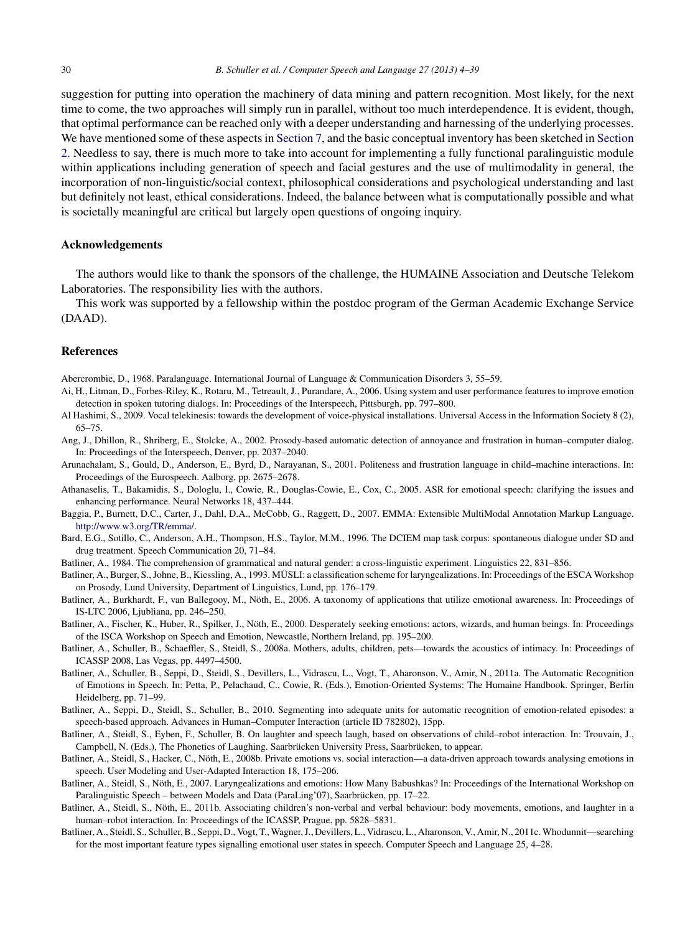<span id="page-26-0"></span>suggestion for putting into operation the machinery of data mining and pattern recognition. Most likely, for the next time to come, the two approaches will simply run in parallel, without too much interdependence. It is evident, though, that optimal performance can be reached only with a deeper understanding and harnessing of the underlying processes. We have mentioned some of these aspects in [Section 7, a](#page-23-0)nd the basic conceptual inventory has been sketched in [Section](#page-1-0) [2.](#page-1-0) Needless to say, there is much more to take into account for implementing a fully functional paralinguistic module within applications including generation of speech and facial gestures and the use of multimodality in general, the incorporation of non-linguistic/social context, philosophical considerations and psychological understanding and last but definitely not least, ethical considerations. Indeed, the balance between what is computationally possible and what is societally meaningful are critical but largely open questions of ongoing inquiry.

## **Acknowledgements**

The authors would like to thank the sponsors of the challenge, the HUMAINE Association and Deutsche Telekom Laboratories. The responsibility lies with the authors.

This work was supported by a fellowship within the postdoc program of the German Academic Exchange Service (DAAD).

#### **References**

Abercrombie, D., 1968. Paralanguage. International Journal of Language & Communication Disorders 3, 55–59.

- Ai, H., Litman, D., Forbes-Riley, K., Rotaru, M., Tetreault, J., Purandare, A., 2006. Using system and user performance features to improve emotion detection in spoken tutoring dialogs. In: Proceedings of the Interspeech, Pittsburgh, pp. 797–800.
- Al Hashimi, S., 2009. Vocal telekinesis: towards the development of voice-physical installations. Universal Access in the Information Society 8 (2), 65–75.
- Ang, J., Dhillon, R., Shriberg, E., Stolcke, A., 2002. Prosody-based automatic detection of annoyance and frustration in human–computer dialog. In: Proceedings of the Interspeech, Denver, pp. 2037–2040.
- Arunachalam, S., Gould, D., Anderson, E., Byrd, D., Narayanan, S., 2001. Politeness and frustration language in child–machine interactions. In: Proceedings of the Eurospeech. Aalborg, pp. 2675–2678.
- Athanaselis, T., Bakamidis, S., Dologlu, I., Cowie, R., Douglas-Cowie, E., Cox, C., 2005. ASR for emotional speech: clarifying the issues and enhancing performance. Neural Networks 18, 437–444.
- Baggia, P., Burnett, D.C., Carter, J., Dahl, D.A., McCobb, G., Raggett, D., 2007. EMMA: Extensible MultiModal Annotation Markup Language. [http://www.w3.org/TR/emma/.](http://www.w3.org/TR/emma/)
- Bard, E.G., Sotillo, C., Anderson, A.H., Thompson, H.S., Taylor, M.M., 1996. The DCIEM map task corpus: spontaneous dialogue under SD and drug treatment. Speech Communication 20, 71–84.
- Batliner, A., 1984. The comprehension of grammatical and natural gender: a cross-linguistic experiment. Linguistics 22, 831–856.
- Batliner, A., Burger, S., Johne, B., Kiessling, A., 1993. MÜSLI: a classification scheme for laryngealizations. In: Proceedings of the ESCA Workshop on Prosody, Lund University, Department of Linguistics, Lund, pp. 176–179.
- Batliner, A., Burkhardt, F., van Ballegooy, M., Nöth, E., 2006. A taxonomy of applications that utilize emotional awareness. In: Proceedings of IS-LTC 2006, Ljubliana, pp. 246–250.
- Batliner, A., Fischer, K., Huber, R., Spilker, J., Nöth, E., 2000. Desperately seeking emotions: actors, wizards, and human beings. In: Proceedings of the ISCA Workshop on Speech and Emotion, Newcastle, Northern Ireland, pp. 195–200.
- Batliner, A., Schuller, B., Schaeffler, S., Steidl, S., 2008a. Mothers, adults, children, pets—towards the acoustics of intimacy. In: Proceedings of ICASSP 2008, Las Vegas, pp. 4497–4500.
- Batliner, A., Schuller, B., Seppi, D., Steidl, S., Devillers, L., Vidrascu, L., Vogt, T., Aharonson, V., Amir, N., 2011a. The Automatic Recognition of Emotions in Speech. In: Petta, P., Pelachaud, C., Cowie, R. (Eds.), Emotion-Oriented Systems: The Humaine Handbook. Springer, Berlin Heidelberg, pp. 71–99.
- Batliner, A., Seppi, D., Steidl, S., Schuller, B., 2010. Segmenting into adequate units for automatic recognition of emotion-related episodes: a speech-based approach. Advances in Human–Computer Interaction (article ID 782802), 15pp.
- Batliner, A., Steidl, S., Eyben, F., Schuller, B. On laughter and speech laugh, based on observations of child–robot interaction. In: Trouvain, J., Campbell, N. (Eds.), The Phonetics of Laughing. Saarbrücken University Press, Saarbrücken, to appear.
- Batliner, A., Steidl, S., Hacker, C., Nöth, E., 2008b. Private emotions vs. social interaction—a data-driven approach towards analysing emotions in speech. User Modeling and User-Adapted Interaction 18, 175–206.
- Batliner, A., Steidl, S., Nöth, E., 2007. Laryngealizations and emotions: How Many Babushkas? In: Proceedings of the International Workshop on Paralinguistic Speech – between Models and Data (ParaLing'07), Saarbrücken, pp. 17–22.
- Batliner, A., Steidl, S., Nöth, E., 2011b. Associating children's non-verbal and verbal behaviour: body movements, emotions, and laughter in a human–robot interaction. In: Proceedings of the ICASSP, Prague, pp. 5828–5831.
- Batliner, A., Steidl, S., Schuller, B., Seppi, D., Vogt, T., Wagner, J., Devillers, L., Vidrascu, L., Aharonson, V., Amir, N., 2011c. Whodunnit—searching for the most important feature types signalling emotional user states in speech. Computer Speech and Language 25, 4–28.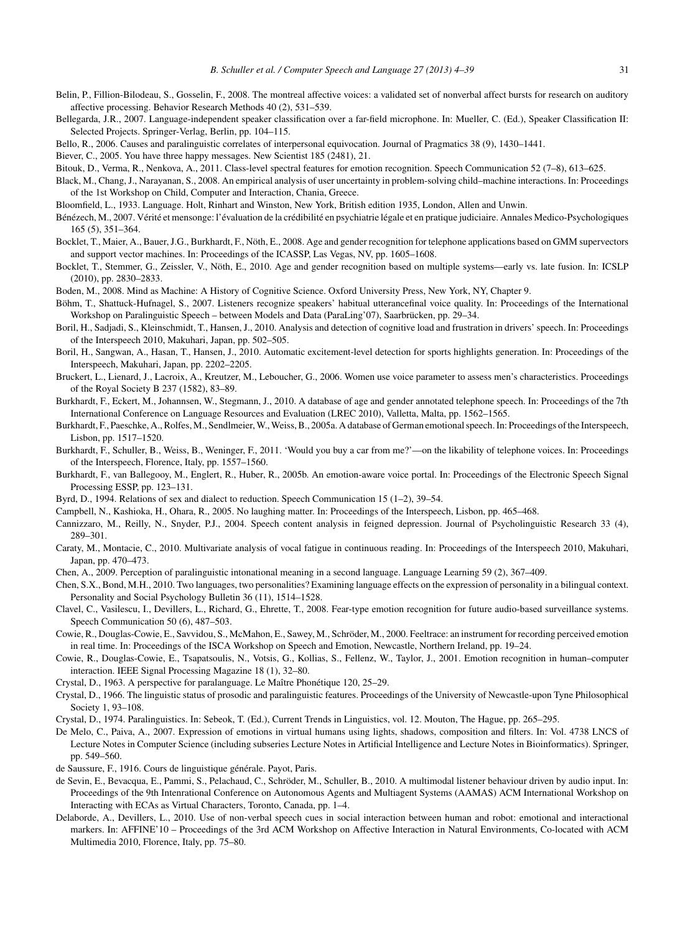- <span id="page-27-0"></span>Belin, P., Fillion-Bilodeau, S., Gosselin, F., 2008. The montreal affective voices: a validated set of nonverbal affect bursts for research on auditory affective processing. Behavior Research Methods 40 (2), 531–539.
- Bellegarda, J.R., 2007. Language-independent speaker classification over a far-field microphone. In: Mueller, C. (Ed.), Speaker Classification II: Selected Projects. Springer-Verlag, Berlin, pp. 104–115.
- Bello, R., 2006. Causes and paralinguistic correlates of interpersonal equivocation. Journal of Pragmatics 38 (9), 1430–1441.
- Biever, C., 2005. You have three happy messages. New Scientist 185 (2481), 21.
- Bitouk, D., Verma, R., Nenkova, A., 2011. Class-level spectral features for emotion recognition. Speech Communication 52 (7–8), 613–625.
- Black, M., Chang, J., Narayanan, S., 2008. An empirical analysis of user uncertainty in problem-solving child–machine interactions. In: Proceedings of the 1st Workshop on Child, Computer and Interaction, Chania, Greece.
- Bloomfield, L., 1933. Language. Holt, Rinhart and Winston, New York, British edition 1935, London, Allen and Unwin.
- Bénézech, M., 2007. Vérité et mensonge: l'évaluation de la crédibilité en psychiatrie légale et en pratique judiciaire. Annales Medico-Psychologiques 165 (5), 351–364.
- Bocklet, T., Maier, A., Bauer, J.G., Burkhardt, F., Nöth, E., 2008. Age and gender recognition for telephone applications based on GMM supervectors and support vector machines. In: Proceedings of the ICASSP, Las Vegas, NV, pp. 1605–1608.
- Bocklet, T., Stemmer, G., Zeissler, V., Nöth, E., 2010. Age and gender recognition based on multiple systems—early vs. late fusion. In: ICSLP (2010), pp. 2830–2833.
- Boden, M., 2008. Mind as Machine: A History of Cognitive Science. Oxford University Press, New York, NY, Chapter 9.
- Böhm, T., Shattuck-Hufnagel, S., 2007. Listeners recognize speakers' habitual utterancefinal voice quality. In: Proceedings of the International Workshop on Paralinguistic Speech – between Models and Data (ParaLing'07), Saarbrücken, pp. 29–34.
- Boril, H., Sadjadi, S., Kleinschmidt, T., Hansen, J., 2010. Analysis and detection of cognitive load and frustration in drivers' speech. In: Proceedings of the Interspeech 2010, Makuhari, Japan, pp. 502–505.
- Boril, H., Sangwan, A., Hasan, T., Hansen, J., 2010. Automatic excitement-level detection for sports highlights generation. In: Proceedings of the Interspeech, Makuhari, Japan, pp. 2202–2205.
- Bruckert, L., Lienard, J., Lacroix, A., Kreutzer, M., Leboucher, G., 2006. Women use voice parameter to assess men's characteristics. Proceedings of the Royal Society B 237 (1582), 83–89.
- Burkhardt, F., Eckert, M., Johannsen, W., Stegmann, J., 2010. A database of age and gender annotated telephone speech. In: Proceedings of the 7th International Conference on Language Resources and Evaluation (LREC 2010), Valletta, Malta, pp. 1562–1565.
- Burkhardt, F., Paeschke, A., Rolfes, M., Sendlmeier, W., Weiss, B., 2005a. A database of German emotional speech. In: Proceedings of the Interspeech, Lisbon, pp. 1517–1520.
- Burkhardt, F., Schuller, B., Weiss, B., Weninger, F., 2011. 'Would you buy a car from me?'—on the likability of telephone voices. In: Proceedings of the Interspeech, Florence, Italy, pp. 1557–1560.
- Burkhardt, F., van Ballegooy, M., Englert, R., Huber, R., 2005b. An emotion-aware voice portal. In: Proceedings of the Electronic Speech Signal Processing ESSP, pp. 123–131.
- Byrd, D., 1994. Relations of sex and dialect to reduction. Speech Communication 15 (1–2), 39–54.
- Campbell, N., Kashioka, H., Ohara, R., 2005. No laughing matter. In: Proceedings of the Interspeech, Lisbon, pp. 465–468.
- Cannizzaro, M., Reilly, N., Snyder, P.J., 2004. Speech content analysis in feigned depression. Journal of Psycholinguistic Research 33 (4), 289–301.
- Caraty, M., Montacie, C., 2010. Multivariate analysis of vocal fatigue in continuous reading. In: Proceedings of the Interspeech 2010, Makuhari, Japan, pp. 470–473.
- Chen, A., 2009. Perception of paralinguistic intonational meaning in a second language. Language Learning 59 (2), 367–409.
- Chen, S.X., Bond, M.H., 2010. Two languages, two personalities? Examining language effects on the expression of personality in a bilingual context. Personality and Social Psychology Bulletin 36 (11), 1514–1528.
- Clavel, C., Vasilescu, I., Devillers, L., Richard, G., Ehrette, T., 2008. Fear-type emotion recognition for future audio-based surveillance systems. Speech Communication 50 (6), 487–503.
- Cowie, R., Douglas-Cowie, E., Savvidou, S., McMahon, E., Sawey, M., Schröder, M., 2000. Feeltrace: an instrument for recording perceived emotion in real time. In: Proceedings of the ISCA Workshop on Speech and Emotion, Newcastle, Northern Ireland, pp. 19–24.
- Cowie, R., Douglas-Cowie, E., Tsapatsoulis, N., Votsis, G., Kollias, S., Fellenz, W., Taylor, J., 2001. Emotion recognition in human–computer interaction. IEEE Signal Processing Magazine 18 (1), 32–80.
- Crystal, D., 1963. A perspective for paralanguage. Le Maître Phonétique 120, 25–29.
- Crystal, D., 1966. The linguistic status of prosodic and paralinguistic features. Proceedings of the University of Newcastle-upon Tyne Philosophical Society 1, 93–108.
- Crystal, D., 1974. Paralinguistics. In: Sebeok, T. (Ed.), Current Trends in Linguistics, vol. 12. Mouton, The Hague, pp. 265–295.
- De Melo, C., Paiva, A., 2007. Expression of emotions in virtual humans using lights, shadows, composition and filters. In: Vol. 4738 LNCS of Lecture Notes in Computer Science (including subseries Lecture Notes in Artificial Intelligence and Lecture Notes in Bioinformatics). Springer, pp. 549–560.
- de Saussure, F., 1916. Cours de linguistique générale. Payot, Paris.
- de Sevin, E., Bevacqua, E., Pammi, S., Pelachaud, C., Schröder, M., Schuller, B., 2010. A multimodal listener behaviour driven by audio input. In: Proceedings of the 9th Intenrational Conference on Autonomous Agents and Multiagent Systems (AAMAS) ACM International Workshop on Interacting with ECAs as Virtual Characters, Toronto, Canada, pp. 1–4.
- Delaborde, A., Devillers, L., 2010. Use of non-verbal speech cues in social interaction between human and robot: emotional and interactional markers. In: AFFINE'10 – Proceedings of the 3rd ACM Workshop on Affective Interaction in Natural Environments, Co-located with ACM Multimedia 2010, Florence, Italy, pp. 75–80.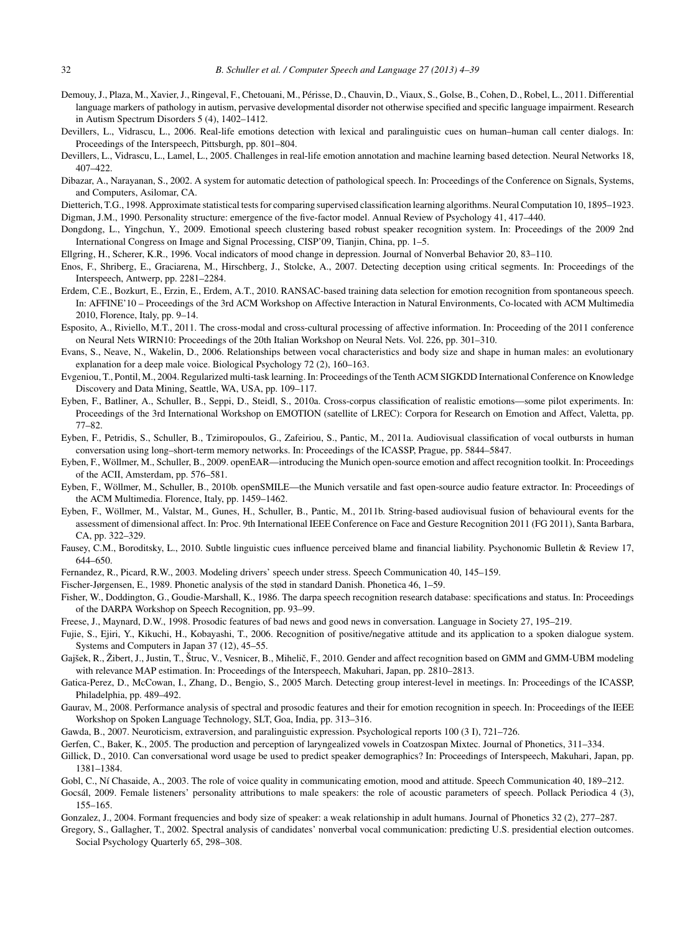- <span id="page-28-0"></span>Demouy, J., Plaza, M., Xavier, J., Ringeval, F., Chetouani, M., Périsse, D., Chauvin, D., Viaux, S., Golse, B., Cohen, D., Robel, L., 2011. Differential language markers of pathology in autism, pervasive developmental disorder not otherwise specified and specific language impairment. Research in Autism Spectrum Disorders 5 (4), 1402–1412.
- Devillers, L., Vidrascu, L., 2006. Real-life emotions detection with lexical and paralinguistic cues on human–human call center dialogs. In: Proceedings of the Interspeech, Pittsburgh, pp. 801–804.
- Devillers, L., Vidrascu, L., Lamel, L., 2005. Challenges in real-life emotion annotation and machine learning based detection. Neural Networks 18, 407–422.
- Dibazar, A., Narayanan, S., 2002. A system for automatic detection of pathological speech. In: Proceedings of the Conference on Signals, Systems, and Computers, Asilomar, CA.
- Dietterich, T.G., 1998. Approximate statistical tests for comparing supervised classification learning algorithms. Neural Computation 10, 1895–1923.
- Digman, J.M., 1990. Personality structure: emergence of the five-factor model. Annual Review of Psychology 41, 417–440.
- Dongdong, L., Yingchun, Y., 2009. Emotional speech clustering based robust speaker recognition system. In: Proceedings of the 2009 2nd International Congress on Image and Signal Processing, CISP'09, Tianjin, China, pp. 1–5.
- Ellgring, H., Scherer, K.R., 1996. Vocal indicators of mood change in depression. Journal of Nonverbal Behavior 20, 83–110.
- Enos, F., Shriberg, E., Graciarena, M., Hirschberg, J., Stolcke, A., 2007. Detecting deception using critical segments. In: Proceedings of the Interspeech, Antwerp, pp. 2281–2284.
- Erdem, C.E., Bozkurt, E., Erzin, E., Erdem, A.T., 2010. RANSAC-based training data selection for emotion recognition from spontaneous speech. In: AFFINE'10 – Proceedings of the 3rd ACM Workshop on Affective Interaction in Natural Environments, Co-located with ACM Multimedia 2010, Florence, Italy, pp. 9–14.
- Esposito, A., Riviello, M.T., 2011. The cross-modal and cross-cultural processing of affective information. In: Proceeding of the 2011 conference on Neural Nets WIRN10: Proceedings of the 20th Italian Workshop on Neural Nets. Vol. 226, pp. 301–310.
- Evans, S., Neave, N., Wakelin, D., 2006. Relationships between vocal characteristics and body size and shape in human males: an evolutionary explanation for a deep male voice. Biological Psychology 72 (2), 160–163.
- Evgeniou, T., Pontil, M., 2004. Regularized multi-task learning. In: Proceedings of the Tenth ACM SIGKDD International Conference on Knowledge Discovery and Data Mining, Seattle, WA, USA, pp. 109–117.
- Eyben, F., Batliner, A., Schuller, B., Seppi, D., Steidl, S., 2010a. Cross-corpus classification of realistic emotions—some pilot experiments. In: Proceedings of the 3rd International Workshop on EMOTION (satellite of LREC): Corpora for Research on Emotion and Affect, Valetta, pp. 77–82.
- Eyben, F., Petridis, S., Schuller, B., Tzimiropoulos, G., Zafeiriou, S., Pantic, M., 2011a. Audiovisual classification of vocal outbursts in human conversation using long–short-term memory networks. In: Proceedings of the ICASSP, Prague, pp. 5844–5847.
- Eyben, F., Wöllmer, M., Schuller, B., 2009. openEAR—introducing the Munich open-source emotion and affect recognition toolkit. In: Proceedings of the ACII, Amsterdam, pp. 576–581.
- Eyben, F., Wöllmer, M., Schuller, B., 2010b. openSMILE—the Munich versatile and fast open-source audio feature extractor. In: Proceedings of the ACM Multimedia. Florence, Italy, pp. 1459–1462.
- Eyben, F., Wöllmer, M., Valstar, M., Gunes, H., Schuller, B., Pantic, M., 2011b. String-based audiovisual fusion of behavioural events for the assessment of dimensional affect. In: Proc. 9th International IEEE Conference on Face and Gesture Recognition 2011 (FG 2011), Santa Barbara, CA, pp. 322–329.
- Fausey, C.M., Boroditsky, L., 2010. Subtle linguistic cues influence perceived blame and financial liability. Psychonomic Bulletin & Review 17, 644–650.
- Fernandez, R., Picard, R.W., 2003. Modeling drivers' speech under stress. Speech Communication 40, 145–159.
- Fischer-Jørgensen, E., 1989. Phonetic analysis of the stød in standard Danish. Phonetica 46, 1–59.
- Fisher, W., Doddington, G., Goudie-Marshall, K., 1986. The darpa speech recognition research database: specifications and status. In: Proceedings of the DARPA Workshop on Speech Recognition, pp. 93–99.
- Freese, J., Maynard, D.W., 1998. Prosodic features of bad news and good news in conversation. Language in Society 27, 195–219.
- Fujie, S., Ejiri, Y., Kikuchi, H., Kobayashi, T., 2006. Recognition of positive/negative attitude and its application to a spoken dialogue system. Systems and Computers in Japan 37 (12), 45–55.
- Gajšek, R., Žibert, J., Justin, T., Štruc, V., Vesnicer, B., Mihelič, F., 2010. Gender and affect recognition based on GMM and GMM-UBM modeling with relevance MAP estimation. In: Proceedings of the Interspeech, Makuhari, Japan, pp. 2810–2813.
- Gatica-Perez, D., McCowan, I., Zhang, D., Bengio, S., 2005 March. Detecting group interest-level in meetings. In: Proceedings of the ICASSP, Philadelphia, pp. 489–492.
- Gaurav, M., 2008. Performance analysis of spectral and prosodic features and their for emotion recognition in speech. In: Proceedings of the IEEE Workshop on Spoken Language Technology, SLT, Goa, India, pp. 313–316.
- Gawda, B., 2007. Neuroticism, extraversion, and paralinguistic expression. Psychological reports 100 (3 I), 721–726.
- Gerfen, C., Baker, K., 2005. The production and perception of laryngealized vowels in Coatzospan Mixtec. Journal of Phonetics, 311–334.
- Gillick, D., 2010. Can conversational word usage be used to predict speaker demographics? In: Proceedings of Interspeech, Makuhari, Japan, pp. 1381–1384.
- Gobl, C., Ní Chasaide, A., 2003. The role of voice quality in communicating emotion, mood and attitude. Speech Communication 40, 189–212.
- Gocsál, 2009. Female listeners' personality attributions to male speakers: the role of acoustic parameters of speech. Pollack Periodica 4 (3), 155–165.
- Gonzalez, J., 2004. Formant frequencies and body size of speaker: a weak relationship in adult humans. Journal of Phonetics 32 (2), 277–287.
- Gregory, S., Gallagher, T., 2002. Spectral analysis of candidates' nonverbal vocal communication: predicting U.S. presidential election outcomes. Social Psychology Quarterly 65, 298–308.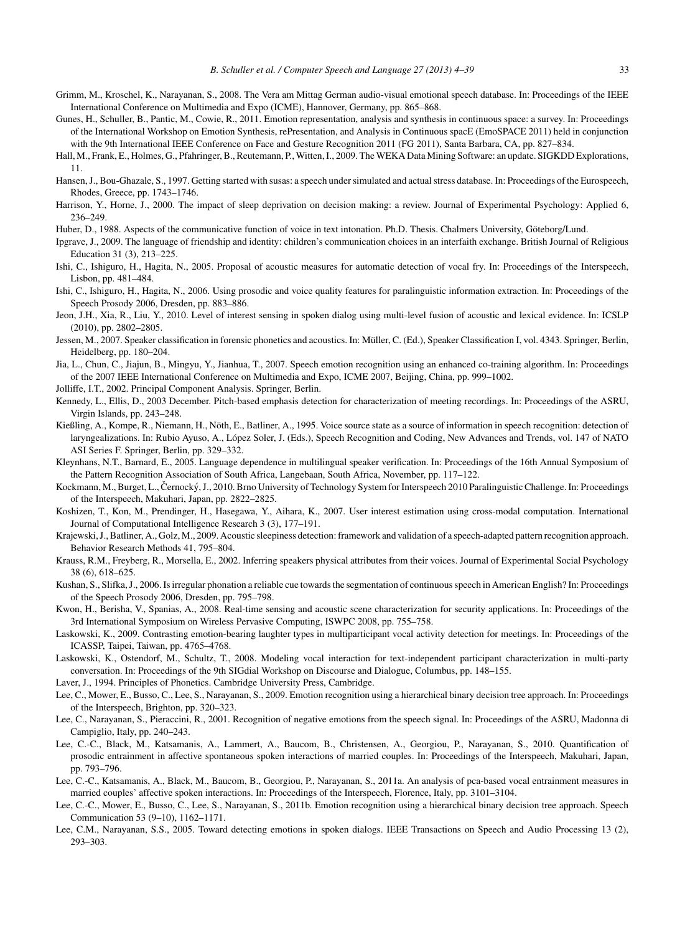- <span id="page-29-0"></span>Grimm, M., Kroschel, K., Narayanan, S., 2008. The Vera am Mittag German audio-visual emotional speech database. In: Proceedings of the IEEE International Conference on Multimedia and Expo (ICME), Hannover, Germany, pp. 865–868.
- Gunes, H., Schuller, B., Pantic, M., Cowie, R., 2011. Emotion representation, analysis and synthesis in continuous space: a survey. In: Proceedings of the International Workshop on Emotion Synthesis, rePresentation, and Analysis in Continuous spacE (EmoSPACE 2011) held in conjunction with the 9th International IEEE Conference on Face and Gesture Recognition 2011 (FG 2011), Santa Barbara, CA, pp. 827–834.
- Hall, M., Frank, E., Holmes, G., Pfahringer, B., Reutemann, P., Witten, I., 2009. The WEKA Data Mining Software: an update. SIGKDD Explorations, 11.
- Hansen, J., Bou-Ghazale, S., 1997. Getting started with susas: a speech under simulated and actual stress database. In: Proceedings of the Eurospeech, Rhodes, Greece, pp. 1743–1746.
- Harrison, Y., Horne, J., 2000. The impact of sleep deprivation on decision making: a review. Journal of Experimental Psychology: Applied 6, 236–249.
- Huber, D., 1988. Aspects of the communicative function of voice in text intonation. Ph.D. Thesis. Chalmers University, Göteborg/Lund.
- Ipgrave, J., 2009. The language of friendship and identity: children's communication choices in an interfaith exchange. British Journal of Religious Education 31 (3), 213–225.
- Ishi, C., Ishiguro, H., Hagita, N., 2005. Proposal of acoustic measures for automatic detection of vocal fry. In: Proceedings of the Interspeech, Lisbon, pp. 481–484.
- Ishi, C., Ishiguro, H., Hagita, N., 2006. Using prosodic and voice quality features for paralinguistic information extraction. In: Proceedings of the Speech Prosody 2006, Dresden, pp. 883–886.
- Jeon, J.H., Xia, R., Liu, Y., 2010. Level of interest sensing in spoken dialog using multi-level fusion of acoustic and lexical evidence. In: ICSLP (2010), pp. 2802–2805.
- Jessen, M., 2007. Speaker classification in forensic phonetics and acoustics. In: Müller, C. (Ed.), Speaker Classification I, vol. 4343. Springer, Berlin, Heidelberg, pp. 180–204.
- Jia, L., Chun, C., Jiajun, B., Mingyu, Y., Jianhua, T., 2007. Speech emotion recognition using an enhanced co-training algorithm. In: Proceedings of the 2007 IEEE International Conference on Multimedia and Expo, ICME 2007, Beijing, China, pp. 999–1002.
- Jolliffe, I.T., 2002. Principal Component Analysis. Springer, Berlin.
- Kennedy, L., Ellis, D., 2003 December. Pitch-based emphasis detection for characterization of meeting recordings. In: Proceedings of the ASRU, Virgin Islands, pp. 243–248.
- Kießling, A., Kompe, R., Niemann, H., Nöth, E., Batliner, A., 1995. Voice source state as a source of information in speech recognition: detection of laryngealizations. In: Rubio Ayuso, A., López Soler, J. (Eds.), Speech Recognition and Coding, New Advances and Trends, vol. 147 of NATO ASI Series F. Springer, Berlin, pp. 329–332.
- Kleynhans, N.T., Barnard, E., 2005. Language dependence in multilingual speaker verification. In: Proceedings of the 16th Annual Symposium of the Pattern Recognition Association of South Africa, Langebaan, South Africa, November, pp. 117–122.
- Kockmann, M., Burget, L., Černocký, J., 2010. Brno University of Technology System for Interspeech 2010 Paralinguistic Challenge. In: Proceedings of the Interspeech, Makuhari, Japan, pp. 2822–2825.
- Koshizen, T., Kon, M., Prendinger, H., Hasegawa, Y., Aihara, K., 2007. User interest estimation using cross-modal computation. International Journal of Computational Intelligence Research 3 (3), 177–191.
- Krajewski, J., Batliner, A., Golz, M., 2009. Acoustic sleepiness detection: framework and validation of a speech-adapted pattern recognition approach. Behavior Research Methods 41, 795–804.
- Krauss, R.M., Freyberg, R., Morsella, E., 2002. Inferring speakers physical attributes from their voices. Journal of Experimental Social Psychology 38 (6), 618–625.
- Kushan, S., Slifka, J., 2006. Is irregular phonation a reliable cue towards the segmentation of continuous speech in American English? In: Proceedings of the Speech Prosody 2006, Dresden, pp. 795–798.
- Kwon, H., Berisha, V., Spanias, A., 2008. Real-time sensing and acoustic scene characterization for security applications. In: Proceedings of the 3rd International Symposium on Wireless Pervasive Computing, ISWPC 2008, pp. 755–758.
- Laskowski, K., 2009. Contrasting emotion-bearing laughter types in multiparticipant vocal activity detection for meetings. In: Proceedings of the ICASSP, Taipei, Taiwan, pp. 4765–4768.
- Laskowski, K., Ostendorf, M., Schultz, T., 2008. Modeling vocal interaction for text-independent participant characterization in multi-party conversation. In: Proceedings of the 9th SIGdial Workshop on Discourse and Dialogue, Columbus, pp. 148–155.
- Laver, J., 1994. Principles of Phonetics. Cambridge University Press, Cambridge.
- Lee, C., Mower, E., Busso, C., Lee, S., Narayanan, S., 2009. Emotion recognition using a hierarchical binary decision tree approach. In: Proceedings of the Interspeech, Brighton, pp. 320–323.
- Lee, C., Narayanan, S., Pieraccini, R., 2001. Recognition of negative emotions from the speech signal. In: Proceedings of the ASRU, Madonna di Campiglio, Italy, pp. 240–243.
- Lee, C.-C., Black, M., Katsamanis, A., Lammert, A., Baucom, B., Christensen, A., Georgiou, P., Narayanan, S., 2010. Quantification of prosodic entrainment in affective spontaneous spoken interactions of married couples. In: Proceedings of the Interspeech, Makuhari, Japan, pp. 793–796.
- Lee, C.-C., Katsamanis, A., Black, M., Baucom, B., Georgiou, P., Narayanan, S., 2011a. An analysis of pca-based vocal entrainment measures in married couples' affective spoken interactions. In: Proceedings of the Interspeech, Florence, Italy, pp. 3101–3104.
- Lee, C.-C., Mower, E., Busso, C., Lee, S., Narayanan, S., 2011b. Emotion recognition using a hierarchical binary decision tree approach. Speech Communication 53 (9–10), 1162–1171.
- Lee, C.M., Narayanan, S.S., 2005. Toward detecting emotions in spoken dialogs. IEEE Transactions on Speech and Audio Processing 13 (2), 293–303.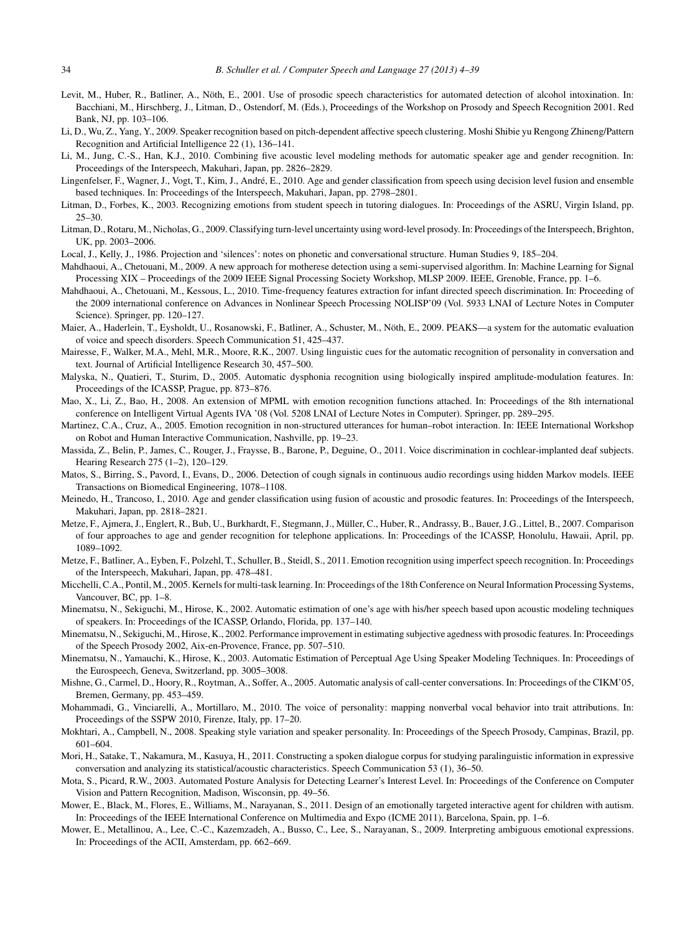- <span id="page-30-0"></span>Levit, M., Huber, R., Batliner, A., Nöth, E., 2001. Use of prosodic speech characteristics for automated detection of alcohol intoxination. In: Bacchiani, M., Hirschberg, J., Litman, D., Ostendorf, M. (Eds.), Proceedings of the Workshop on Prosody and Speech Recognition 2001. Red Bank, NJ, pp. 103–106.
- Li, D., Wu, Z., Yang, Y., 2009. Speaker recognition based on pitch-dependent affective speech clustering. Moshi Shibie yu Rengong Zhineng/Pattern Recognition and Artificial Intelligence 22 (1), 136–141.
- Li, M., Jung, C.-S., Han, K.J., 2010. Combining five acoustic level modeling methods for automatic speaker age and gender recognition. In: Proceedings of the Interspeech, Makuhari, Japan, pp. 2826–2829.
- Lingenfelser, F., Wagner, J., Vogt, T., Kim, J., André, E., 2010. Age and gender classification from speech using decision level fusion and ensemble based techniques. In: Proceedings of the Interspeech, Makuhari, Japan, pp. 2798–2801.
- Litman, D., Forbes, K., 2003. Recognizing emotions from student speech in tutoring dialogues. In: Proceedings of the ASRU, Virgin Island, pp. 25–30.
- Litman, D., Rotaru, M., Nicholas, G., 2009. Classifying turn-level uncertainty using word-level prosody. In: Proceedings of the Interspeech, Brighton, UK, pp. 2003–2006.
- Local, J., Kelly, J., 1986. Projection and 'silences': notes on phonetic and conversational structure. Human Studies 9, 185–204.
- Mahdhaoui, A., Chetouani, M., 2009. A new approach for motherese detection using a semi-supervised algorithm. In: Machine Learning for Signal Processing XIX – Proceedings of the 2009 IEEE Signal Processing Society Workshop, MLSP 2009. IEEE, Grenoble, France, pp. 1–6.
- Mahdhaoui, A., Chetouani, M., Kessous, L., 2010. Time-frequency features extraction for infant directed speech discrimination. In: Proceeding of the 2009 international conference on Advances in Nonlinear Speech Processing NOLISP'09 (Vol. 5933 LNAI of Lecture Notes in Computer Science). Springer, pp. 120–127.
- Maier, A., Haderlein, T., Eysholdt, U., Rosanowski, F., Batliner, A., Schuster, M., Nöth, E., 2009. PEAKS—a system for the automatic evaluation of voice and speech disorders. Speech Communication 51, 425–437.
- Mairesse, F., Walker, M.A., Mehl, M.R., Moore, R.K., 2007. Using linguistic cues for the automatic recognition of personality in conversation and text. Journal of Artificial Intelligence Research 30, 457–500.
- Malyska, N., Quatieri, T., Sturim, D., 2005. Automatic dysphonia recognition using biologically inspired amplitude-modulation features. In: Proceedings of the ICASSP, Prague, pp. 873–876.
- Mao, X., Li, Z., Bao, H., 2008. An extension of MPML with emotion recognition functions attached. In: Proceedings of the 8th international conference on Intelligent Virtual Agents IVA '08 (Vol. 5208 LNAI of Lecture Notes in Computer). Springer, pp. 289–295.
- Martinez, C.A., Cruz, A., 2005. Emotion recognition in non-structured utterances for human–robot interaction. In: IEEE International Workshop on Robot and Human Interactive Communication, Nashville, pp. 19–23.
- Massida, Z., Belin, P., James, C., Rouger, J., Fraysse, B., Barone, P., Deguine, O., 2011. Voice discrimination in cochlear-implanted deaf subjects. Hearing Research 275 (1–2), 120–129.
- Matos, S., Birring, S., Pavord, I., Evans, D., 2006. Detection of cough signals in continuous audio recordings using hidden Markov models. IEEE Transactions on Biomedical Engineering, 1078–1108.
- Meinedo, H., Trancoso, I., 2010. Age and gender classification using fusion of acoustic and prosodic features. In: Proceedings of the Interspeech, Makuhari, Japan, pp. 2818–2821.
- Metze, F., Ajmera, J., Englert, R., Bub, U., Burkhardt, F., Stegmann, J., Müller, C., Huber, R., Andrassy, B., Bauer, J.G., Littel, B., 2007. Comparison of four approaches to age and gender recognition for telephone applications. In: Proceedings of the ICASSP, Honolulu, Hawaii, April, pp. 1089–1092.
- Metze, F., Batliner, A., Eyben, F., Polzehl, T., Schuller, B., Steidl, S., 2011. Emotion recognition using imperfect speech recognition. In: Proceedings of the Interspeech, Makuhari, Japan, pp. 478–481.
- Micchelli, C.A., Pontil, M., 2005. Kernels for multi-task learning. In: Proceedings of the 18th Conference on Neural Information Processing Systems, Vancouver, BC, pp. 1–8.
- Minematsu, N., Sekiguchi, M., Hirose, K., 2002. Automatic estimation of one's age with his/her speech based upon acoustic modeling techniques of speakers. In: Proceedings of the ICASSP, Orlando, Florida, pp. 137–140.
- Minematsu, N., Sekiguchi, M., Hirose, K., 2002. Performance improvement in estimating subjective agedness with prosodic features. In: Proceedings of the Speech Prosody 2002, Aix-en-Provence, France, pp. 507–510.
- Minematsu, N., Yamauchi, K., Hirose, K., 2003. Automatic Estimation of Perceptual Age Using Speaker Modeling Techniques. In: Proceedings of the Eurospeech, Geneva, Switzerland, pp. 3005–3008.
- Mishne, G., Carmel, D., Hoory, R., Roytman, A., Soffer, A., 2005. Automatic analysis of call-center conversations. In: Proceedings of the CIKM'05, Bremen, Germany, pp. 453–459.
- Mohammadi, G., Vinciarelli, A., Mortillaro, M., 2010. The voice of personality: mapping nonverbal vocal behavior into trait attributions. In: Proceedings of the SSPW 2010, Firenze, Italy, pp. 17–20.
- Mokhtari, A., Campbell, N., 2008. Speaking style variation and speaker personality. In: Proceedings of the Speech Prosody, Campinas, Brazil, pp. 601–604.
- Mori, H., Satake, T., Nakamura, M., Kasuya, H., 2011. Constructing a spoken dialogue corpus for studying paralinguistic information in expressive conversation and analyzing its statistical/acoustic characteristics. Speech Communication 53 (1), 36–50.
- Mota, S., Picard, R.W., 2003. Automated Posture Analysis for Detecting Learner's Interest Level. In: Proceedings of the Conference on Computer Vision and Pattern Recognition, Madison, Wisconsin, pp. 49–56.
- Mower, E., Black, M., Flores, E., Williams, M., Narayanan, S., 2011. Design of an emotionally targeted interactive agent for children with autism. In: Proceedings of the IEEE International Conference on Multimedia and Expo (ICME 2011), Barcelona, Spain, pp. 1–6.
- Mower, E., Metallinou, A., Lee, C.-C., Kazemzadeh, A., Busso, C., Lee, S., Narayanan, S., 2009. Interpreting ambiguous emotional expressions. In: Proceedings of the ACII, Amsterdam, pp. 662–669.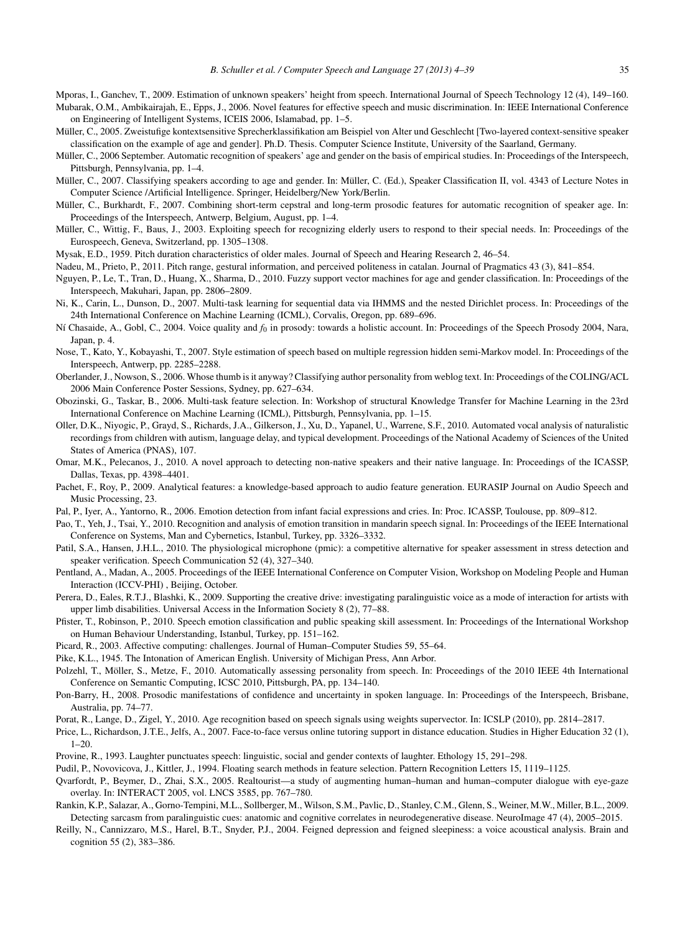- <span id="page-31-0"></span>Mporas, I., Ganchev, T., 2009. Estimation of unknown speakers' height from speech. International Journal of Speech Technology 12 (4), 149–160. Mubarak, O.M., Ambikairajah, E., Epps, J., 2006. Novel features for effective speech and music discrimination. In: IEEE International Conference on Engineering of Intelligent Systems, ICEIS 2006, Islamabad, pp. 1–5.
- Müller, C., 2005. Zweistufige kontextsensitive Sprecherklassifikation am Beispiel von Alter und Geschlecht [Two-layered context-sensitive speaker classification on the example of age and gender]. Ph.D. Thesis. Computer Science Institute, University of the Saarland, Germany.
- Müller, C., 2006 September. Automatic recognition of speakers' age and gender on the basis of empirical studies. In: Proceedings of the Interspeech, Pittsburgh, Pennsylvania, pp. 1–4.
- Müller, C., 2007. Classifying speakers according to age and gender. In: Müller, C. (Ed.), Speaker Classification II, vol. 4343 of Lecture Notes in Computer Science /Artificial Intelligence. Springer, Heidelberg/New York/Berlin.
- Müller, C., Burkhardt, F., 2007. Combining short-term cepstral and long-term prosodic features for automatic recognition of speaker age. In: Proceedings of the Interspeech, Antwerp, Belgium, August, pp. 1–4.
- Müller, C., Wittig, F., Baus, J., 2003. Exploiting speech for recognizing elderly users to respond to their special needs. In: Proceedings of the Eurospeech, Geneva, Switzerland, pp. 1305–1308.
- Mysak, E.D., 1959. Pitch duration characteristics of older males. Journal of Speech and Hearing Research 2, 46–54.
- Nadeu, M., Prieto, P., 2011. Pitch range, gestural information, and perceived politeness in catalan. Journal of Pragmatics 43 (3), 841–854.
- Nguyen, P., Le, T., Tran, D., Huang, X., Sharma, D., 2010. Fuzzy support vector machines for age and gender classification. In: Proceedings of the Interspeech, Makuhari, Japan, pp. 2806–2809.
- Ni, K., Carin, L., Dunson, D., 2007. Multi-task learning for sequential data via IHMMS and the nested Dirichlet process. In: Proceedings of the 24th International Conference on Machine Learning (ICML), Corvalis, Oregon, pp. 689–696.
- Ní Chasaide, A., Gobl, C., 2004. Voice quality and  $f_0$  in prosody: towards a holistic account. In: Proceedings of the Speech Prosody 2004, Nara, Japan, p. 4.
- Nose, T., Kato, Y., Kobayashi, T., 2007. Style estimation of speech based on multiple regression hidden semi-Markov model. In: Proceedings of the Interspeech, Antwerp, pp. 2285–2288.
- Oberlander, J., Nowson, S., 2006. Whose thumb is it anyway? Classifying author personality from weblog text. In: Proceedings of the COLING/ACL 2006 Main Conference Poster Sessions, Sydney, pp. 627–634.
- Obozinski, G., Taskar, B., 2006. Multi-task feature selection. In: Workshop of structural Knowledge Transfer for Machine Learning in the 23rd International Conference on Machine Learning (ICML), Pittsburgh, Pennsylvania, pp. 1–15.
- Oller, D.K., Niyogic, P., Grayd, S., Richards, J.A., Gilkerson, J., Xu, D., Yapanel, U., Warrene, S.F., 2010. Automated vocal analysis of naturalistic recordings from children with autism, language delay, and typical development. Proceedings of the National Academy of Sciences of the United States of America (PNAS), 107.
- Omar, M.K., Pelecanos, J., 2010. A novel approach to detecting non-native speakers and their native language. In: Proceedings of the ICASSP, Dallas, Texas, pp. 4398–4401.
- Pachet, F., Roy, P., 2009. Analytical features: a knowledge-based approach to audio feature generation. EURASIP Journal on Audio Speech and Music Processing, 23.
- Pal, P., Iyer, A., Yantorno, R., 2006. Emotion detection from infant facial expressions and cries. In: Proc. ICASSP, Toulouse, pp. 809–812.
- Pao, T., Yeh, J., Tsai, Y., 2010. Recognition and analysis of emotion transition in mandarin speech signal. In: Proceedings of the IEEE International Conference on Systems, Man and Cybernetics, Istanbul, Turkey, pp. 3326–3332.
- Patil, S.A., Hansen, J.H.L., 2010. The physiological microphone (pmic): a competitive alternative for speaker assessment in stress detection and speaker verification. Speech Communication 52 (4), 327–340.
- Pentland, A., Madan, A., 2005. Proceedings of the IEEE International Conference on Computer Vision, Workshop on Modeling People and Human Interaction (ICCV-PHI) , Beijing, October.
- Perera, D., Eales, R.T.J., Blashki, K., 2009. Supporting the creative drive: investigating paralinguistic voice as a mode of interaction for artists with upper limb disabilities. Universal Access in the Information Society 8 (2), 77–88.
- Pfister, T., Robinson, P., 2010. Speech emotion classification and public speaking skill assessment. In: Proceedings of the International Workshop on Human Behaviour Understanding, Istanbul, Turkey, pp. 151–162.
- Picard, R., 2003. Affective computing: challenges. Journal of Human–Computer Studies 59, 55–64.
- Pike, K.L., 1945. The Intonation of American English. University of Michigan Press, Ann Arbor.
- Polzehl, T., Möller, S., Metze, F., 2010. Automatically assessing personality from speech. In: Proceedings of the 2010 IEEE 4th International Conference on Semantic Computing, ICSC 2010, Pittsburgh, PA, pp. 134–140.
- Pon-Barry, H., 2008. Prosodic manifestations of confidence and uncertainty in spoken language. In: Proceedings of the Interspeech, Brisbane, Australia, pp. 74–77.
- Porat, R., Lange, D., Zigel, Y., 2010. Age recognition based on speech signals using weights supervector. In: ICSLP (2010), pp. 2814–2817.
- Price, L., Richardson, J.T.E., Jelfs, A., 2007. Face-to-face versus online tutoring support in distance education. Studies in Higher Education 32 (1), 1–20.
- Provine, R., 1993. Laughter punctuates speech: linguistic, social and gender contexts of laughter. Ethology 15, 291–298.
- Pudil, P., Novovicova, J., Kittler, J., 1994. Floating search methods in feature selection. Pattern Recognition Letters 15, 1119–1125.
- Qvarfordt, P., Beymer, D., Zhai, S.X., 2005. Realtourist—a study of augmenting human–human and human–computer dialogue with eye-gaze overlay. In: INTERACT 2005, vol. LNCS 3585, pp. 767–780.
- Rankin, K.P., Salazar, A., Gorno-Tempini, M.L., Sollberger, M., Wilson, S.M., Pavlic, D., Stanley, C.M., Glenn, S., Weiner, M.W., Miller, B.L., 2009. Detecting sarcasm from paralinguistic cues: anatomic and cognitive correlates in neurodegenerative disease. NeuroImage 47 (4), 2005–2015.
- Reilly, N., Cannizzaro, M.S., Harel, B.T., Snyder, P.J., 2004. Feigned depression and feigned sleepiness: a voice acoustical analysis. Brain and cognition 55 (2), 383–386.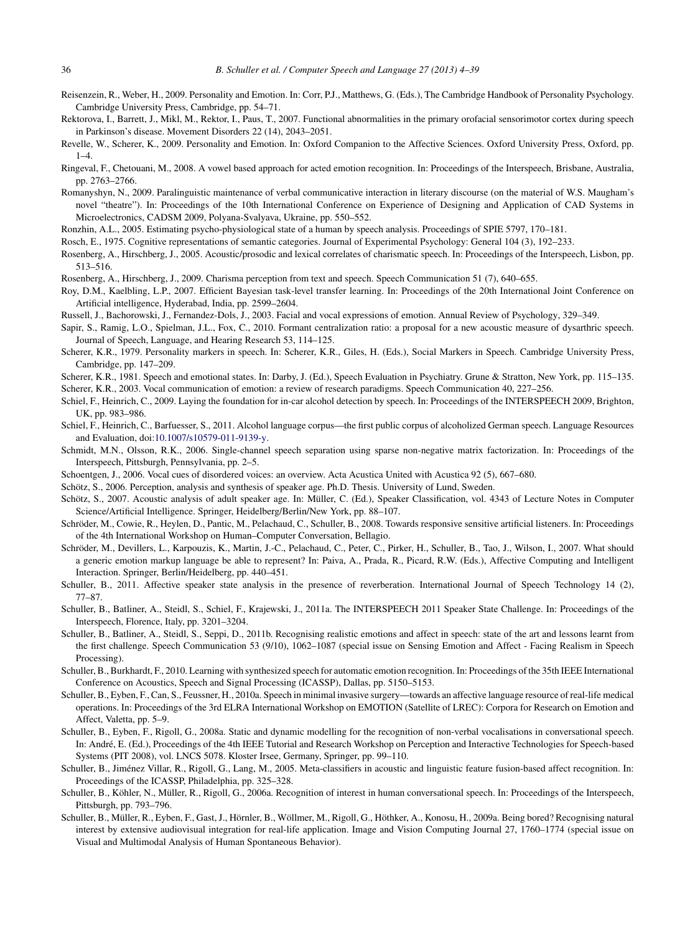- <span id="page-32-0"></span>Reisenzein, R., Weber, H., 2009. Personality and Emotion. In: Corr, P.J., Matthews, G. (Eds.), The Cambridge Handbook of Personality Psychology. Cambridge University Press, Cambridge, pp. 54–71.
- Rektorova, I., Barrett, J., Mikl, M., Rektor, I., Paus, T., 2007. Functional abnormalities in the primary orofacial sensorimotor cortex during speech in Parkinson's disease. Movement Disorders 22 (14), 2043–2051.
- Revelle, W., Scherer, K., 2009. Personality and Emotion. In: Oxford Companion to the Affective Sciences. Oxford University Press, Oxford, pp.  $1-4$ .
- Ringeval, F., Chetouani, M., 2008. A vowel based approach for acted emotion recognition. In: Proceedings of the Interspeech, Brisbane, Australia, pp. 2763–2766.
- Romanyshyn, N., 2009. Paralinguistic maintenance of verbal communicative interaction in literary discourse (on the material of W.S. Maugham's novel "theatre"). In: Proceedings of the 10th International Conference on Experience of Designing and Application of CAD Systems in Microelectronics, CADSM 2009, Polyana-Svalyava, Ukraine, pp. 550–552.
- Ronzhin, A.L., 2005. Estimating psycho-physiological state of a human by speech analysis. Proceedings of SPIE 5797, 170–181.
- Rosch, E., 1975. Cognitive representations of semantic categories. Journal of Experimental Psychology: General 104 (3), 192–233.
- Rosenberg, A., Hirschberg, J., 2005. Acoustic/prosodic and lexical correlates of charismatic speech. In: Proceedings of the Interspeech, Lisbon, pp. 513–516.
- Rosenberg, A., Hirschberg, J., 2009. Charisma perception from text and speech. Speech Communication 51 (7), 640–655.
- Roy, D.M., Kaelbling, L.P., 2007. Efficient Bayesian task-level transfer learning. In: Proceedings of the 20th International Joint Conference on Artificial intelligence, Hyderabad, India, pp. 2599–2604.
- Russell, J., Bachorowski, J., Fernandez-Dols, J., 2003. Facial and vocal expressions of emotion. Annual Review of Psychology, 329–349.
- Sapir, S., Ramig, L.O., Spielman, J.L., Fox, C., 2010. Formant centralization ratio: a proposal for a new acoustic measure of dysarthric speech. Journal of Speech, Language, and Hearing Research 53, 114–125.
- Scherer, K.R., 1979. Personality markers in speech. In: Scherer, K.R., Giles, H. (Eds.), Social Markers in Speech. Cambridge University Press, Cambridge, pp. 147–209.
- Scherer, K.R., 1981. Speech and emotional states. In: Darby, J. (Ed.), Speech Evaluation in Psychiatry. Grune & Stratton, New York, pp. 115–135.
- Scherer, K.R., 2003. Vocal communication of emotion: a review of research paradigms. Speech Communication 40, 227–256.
- Schiel, F., Heinrich, C., 2009. Laying the foundation for in-car alcohol detection by speech. In: Proceedings of the INTERSPEECH 2009, Brighton, UK, pp. 983–986.
- Schiel, F., Heinrich, C., Barfuesser, S., 2011. Alcohol language corpus—the first public corpus of alcoholized German speech. Language Resources and Evaluation, doi[:10.1007/s10579-011-9139-y](dx.doi.org/10.1007/s10579-011-9139-y).
- Schmidt, M.N., Olsson, R.K., 2006. Single-channel speech separation using sparse non-negative matrix factorization. In: Proceedings of the Interspeech, Pittsburgh, Pennsylvania, pp. 2–5.
- Schoentgen, J., 2006. Vocal cues of disordered voices: an overview. Acta Acustica United with Acustica 92 (5), 667–680.
- Schötz, S., 2006. Perception, analysis and synthesis of speaker age. Ph.D. Thesis. University of Lund, Sweden.
- Schötz, S., 2007. Acoustic analysis of adult speaker age. In: Müller, C. (Ed.), Speaker Classification, vol. 4343 of Lecture Notes in Computer Science/Artificial Intelligence. Springer, Heidelberg/Berlin/New York, pp. 88–107.
- Schröder, M., Cowie, R., Heylen, D., Pantic, M., Pelachaud, C., Schuller, B., 2008. Towards responsive sensitive artificial listeners. In: Proceedings of the 4th International Workshop on Human–Computer Conversation, Bellagio.
- Schröder, M., Devillers, L., Karpouzis, K., Martin, J.-C., Pelachaud, C., Peter, C., Pirker, H., Schuller, B., Tao, J., Wilson, I., 2007. What should a generic emotion markup language be able to represent? In: Paiva, A., Prada, R., Picard, R.W. (Eds.), Affective Computing and Intelligent Interaction. Springer, Berlin/Heidelberg, pp. 440–451.
- Schuller, B., 2011. Affective speaker state analysis in the presence of reverberation. International Journal of Speech Technology 14 (2), 77–87.
- Schuller, B., Batliner, A., Steidl, S., Schiel, F., Krajewski, J., 2011a. The INTERSPEECH 2011 Speaker State Challenge. In: Proceedings of the Interspeech, Florence, Italy, pp. 3201–3204.
- Schuller, B., Batliner, A., Steidl, S., Seppi, D., 2011b. Recognising realistic emotions and affect in speech: state of the art and lessons learnt from the first challenge. Speech Communication 53 (9/10), 1062–1087 (special issue on Sensing Emotion and Affect - Facing Realism in Speech Processing).
- Schuller, B., Burkhardt, F., 2010. Learning with synthesized speech for automatic emotion recognition. In: Proceedings of the 35th IEEE International Conference on Acoustics, Speech and Signal Processing (ICASSP), Dallas, pp. 5150–5153.
- Schuller, B., Eyben, F., Can, S., Feussner, H., 2010a. Speech in minimal invasive surgery—towards an affective language resource of real-life medical operations. In: Proceedings of the 3rd ELRA International Workshop on EMOTION (Satellite of LREC): Corpora for Research on Emotion and Affect, Valetta, pp. 5–9.
- Schuller, B., Eyben, F., Rigoll, G., 2008a. Static and dynamic modelling for the recognition of non-verbal vocalisations in conversational speech. In: André, E. (Ed.), Proceedings of the 4th IEEE Tutorial and Research Workshop on Perception and Interactive Technologies for Speech-based Systems (PIT 2008), vol. LNCS 5078. Kloster Irsee, Germany, Springer, pp. 99–110.
- Schuller, B., Jiménez Villar, R., Rigoll, G., Lang, M., 2005. Meta-classifiers in acoustic and linguistic feature fusion-based affect recognition. In: Proceedings of the ICASSP, Philadelphia, pp. 325–328.
- Schuller, B., Köhler, N., Müller, R., Rigoll, G., 2006a. Recognition of interest in human conversational speech. In: Proceedings of the Interspeech, Pittsburgh, pp. 793–796.
- Schuller, B., Müller, R., Eyben, F., Gast, J., Hörnler, B., Wöllmer, M., Rigoll, G., Höthker, A., Konosu, H., 2009a. Being bored? Recognising natural interest by extensive audiovisual integration for real-life application. Image and Vision Computing Journal 27, 1760–1774 (special issue on Visual and Multimodal Analysis of Human Spontaneous Behavior).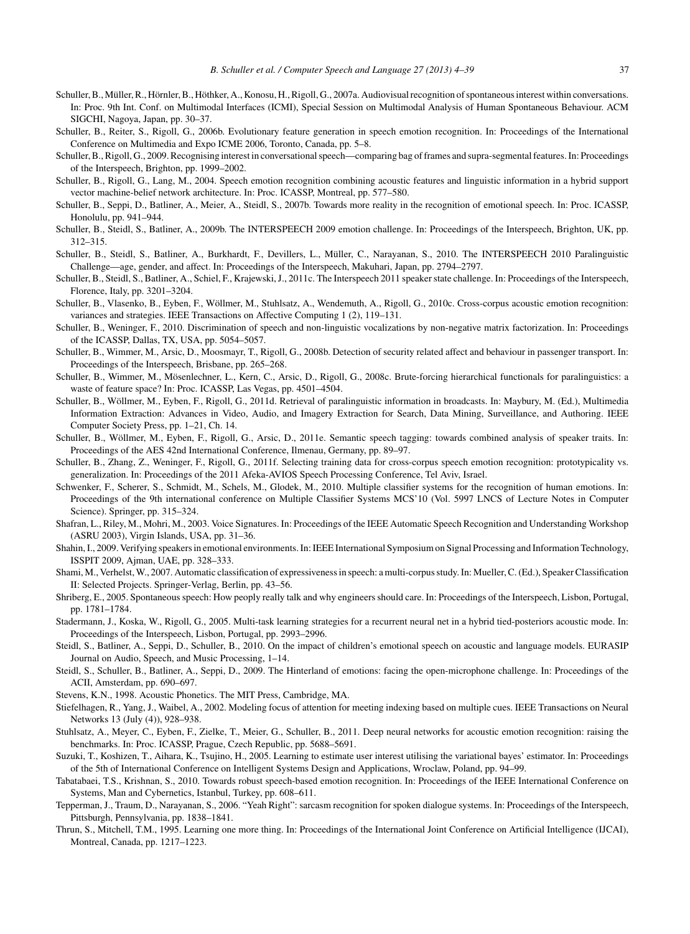- <span id="page-33-0"></span>Schuller, B., Müller, R., Hörnler, B., Höthker, A., Konosu, H., Rigoll, G., 2007a. Audiovisual recognition of spontaneous interest within conversations. In: Proc. 9th Int. Conf. on Multimodal Interfaces (ICMI), Special Session on Multimodal Analysis of Human Spontaneous Behaviour. ACM SIGCHI, Nagoya, Japan, pp. 30–37.
- Schuller, B., Reiter, S., Rigoll, G., 2006b. Evolutionary feature generation in speech emotion recognition. In: Proceedings of the International Conference on Multimedia and Expo ICME 2006, Toronto, Canada, pp. 5–8.
- Schuller, B., Rigoll, G., 2009. Recognising interest in conversational speech—comparing bag of frames and supra-segmental features. In: Proceedings of the Interspeech, Brighton, pp. 1999–2002.
- Schuller, B., Rigoll, G., Lang, M., 2004. Speech emotion recognition combining acoustic features and linguistic information in a hybrid support vector machine-belief network architecture. In: Proc. ICASSP, Montreal, pp. 577–580.
- Schuller, B., Seppi, D., Batliner, A., Meier, A., Steidl, S., 2007b. Towards more reality in the recognition of emotional speech. In: Proc. ICASSP, Honolulu, pp. 941–944.
- Schuller, B., Steidl, S., Batliner, A., 2009b. The INTERSPEECH 2009 emotion challenge. In: Proceedings of the Interspeech, Brighton, UK, pp. 312–315.
- Schuller, B., Steidl, S., Batliner, A., Burkhardt, F., Devillers, L., Müller, C., Narayanan, S., 2010. The INTERSPEECH 2010 Paralinguistic Challenge—age, gender, and affect. In: Proceedings of the Interspeech, Makuhari, Japan, pp. 2794–2797.
- Schuller, B., Steidl, S., Batliner, A., Schiel, F., Krajewski, J., 2011c. The Interspeech 2011 speaker state challenge. In: Proceedings of the Interspeech, Florence, Italy, pp. 3201–3204.
- Schuller, B., Vlasenko, B., Eyben, F., Wöllmer, M., Stuhlsatz, A., Wendemuth, A., Rigoll, G., 2010c. Cross-corpus acoustic emotion recognition: variances and strategies. IEEE Transactions on Affective Computing 1 (2), 119–131.
- Schuller, B., Weninger, F., 2010. Discrimination of speech and non-linguistic vocalizations by non-negative matrix factorization. In: Proceedings of the ICASSP, Dallas, TX, USA, pp. 5054–5057.
- Schuller, B., Wimmer, M., Arsic, D., Moosmayr, T., Rigoll, G., 2008b. Detection of security related affect and behaviour in passenger transport. In: Proceedings of the Interspeech, Brisbane, pp. 265–268.
- Schuller, B., Wimmer, M., Mösenlechner, L., Kern, C., Arsic, D., Rigoll, G., 2008c. Brute-forcing hierarchical functionals for paralinguistics: a waste of feature space? In: Proc. ICASSP, Las Vegas, pp. 4501–4504.
- Schuller, B., Wöllmer, M., Eyben, F., Rigoll, G., 2011d. Retrieval of paralinguistic information in broadcasts. In: Maybury, M. (Ed.), Multimedia Information Extraction: Advances in Video, Audio, and Imagery Extraction for Search, Data Mining, Surveillance, and Authoring. IEEE Computer Society Press, pp. 1–21, Ch. 14.
- Schuller, B., Wöllmer, M., Eyben, F., Rigoll, G., Arsic, D., 2011e. Semantic speech tagging: towards combined analysis of speaker traits. In: Proceedings of the AES 42nd International Conference, Ilmenau, Germany, pp. 89–97.
- Schuller, B., Zhang, Z., Weninger, F., Rigoll, G., 2011f. Selecting training data for cross-corpus speech emotion recognition: prototypicality vs. generalization. In: Proceedings of the 2011 Afeka-AVIOS Speech Processing Conference, Tel Aviv, Israel.
- Schwenker, F., Scherer, S., Schmidt, M., Schels, M., Glodek, M., 2010. Multiple classifier systems for the recognition of human emotions. In: Proceedings of the 9th international conference on Multiple Classifier Systems MCS'10 (Vol. 5997 LNCS of Lecture Notes in Computer Science). Springer, pp. 315–324.
- Shafran, L., Riley, M., Mohri, M., 2003. Voice Signatures. In: Proceedings of the IEEE Automatic Speech Recognition and Understanding Workshop (ASRU 2003), Virgin Islands, USA, pp. 31–36.
- Shahin, I., 2009. Verifying speakers in emotional environments. In: IEEE International Symposium on Signal Processing and Information Technology, ISSPIT 2009, Ajman, UAE, pp. 328–333.
- Shami, M., Verhelst, W., 2007. Automatic classification of expressiveness in speech: a multi-corpus study. In: Mueller, C. (Ed.), Speaker Classification II: Selected Projects. Springer-Verlag, Berlin, pp. 43–56.
- Shriberg, E., 2005. Spontaneous speech: How peoply really talk and why engineers should care. In: Proceedings of the Interspeech, Lisbon, Portugal, pp. 1781–1784.
- Stadermann, J., Koska, W., Rigoll, G., 2005. Multi-task learning strategies for a recurrent neural net in a hybrid tied-posteriors acoustic mode. In: Proceedings of the Interspeech, Lisbon, Portugal, pp. 2993–2996.
- Steidl, S., Batliner, A., Seppi, D., Schuller, B., 2010. On the impact of children's emotional speech on acoustic and language models. EURASIP Journal on Audio, Speech, and Music Processing, 1–14.
- Steidl, S., Schuller, B., Batliner, A., Seppi, D., 2009. The Hinterland of emotions: facing the open-microphone challenge. In: Proceedings of the ACII, Amsterdam, pp. 690–697.
- Stevens, K.N., 1998. Acoustic Phonetics. The MIT Press, Cambridge, MA.
- Stiefelhagen, R., Yang, J., Waibel, A., 2002. Modeling focus of attention for meeting indexing based on multiple cues. IEEE Transactions on Neural Networks 13 (July (4)), 928–938.
- Stuhlsatz, A., Meyer, C., Eyben, F., Zielke, T., Meier, G., Schuller, B., 2011. Deep neural networks for acoustic emotion recognition: raising the benchmarks. In: Proc. ICASSP, Prague, Czech Republic, pp. 5688–5691.
- Suzuki, T., Koshizen, T., Aihara, K., Tsujino, H., 2005. Learning to estimate user interest utilising the variational bayes' estimator. In: Proceedings of the 5th of International Conference on Intelligent Systems Design and Applications, Wroclaw, Poland, pp. 94–99.
- Tabatabaei, T.S., Krishnan, S., 2010. Towards robust speech-based emotion recognition. In: Proceedings of the IEEE International Conference on Systems, Man and Cybernetics, Istanbul, Turkey, pp. 608–611.
- Tepperman, J., Traum, D., Narayanan, S., 2006. "Yeah Right": sarcasm recognition for spoken dialogue systems. In: Proceedings of the Interspeech, Pittsburgh, Pennsylvania, pp. 1838–1841.
- Thrun, S., Mitchell, T.M., 1995. Learning one more thing. In: Proceedings of the International Joint Conference on Artificial Intelligence (IJCAI), Montreal, Canada, pp. 1217–1223.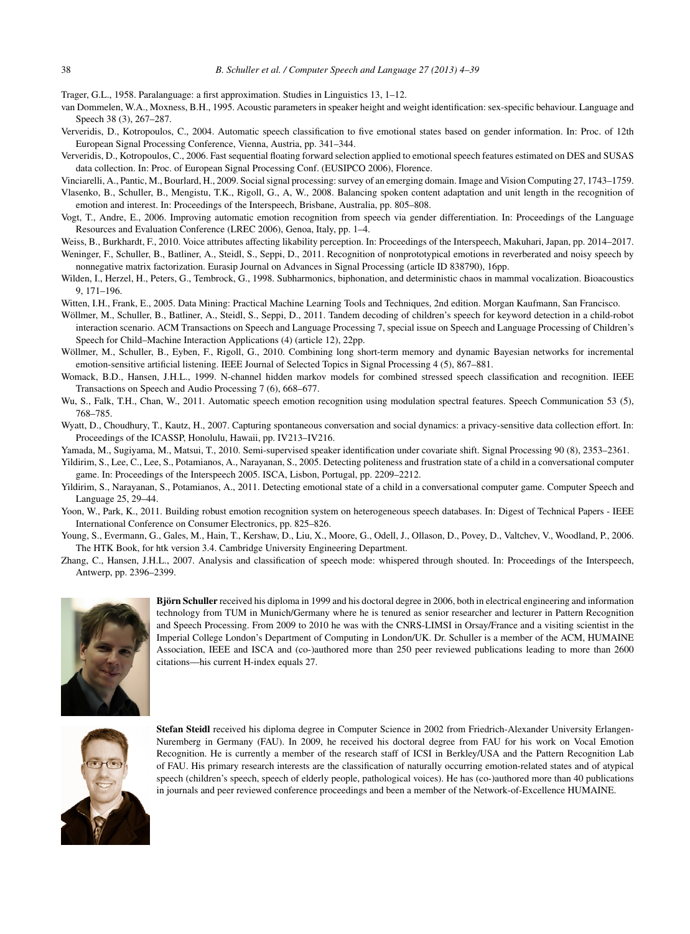<span id="page-34-0"></span>Trager, G.L., 1958. Paralanguage: a first approximation. Studies in Linguistics 13, 1–12.

- van Dommelen, W.A., Moxness, B.H., 1995. Acoustic parameters in speaker height and weight identification: sex-specific behaviour. Language and Speech 38 (3), 267–287.
- Ververidis, D., Kotropoulos, C., 2004. Automatic speech classification to five emotional states based on gender information. In: Proc. of 12th European Signal Processing Conference, Vienna, Austria, pp. 341–344.

Ververidis, D., Kotropoulos, C., 2006. Fast sequential floating forward selection applied to emotional speech features estimated on DES and SUSAS data collection. In: Proc. of European Signal Processing Conf. (EUSIPCO 2006), Florence.

Vinciarelli, A., Pantic, M., Bourlard, H., 2009. Social signal processing: survey of an emerging domain. Image and Vision Computing 27, 1743–1759.

Vlasenko, B., Schuller, B., Mengistu, T.K., Rigoll, G., A, W., 2008. Balancing spoken content adaptation and unit length in the recognition of emotion and interest. In: Proceedings of the Interspeech, Brisbane, Australia, pp. 805–808.

Vogt, T., Andre, E., 2006. Improving automatic emotion recognition from speech via gender differentiation. In: Proceedings of the Language Resources and Evaluation Conference (LREC 2006), Genoa, Italy, pp. 1–4.

Weiss, B., Burkhardt, F., 2010. Voice attributes affecting likability perception. In: Proceedings of the Interspeech, Makuhari, Japan, pp. 2014–2017.

- Weninger, F., Schuller, B., Batliner, A., Steidl, S., Seppi, D., 2011. Recognition of nonprototypical emotions in reverberated and noisy speech by nonnegative matrix factorization. Eurasip Journal on Advances in Signal Processing (article ID 838790), 16pp.
- Wilden, I., Herzel, H., Peters, G., Tembrock, G., 1998. Subharmonics, biphonation, and deterministic chaos in mammal vocalization. Bioacoustics 9, 171–196.
- Witten, I.H., Frank, E., 2005. Data Mining: Practical Machine Learning Tools and Techniques, 2nd edition. Morgan Kaufmann, San Francisco.
- Wöllmer, M., Schuller, B., Batliner, A., Steidl, S., Seppi, D., 2011. Tandem decoding of children's speech for keyword detection in a child-robot interaction scenario. ACM Transactions on Speech and Language Processing 7, special issue on Speech and Language Processing of Children's Speech for Child–Machine Interaction Applications (4) (article 12), 22pp.
- Wöllmer, M., Schuller, B., Eyben, F., Rigoll, G., 2010. Combining long short-term memory and dynamic Bayesian networks for incremental emotion-sensitive artificial listening. IEEE Journal of Selected Topics in Signal Processing 4 (5), 867–881.
- Womack, B.D., Hansen, J.H.L., 1999. N-channel hidden markov models for combined stressed speech classification and recognition. IEEE Transactions on Speech and Audio Processing 7 (6), 668–677.
- Wu, S., Falk, T.H., Chan, W., 2011. Automatic speech emotion recognition using modulation spectral features. Speech Communication 53 (5), 768–785.
- Wyatt, D., Choudhury, T., Kautz, H., 2007. Capturing spontaneous conversation and social dynamics: a privacy-sensitive data collection effort. In: Proceedings of the ICASSP, Honolulu, Hawaii, pp. IV213–IV216.

Yamada, M., Sugiyama, M., Matsui, T., 2010. Semi-supervised speaker identification under covariate shift. Signal Processing 90 (8), 2353–2361.

- Yildirim, S., Lee, C., Lee, S., Potamianos, A., Narayanan, S., 2005. Detecting politeness and frustration state of a child in a conversational computer game. In: Proceedings of the Interspeech 2005. ISCA, Lisbon, Portugal, pp. 2209–2212.
- Yildirim, S., Narayanan, S., Potamianos, A., 2011. Detecting emotional state of a child in a conversational computer game. Computer Speech and Language 25, 29–44.
- Yoon, W., Park, K., 2011. Building robust emotion recognition system on heterogeneous speech databases. In: Digest of Technical Papers IEEE International Conference on Consumer Electronics, pp. 825–826.
- Young, S., Evermann, G., Gales, M., Hain, T., Kershaw, D., Liu, X., Moore, G., Odell, J., Ollason, D., Povey, D., Valtchev, V., Woodland, P., 2006. The HTK Book, for htk version 3.4. Cambridge University Engineering Department.
- Zhang, C., Hansen, J.H.L., 2007. Analysis and classification of speech mode: whispered through shouted. In: Proceedings of the Interspeech, Antwerp, pp. 2396–2399.



**Björn Schuller** received his diploma in 1999 and his doctoral degree in 2006, both in electrical engineering and information technology from TUM in Munich/Germany where he is tenured as senior researcher and lecturer in Pattern Recognition and Speech Processing. From 2009 to 2010 he was with the CNRS-LIMSI in Orsay/France and a visiting scientist in the Imperial College London's Department of Computing in London/UK. Dr. Schuller is a member of the ACM, HUMAINE Association, IEEE and ISCA and (co-)authored more than 250 peer reviewed publications leading to more than 2600 citations—his current H-index equals 27.



**Stefan Steidl** received his diploma degree in Computer Science in 2002 from Friedrich-Alexander University Erlangen-Nuremberg in Germany (FAU). In 2009, he received his doctoral degree from FAU for his work on Vocal Emotion Recognition. He is currently a member of the research staff of ICSI in Berkley/USA and the Pattern Recognition Lab of FAU. His primary research interests are the classification of naturally occurring emotion-related states and of atypical speech (children's speech, speech of elderly people, pathological voices). He has (co-)authored more than 40 publications in journals and peer reviewed conference proceedings and been a member of the Network-of-Excellence HUMAINE.